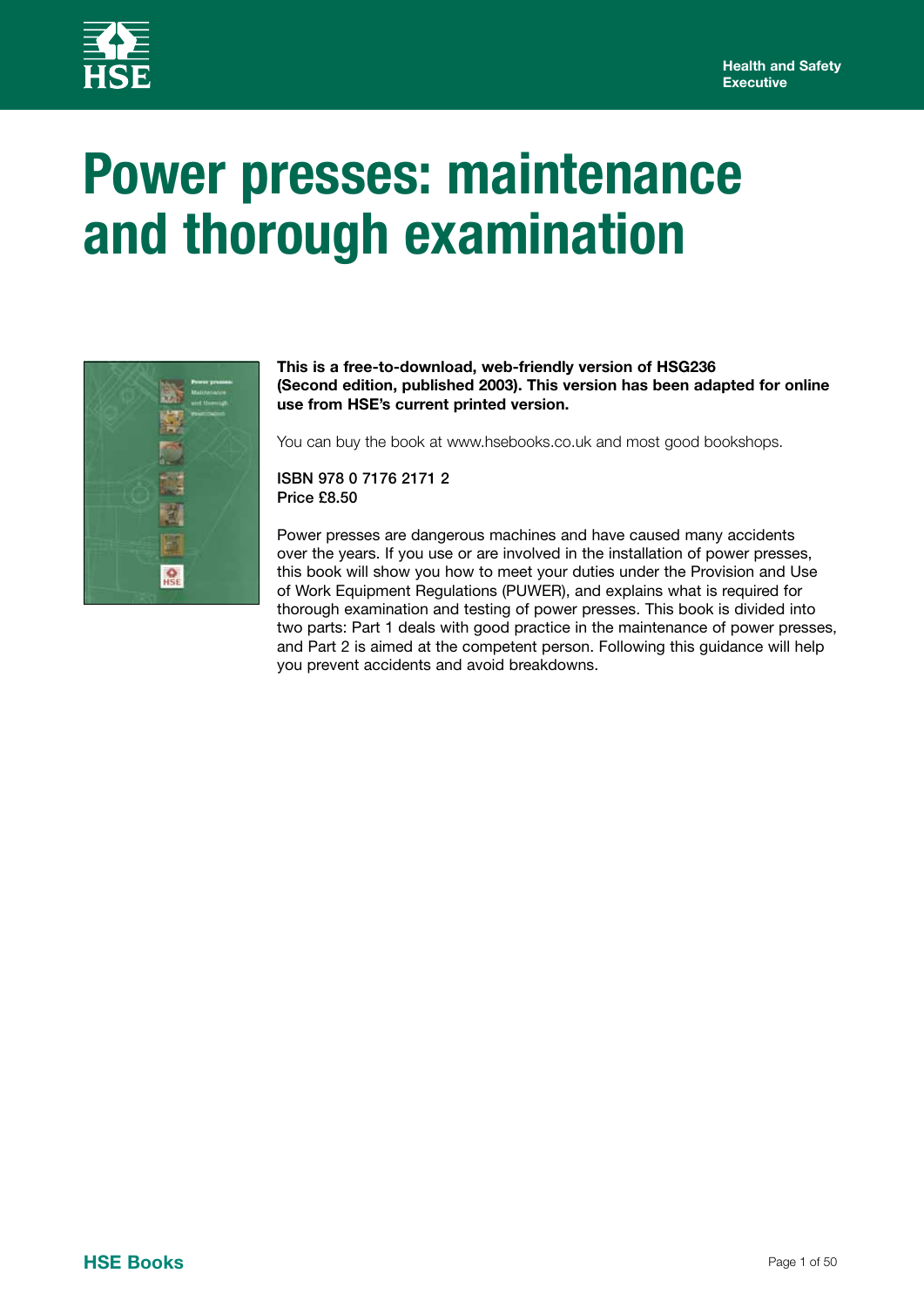

# **Power presses: maintenance and thorough examination**



#### **This is a free-to-download, web-friendly version of HSG236 (Second edition, published 2003). This version has been adapted for online use from HSE's current printed version.**

You can buy the book at www.hsebooks.co.uk and most good bookshops.

ISBN 978 0 7176 2171 2 Price £8.50

Power presses are dangerous machines and have caused many accidents over the years. If you use or are involved in the installation of power presses, this book will show you how to meet your duties under the Provision and Use of Work Equipment Regulations (PUWER), and explains what is required for thorough examination and testing of power presses. This book is divided into two parts: Part 1 deals with good practice in the maintenance of power presses, and Part 2 is aimed at the competent person. Following this guidance will help you prevent accidents and avoid breakdowns.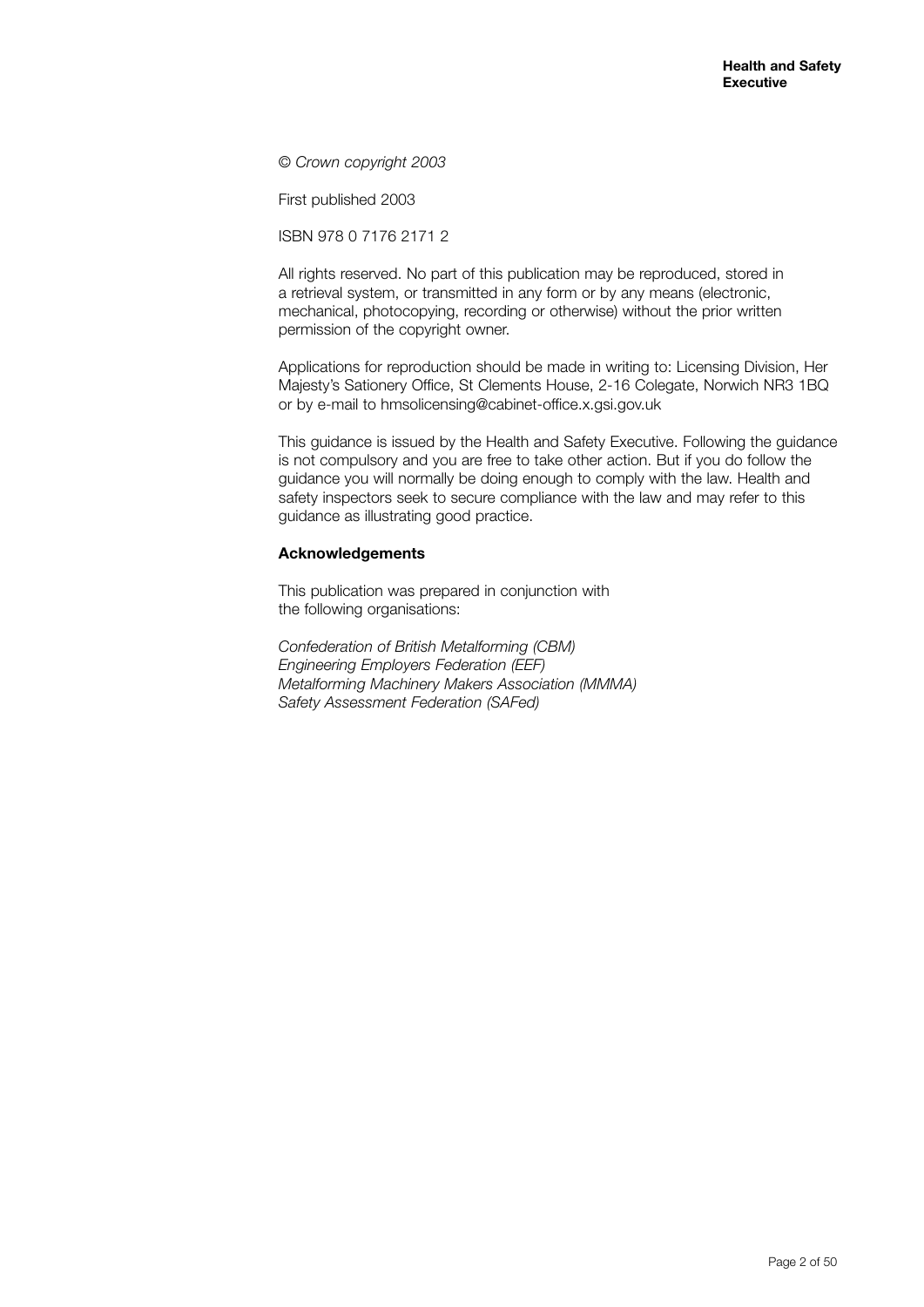© *Crown copyright 2003*

First published 2003

ISBN 978 0 7176 2171 2

All rights reserved. No part of this publication may be reproduced, stored in a retrieval system, or transmitted in any form or by any means (electronic, mechanical, photocopying, recording or otherwise) without the prior written permission of the copyright owner.

Applications for reproduction should be made in writing to: Licensing Division, Her Majesty's Sationery Office, St Clements House, 2-16 Colegate, Norwich NR3 1BQ or by e-mail to hmsolicensing@cabinet-office.x.gsi.gov.uk

This guidance is issued by the Health and Safety Executive. Following the guidance is not compulsory and you are free to take other action. But if you do follow the guidance you will normally be doing enough to comply with the law. Health and safety inspectors seek to secure compliance with the law and may refer to this guidance as illustrating good practice.

#### **Acknowledgements**

This publication was prepared in conjunction with the following organisations:

*Confederation of British Metalforming (CBM) Engineering Employers Federation (EEF) Metalforming Machinery Makers Association (MMMA) Safety Assessment Federation (SAFed)*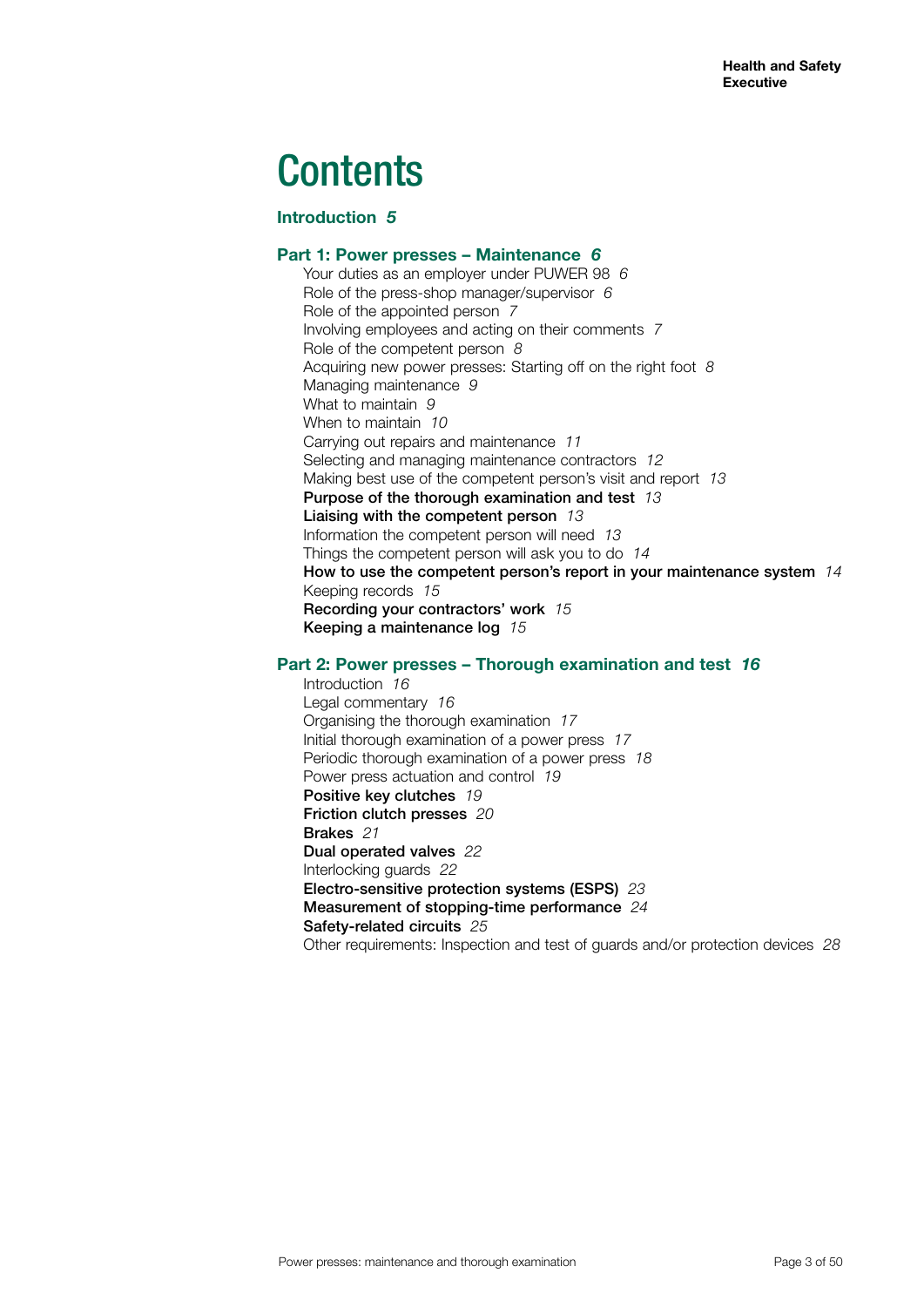# **Contents**

# **Introduction** *5*

#### **Part 1: Power presses – Maintenance** *6*

Your duties as an employer under PUWER 98 *6* Role of the press-shop manager/supervisor *6* Role of the appointed person *7* Involving employees and acting on their comments *7* Role of the competent person *8* Acquiring new power presses: Starting off on the right foot *8* Managing maintenance *9* What to maintain *9* When to maintain *10* Carrying out repairs and maintenance *11* Selecting and managing maintenance contractors *12* Making best use of the competent person's visit and report *13* Purpose of the thorough examination and test *13* Liaising with the competent person *13* Information the competent person will need *13* Things the competent person will ask you to do *14* How to use the competent person's report in your maintenance system *14* Keeping records *15* Recording your contractors' work *15* Keeping a maintenance log *15*

# **Part 2: Power presses – Thorough examination and test** *16*

Introduction *16* Legal commentary *16* Organising the thorough examination *17* Initial thorough examination of a power press *17* Periodic thorough examination of a power press *18* Power press actuation and control *19* Positive key clutches *19* Friction clutch presses *20* Brakes *21* Dual operated valves *22* Interlocking guards *22* Electro-sensitive protection systems (ESPS) *23* Measurement of stopping-time performance *24* Safety-related circuits *25* Other requirements: Inspection and test of guards and/or protection devices *28*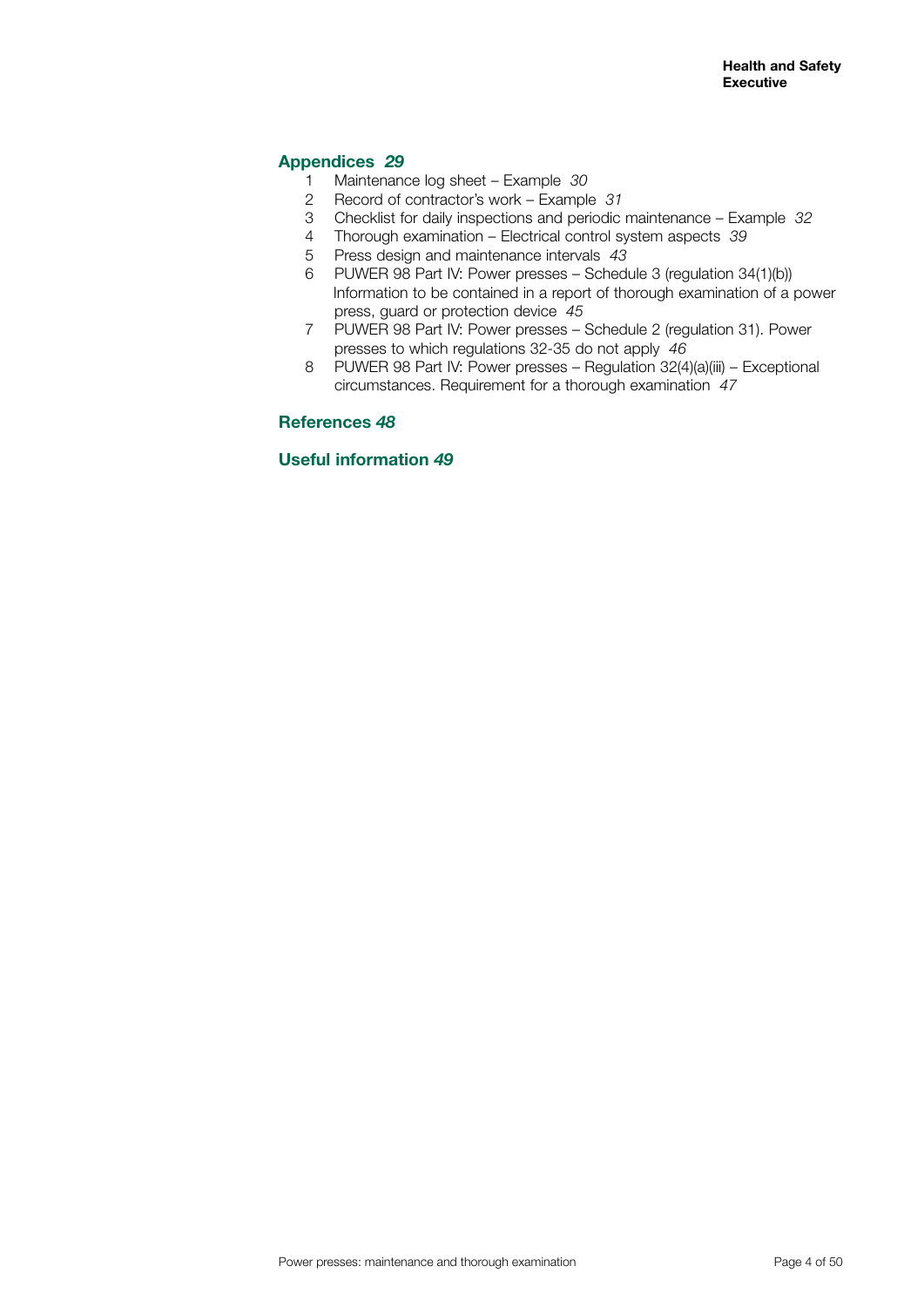# **Appendices** *29*

- 1 Maintenance log sheet Example *30*
- 2 Record of contractor's work Example *31*
- 3 Checklist for daily inspections and periodic maintenance Example *32*
- 4 Thorough examination Electrical control system aspects *39*
- 5 Press design and maintenance intervals *43*
- 6 PUWER 98 Part IV: Power presses Schedule 3 (regulation 34(1)(b)) Information to be contained in a report of thorough examination of a power press, guard or protection device *45*
- 7 PUWER 98 Part IV: Power presses Schedule 2 (regulation 31). Power presses to which regulations 32-35 do not apply *46*
- 8 PUWER 98 Part IV: Power presses Regulation 32(4)(a)(iii) Exceptional circumstances. Requirement for a thorough examination *47*

# **References** *48*

# **Useful information** *49*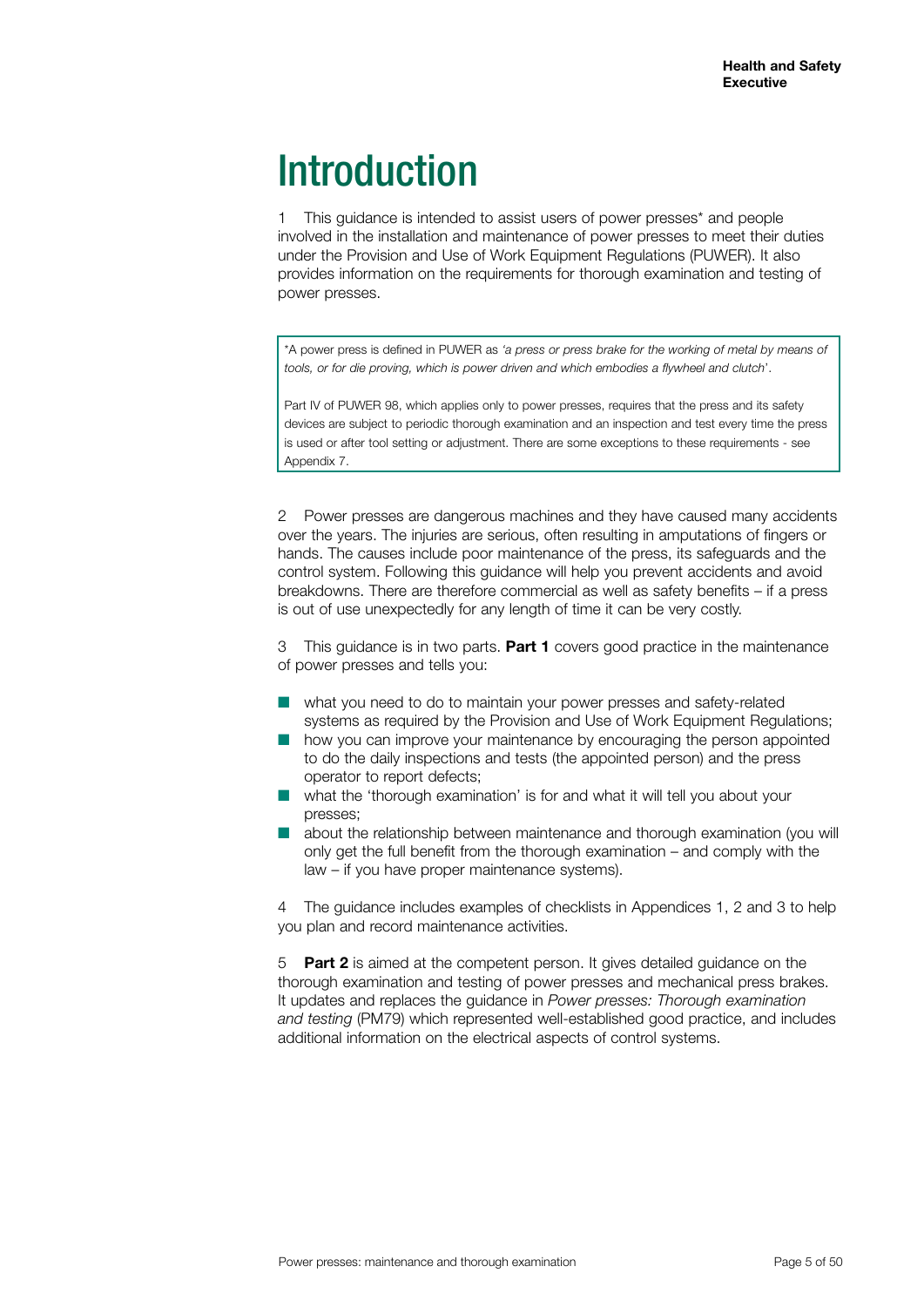# **Introduction**

1 This guidance is intended to assist users of power presses\* and people involved in the installation and maintenance of power presses to meet their duties under the Provision and Use of Work Equipment Regulations (PUWER). It also provides information on the requirements for thorough examination and testing of power presses.

\*A power press is defined in PUWER as *'a press or press brake for the working of metal by means of tools, or for die proving, which is power driven and which embodies a flywheel and clutch*'.

Part IV of PUWER 98, which applies only to power presses, requires that the press and its safety devices are subject to periodic thorough examination and an inspection and test every time the press is used or after tool setting or adjustment. There are some exceptions to these requirements - see Appendix 7.

2 Power presses are dangerous machines and they have caused many accidents over the years. The injuries are serious, often resulting in amputations of fingers or hands. The causes include poor maintenance of the press, its safeguards and the control system. Following this guidance will help you prevent accidents and avoid breakdowns. There are therefore commercial as well as safety benefits – if a press is out of use unexpectedly for any length of time it can be very costly.

3 This guidance is in two parts. **Part 1** covers good practice in the maintenance of power presses and tells you:

- $\blacksquare$  what you need to do to maintain your power presses and safety-related systems as required by the Provision and Use of Work Equipment Regulations;
- how you can improve your maintenance by encouraging the person appointed to do the daily inspections and tests (the appointed person) and the press operator to report defects;
- $\blacksquare$  what the 'thorough examination' is for and what it will tell you about your presses;
- **n** about the relationship between maintenance and thorough examination (you will only get the full benefit from the thorough examination – and comply with the law – if you have proper maintenance systems).

4 The guidance includes examples of checklists in Appendices 1, 2 and 3 to help you plan and record maintenance activities.

5 **Part 2** is aimed at the competent person. It gives detailed guidance on the thorough examination and testing of power presses and mechanical press brakes. It updates and replaces the guidance in *Power presses: Thorough examination and testing* (PM79) which represented well-established good practice, and includes additional information on the electrical aspects of control systems.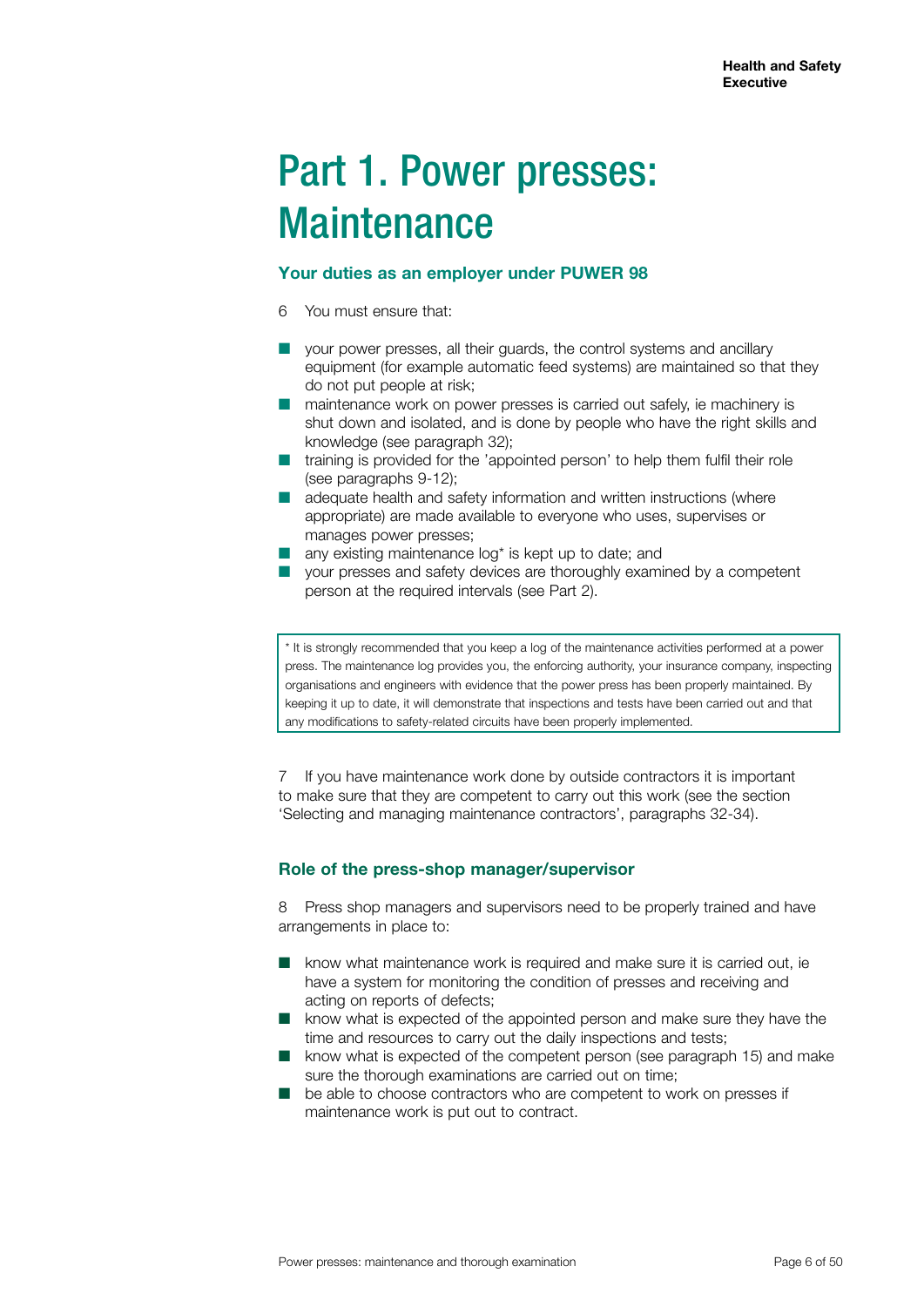# Part 1. Power presses: **Maintenance**

#### **Your duties as an employer under PUWER 98**

- 6 You must ensure that:
- $\blacksquare$  your power presses, all their guards, the control systems and ancillary equipment (for example automatic feed systems) are maintained so that they do not put people at risk;
- $\blacksquare$  maintenance work on power presses is carried out safely, ie machinery is shut down and isolated, and is done by people who have the right skills and knowledge (see paragraph 32);
- $\blacksquare$  training is provided for the 'appointed person' to help them fulfil their role (see paragraphs 9-12);
- $\blacksquare$  adequate health and safety information and written instructions (where appropriate) are made available to everyone who uses, supervises or manages power presses;
- any existing maintenance  $log^*$  is kept up to date; and
- $\blacksquare$  your presses and safety devices are thoroughly examined by a competent person at the required intervals (see Part 2).

\* It is strongly recommended that you keep a log of the maintenance activities performed at a power press. The maintenance log provides you, the enforcing authority, your insurance company, inspecting organisations and engineers with evidence that the power press has been properly maintained. By keeping it up to date, it will demonstrate that inspections and tests have been carried out and that any modifications to safety-related circuits have been properly implemented.

7 If you have maintenance work done by outside contractors it is important to make sure that they are competent to carry out this work (see the section 'Selecting and managing maintenance contractors', paragraphs 32-34).

### **Role of the press-shop manager/supervisor**

8 Press shop managers and supervisors need to be properly trained and have arrangements in place to:

- $\blacksquare$  know what maintenance work is required and make sure it is carried out, ie have a system for monitoring the condition of presses and receiving and acting on reports of defects;
- $\blacksquare$  know what is expected of the appointed person and make sure they have the time and resources to carry out the daily inspections and tests;
- **n** know what is expected of the competent person (see paragraph 15) and make sure the thorough examinations are carried out on time;
- n be able to choose contractors who are competent to work on presses if maintenance work is put out to contract.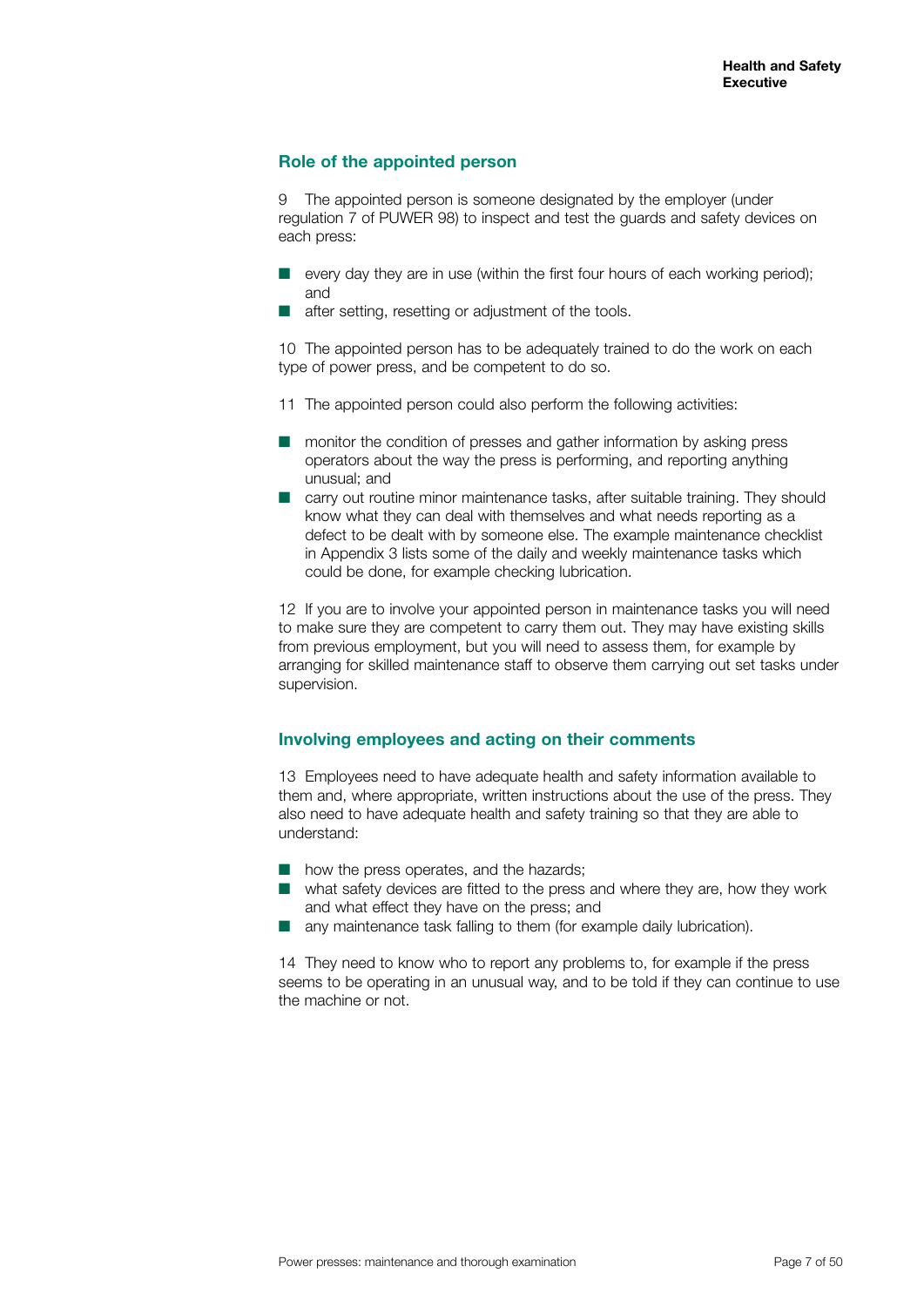# **Role of the appointed person**

9 The appointed person is someone designated by the employer (under regulation 7 of PUWER 98) to inspect and test the guards and safety devices on each press:

- $\blacksquare$  every day they are in use (within the first four hours of each working period); and
- after setting, resetting or adjustment of the tools.

10 The appointed person has to be adequately trained to do the work on each type of power press, and be competent to do so.

- 11 The appointed person could also perform the following activities:
- monitor the condition of presses and gather information by asking press operators about the way the press is performing, and reporting anything unusual; and
- $\blacksquare$  carry out routine minor maintenance tasks, after suitable training. They should know what they can deal with themselves and what needs reporting as a defect to be dealt with by someone else. The example maintenance checklist in Appendix 3 lists some of the daily and weekly maintenance tasks which could be done, for example checking lubrication.

12 If you are to involve your appointed person in maintenance tasks you will need to make sure they are competent to carry them out. They may have existing skills from previous employment, but you will need to assess them, for example by arranging for skilled maintenance staff to observe them carrying out set tasks under supervision.

### **Involving employees and acting on their comments**

13 Employees need to have adequate health and safety information available to them and, where appropriate, written instructions about the use of the press. They also need to have adequate health and safety training so that they are able to understand:

- $\blacksquare$  how the press operates, and the hazards;
- $\blacksquare$  what safety devices are fitted to the press and where they are, how they work and what effect they have on the press; and
- $\blacksquare$  any maintenance task falling to them (for example daily lubrication).

14 They need to know who to report any problems to, for example if the press seems to be operating in an unusual way, and to be told if they can continue to use the machine or not.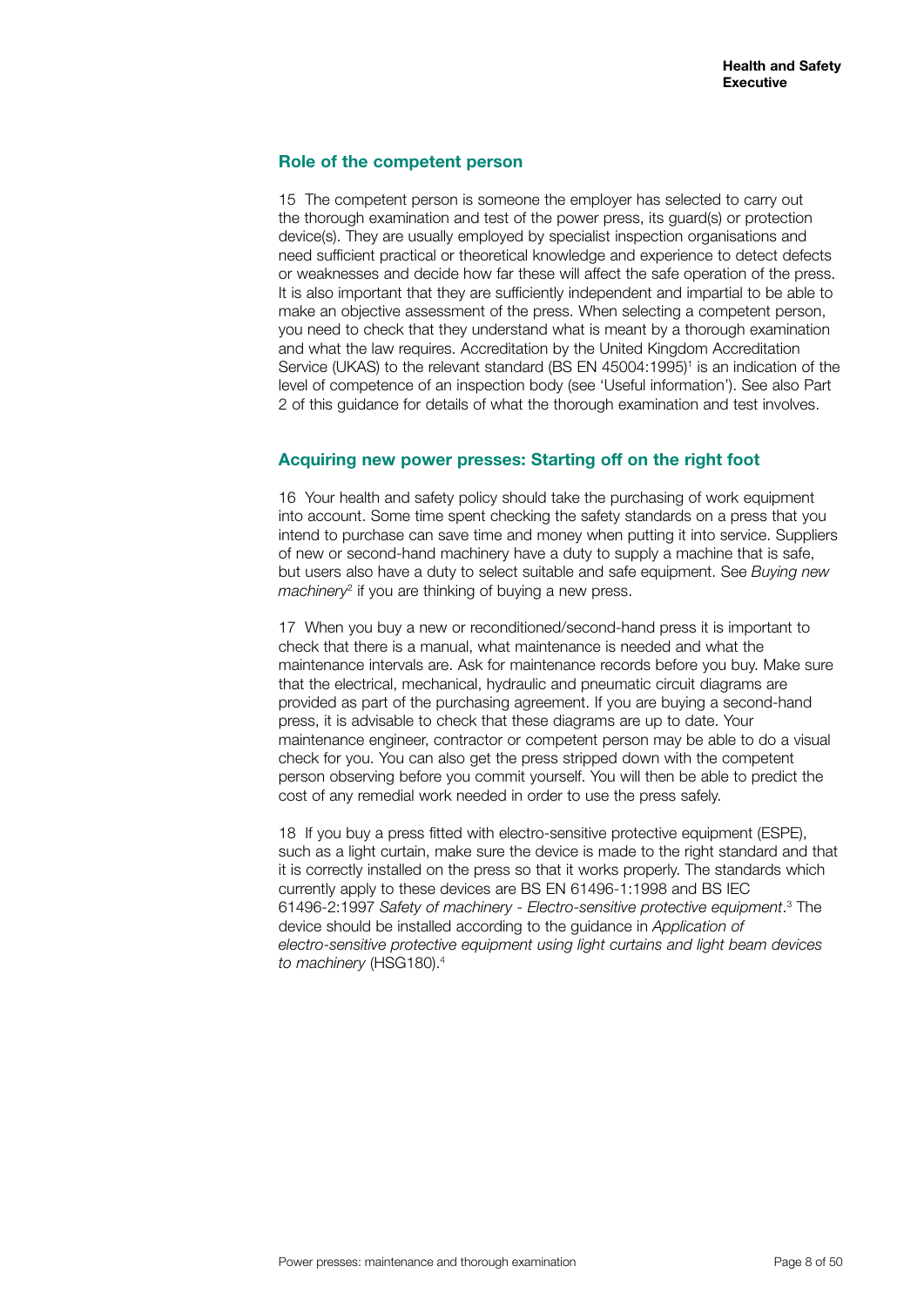#### **Role of the competent person**

15 The competent person is someone the employer has selected to carry out the thorough examination and test of the power press, its guard(s) or protection device(s). They are usually employed by specialist inspection organisations and need sufficient practical or theoretical knowledge and experience to detect defects or weaknesses and decide how far these will affect the safe operation of the press. It is also important that they are sufficiently independent and impartial to be able to make an objective assessment of the press. When selecting a competent person, you need to check that they understand what is meant by a thorough examination and what the law requires. Accreditation by the United Kingdom Accreditation Service (UKAS) to the relevant standard (BS EN 45004:1995)<sup>1</sup> is an indication of the level of competence of an inspection body (see 'Useful information'). See also Part 2 of this guidance for details of what the thorough examination and test involves.

#### **Acquiring new power presses: Starting off on the right foot**

16 Your health and safety policy should take the purchasing of work equipment into account. Some time spent checking the safety standards on a press that you intend to purchase can save time and money when putting it into service. Suppliers of new or second-hand machinery have a duty to supply a machine that is safe, but users also have a duty to select suitable and safe equipment. See *Buying new machinery*<sup>2</sup> if you are thinking of buying a new press.

17 When you buy a new or reconditioned/second-hand press it is important to check that there is a manual, what maintenance is needed and what the maintenance intervals are. Ask for maintenance records before you buy. Make sure that the electrical, mechanical, hydraulic and pneumatic circuit diagrams are provided as part of the purchasing agreement. If you are buying a second-hand press, it is advisable to check that these diagrams are up to date. Your maintenance engineer, contractor or competent person may be able to do a visual check for you. You can also get the press stripped down with the competent person observing before you commit yourself. You will then be able to predict the cost of any remedial work needed in order to use the press safely.

18 If you buy a press fitted with electro-sensitive protective equipment (ESPE), such as a light curtain, make sure the device is made to the right standard and that it is correctly installed on the press so that it works properly. The standards which currently apply to these devices are BS EN 61496-1:1998 and BS IEC 61496-2:1997 Safety of machinery - Electro-sensitive protective equipment.<sup>3</sup> The device should be installed according to the guidance in *Application of electro-sensitive protective equipment using light curtains and light beam devices to machinery* (HSG180).4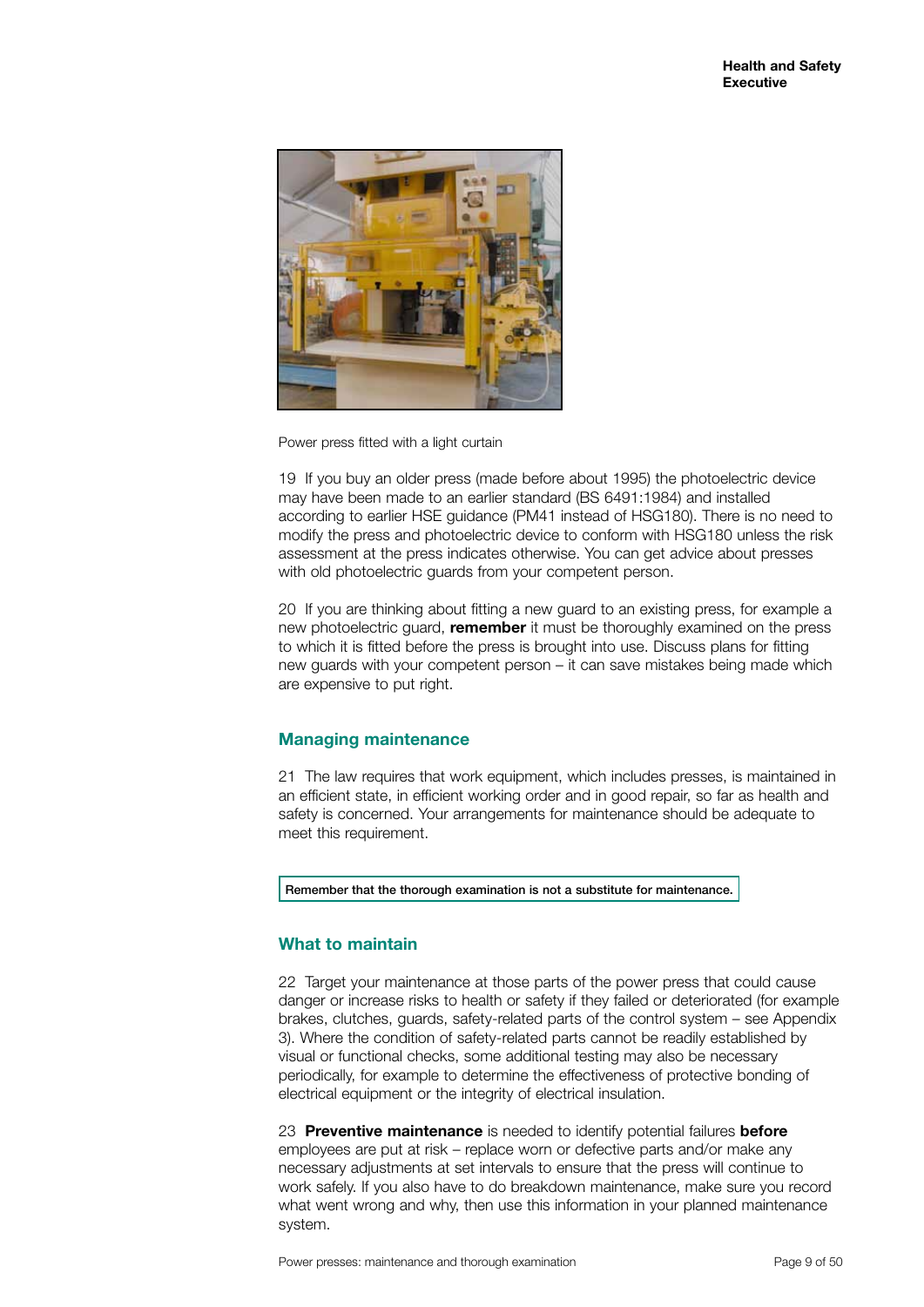

Power press fitted with a light curtain

19 If you buy an older press (made before about 1995) the photoelectric device may have been made to an earlier standard (BS 6491:1984) and installed according to earlier HSE guidance (PM41 instead of HSG180). There is no need to modify the press and photoelectric device to conform with HSG180 unless the risk assessment at the press indicates otherwise. You can get advice about presses with old photoelectric guards from your competent person.

20 If you are thinking about fitting a new guard to an existing press, for example a new photoelectric guard, **remember** it must be thoroughly examined on the press to which it is fitted before the press is brought into use. Discuss plans for fitting new guards with your competent person – it can save mistakes being made which are expensive to put right.

### **Managing maintenance**

21 The law requires that work equipment, which includes presses, is maintained in an efficient state, in efficient working order and in good repair, so far as health and safety is concerned. Your arrangements for maintenance should be adequate to meet this requirement.

Remember that the thorough examination is not a substitute for maintenance.

# **What to maintain**

22 Target your maintenance at those parts of the power press that could cause danger or increase risks to health or safety if they failed or deteriorated (for example brakes, clutches, guards, safety-related parts of the control system – see Appendix 3). Where the condition of safety-related parts cannot be readily established by visual or functional checks, some additional testing may also be necessary periodically, for example to determine the effectiveness of protective bonding of electrical equipment or the integrity of electrical insulation.

23 **Preventive maintenance** is needed to identify potential failures **before** employees are put at risk – replace worn or defective parts and/or make any necessary adjustments at set intervals to ensure that the press will continue to work safely. If you also have to do breakdown maintenance, make sure you record what went wrong and why, then use this information in your planned maintenance system.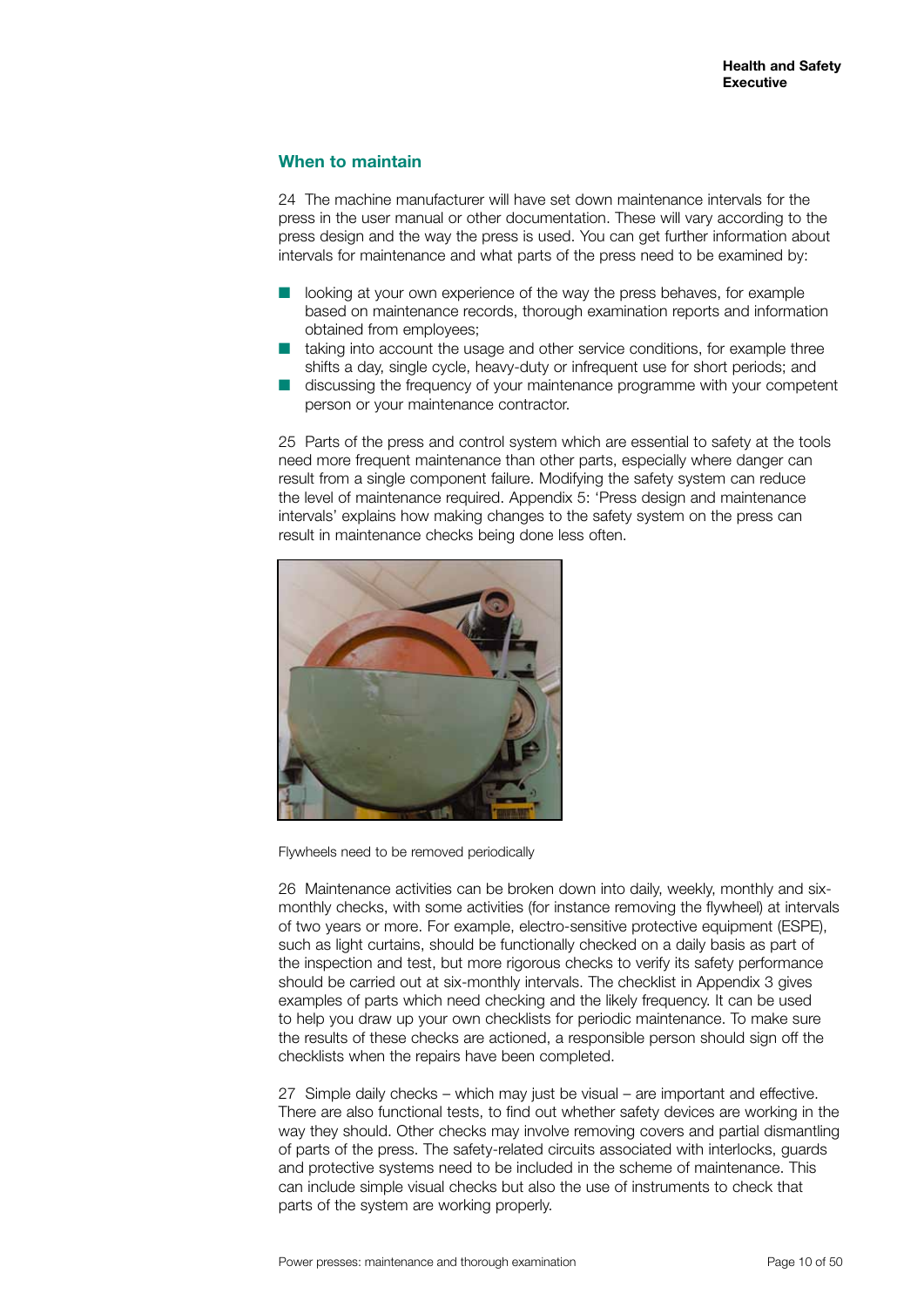### **When to maintain**

24 The machine manufacturer will have set down maintenance intervals for the press in the user manual or other documentation. These will vary according to the press design and the way the press is used. You can get further information about intervals for maintenance and what parts of the press need to be examined by:

- looking at your own experience of the way the press behaves, for example based on maintenance records, thorough examination reports and information obtained from employees;
- $\blacksquare$  taking into account the usage and other service conditions, for example three shifts a day, single cycle, heavy-duty or infrequent use for short periods; and
- discussing the frequency of your maintenance programme with your competent person or your maintenance contractor.

25 Parts of the press and control system which are essential to safety at the tools need more frequent maintenance than other parts, especially where danger can result from a single component failure. Modifying the safety system can reduce the level of maintenance required. Appendix 5: 'Press design and maintenance intervals' explains how making changes to the safety system on the press can result in maintenance checks being done less often.



Flywheels need to be removed periodically

26 Maintenance activities can be broken down into daily, weekly, monthly and sixmonthly checks, with some activities (for instance removing the flywheel) at intervals of two years or more. For example, electro-sensitive protective equipment (ESPE), such as light curtains, should be functionally checked on a daily basis as part of the inspection and test, but more rigorous checks to verify its safety performance should be carried out at six-monthly intervals. The checklist in Appendix 3 gives examples of parts which need checking and the likely frequency. It can be used to help you draw up your own checklists for periodic maintenance. To make sure the results of these checks are actioned, a responsible person should sign off the checklists when the repairs have been completed.

27 Simple daily checks – which may just be visual – are important and effective. There are also functional tests, to find out whether safety devices are working in the way they should. Other checks may involve removing covers and partial dismantling of parts of the press. The safety-related circuits associated with interlocks, guards and protective systems need to be included in the scheme of maintenance. This can include simple visual checks but also the use of instruments to check that parts of the system are working properly.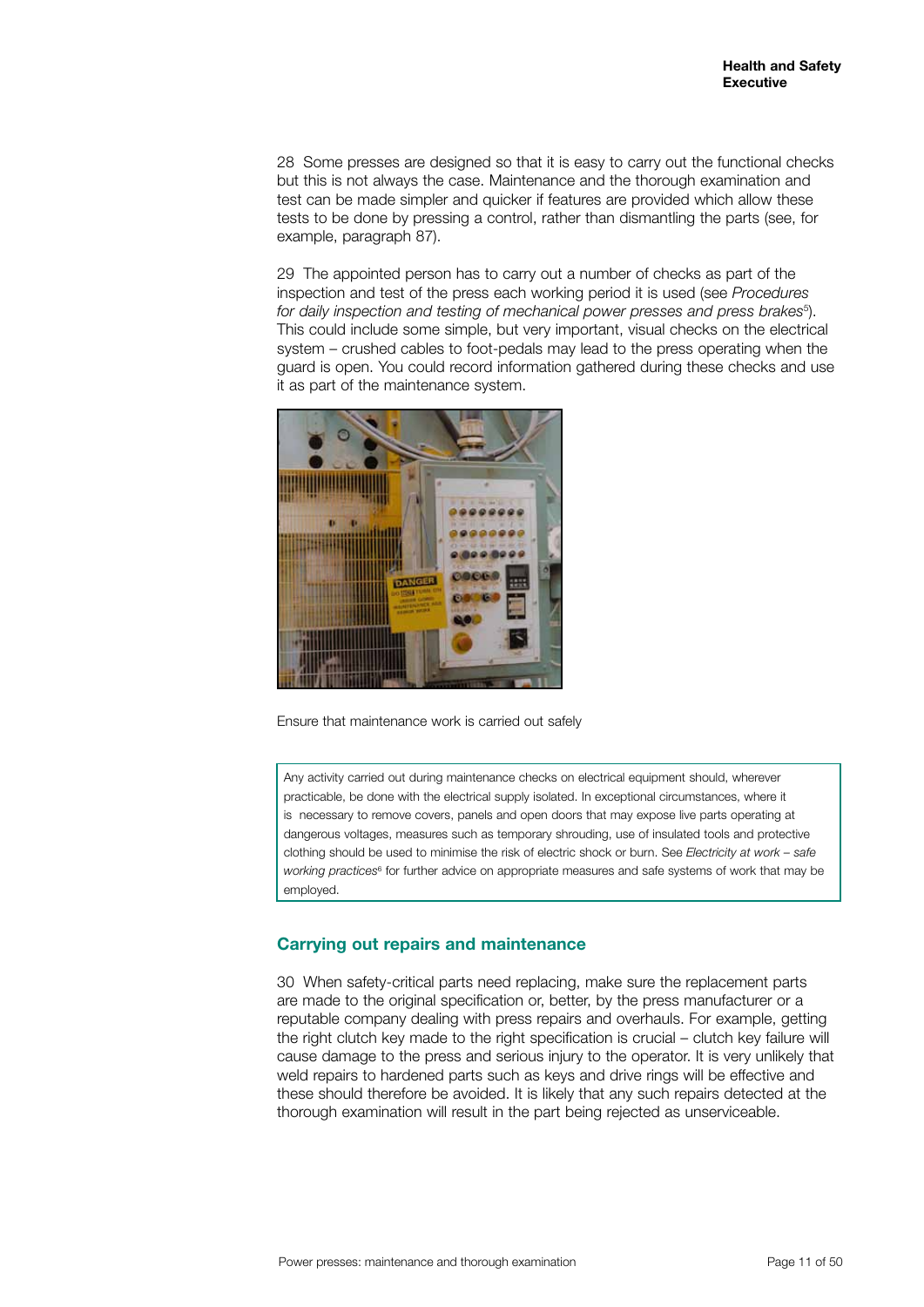28 Some presses are designed so that it is easy to carry out the functional checks but this is not always the case. Maintenance and the thorough examination and test can be made simpler and quicker if features are provided which allow these tests to be done by pressing a control, rather than dismantling the parts (see, for example, paragraph 87).

29 The appointed person has to carry out a number of checks as part of the inspection and test of the press each working period it is used (see *Procedures*  for daily inspection and testing of mechanical power presses and press brakes<sup>5</sup>). This could include some simple, but very important, visual checks on the electrical system – crushed cables to foot-pedals may lead to the press operating when the guard is open. You could record information gathered during these checks and use it as part of the maintenance system.



Ensure that maintenance work is carried out safely

Any activity carried out during maintenance checks on electrical equipment should, wherever practicable, be done with the electrical supply isolated. In exceptional circumstances, where it is necessary to remove covers, panels and open doors that may expose live parts operating at dangerous voltages, measures such as temporary shrouding, use of insulated tools and protective clothing should be used to minimise the risk of electric shock or burn. See *Electricity at work – safe*  working practices<sup>6</sup> for further advice on appropriate measures and safe systems of work that may be employed.

# **Carrying out repairs and maintenance**

30 When safety-critical parts need replacing, make sure the replacement parts are made to the original specification or, better, by the press manufacturer or a reputable company dealing with press repairs and overhauls. For example, getting the right clutch key made to the right specification is crucial – clutch key failure will cause damage to the press and serious injury to the operator. It is very unlikely that weld repairs to hardened parts such as keys and drive rings will be effective and these should therefore be avoided. It is likely that any such repairs detected at the thorough examination will result in the part being rejected as unserviceable.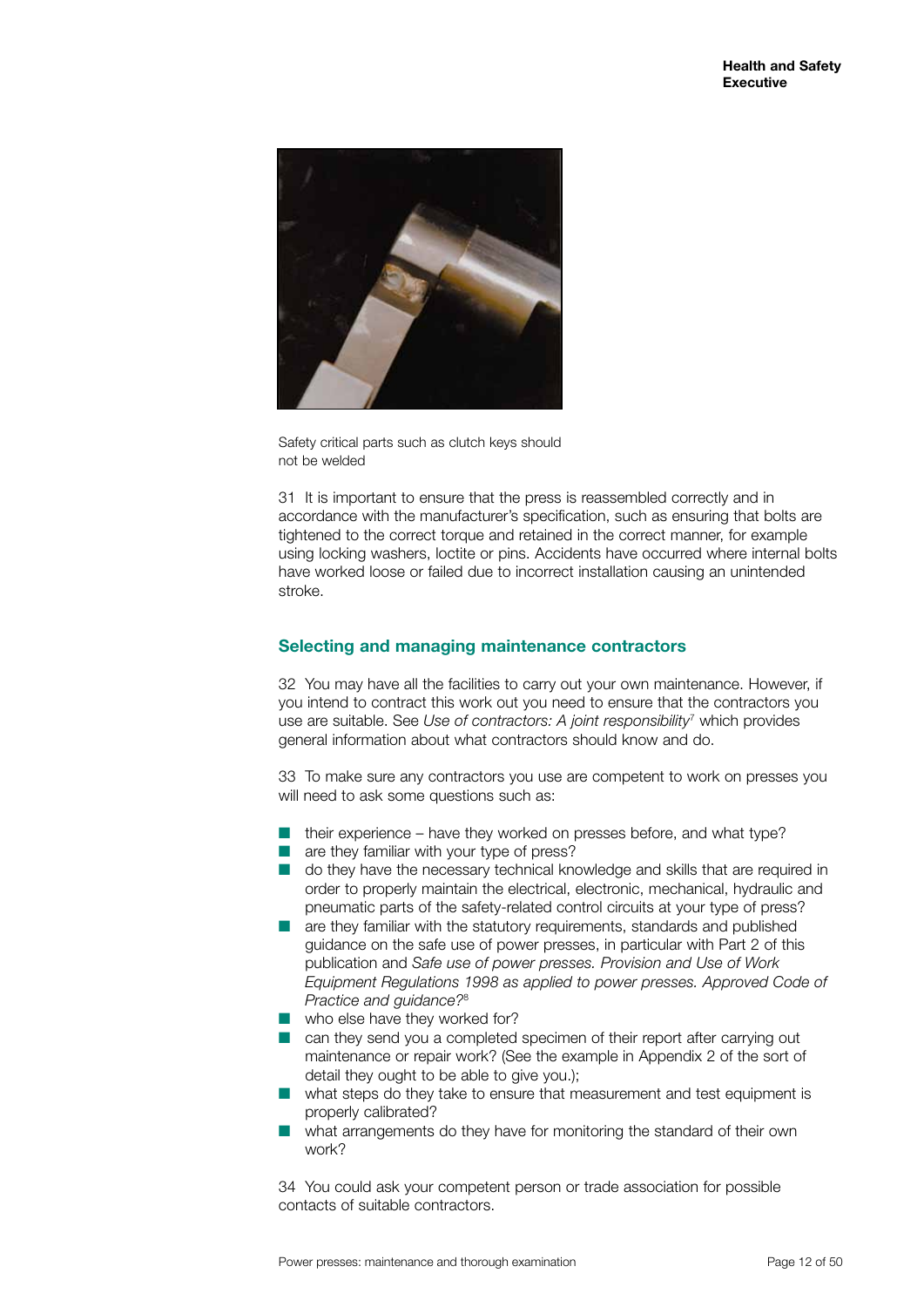

Safety critical parts such as clutch keys should not be welded

31 It is important to ensure that the press is reassembled correctly and in accordance with the manufacturer's specification, such as ensuring that bolts are tightened to the correct torque and retained in the correct manner, for example using locking washers, loctite or pins. Accidents have occurred where internal bolts have worked loose or failed due to incorrect installation causing an unintended stroke.

# **Selecting and managing maintenance contractors**

32 You may have all the facilities to carry out your own maintenance. However, if you intend to contract this work out you need to ensure that the contractors you use are suitable. See Use of contractors: A joint responsibility<sup>7</sup> which provides general information about what contractors should know and do.

33 To make sure any contractors you use are competent to work on presses you will need to ask some questions such as:

- $\blacksquare$  their experience have they worked on presses before, and what type?
- $\blacksquare$  are they familiar with your type of press?
- n do they have the necessary technical knowledge and skills that are required in order to properly maintain the electrical, electronic, mechanical, hydraulic and pneumatic parts of the safety-related control circuits at your type of press?
- $\blacksquare$  are they familiar with the statutory requirements, standards and published guidance on the safe use of power presses, in particular with Part 2 of this publication and *Safe use of power presses. Provision and Use of Work Equipment Regulations 1998 as applied to power presses. Approved Code of Practice and guidance?*<sup>8</sup>
- $\blacksquare$  who else have they worked for?
- $\blacksquare$  can they send you a completed specimen of their report after carrying out maintenance or repair work? (See the example in Appendix 2 of the sort of detail they ought to be able to give you.);
- n what steps do they take to ensure that measurement and test equipment is properly calibrated?
- what arrangements do they have for monitoring the standard of their own work?

34 You could ask your competent person or trade association for possible contacts of suitable contractors.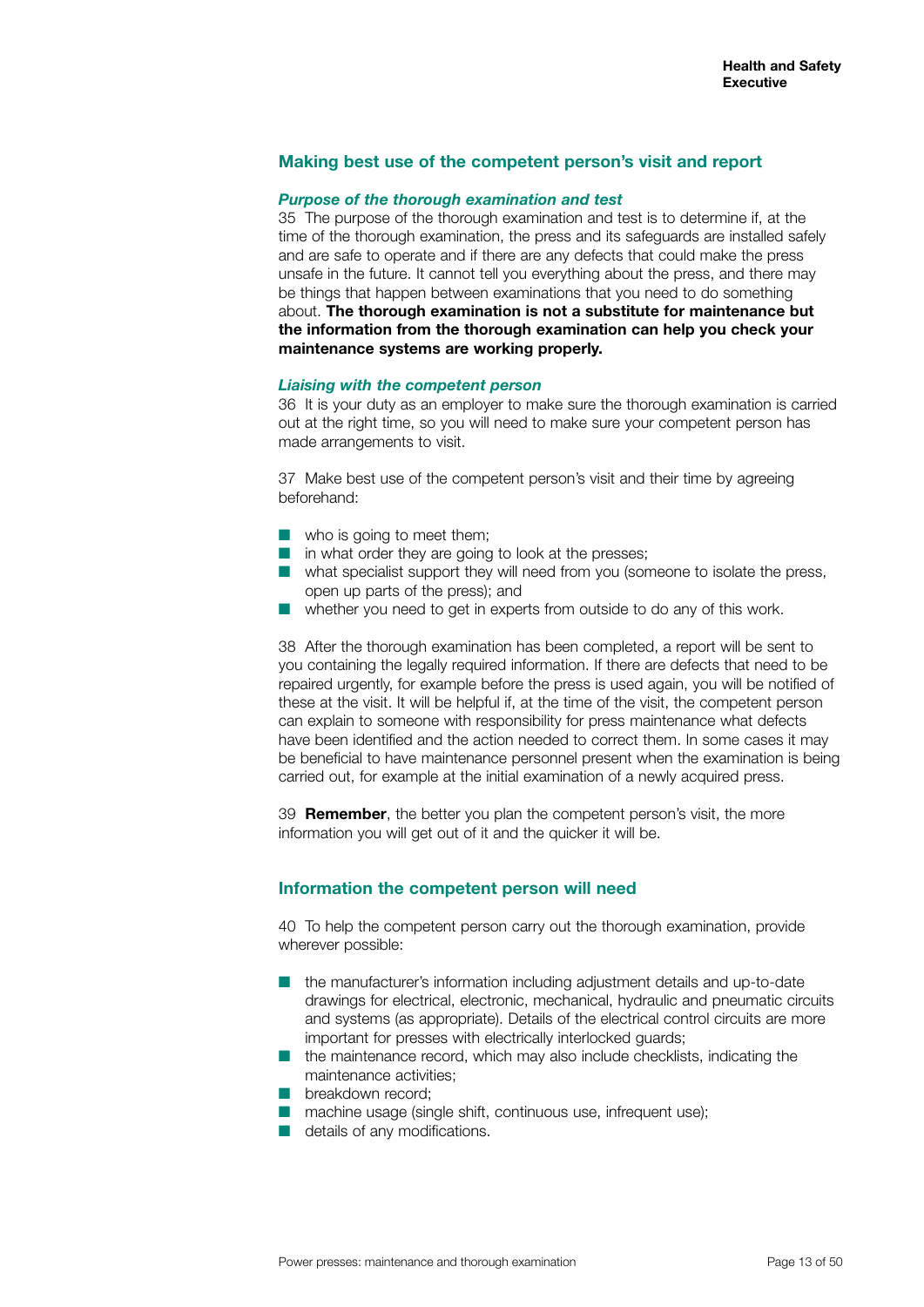#### **Making best use of the competent person's visit and report**

#### *Purpose of the thorough examination and test*

35 The purpose of the thorough examination and test is to determine if, at the time of the thorough examination, the press and its safeguards are installed safely and are safe to operate and if there are any defects that could make the press unsafe in the future. It cannot tell you everything about the press, and there may be things that happen between examinations that you need to do something about. **The thorough examination is not a substitute for maintenance but the information from the thorough examination can help you check your maintenance systems are working properly.**

#### *Liaising with the competent person*

36 It is your duty as an employer to make sure the thorough examination is carried out at the right time, so you will need to make sure your competent person has made arrangements to visit.

37 Make best use of the competent person's visit and their time by agreeing beforehand:

- $\blacksquare$  who is going to meet them;
- $\blacksquare$  in what order they are going to look at the presses;
- $\blacksquare$  what specialist support they will need from you (someone to isolate the press, open up parts of the press); and
- whether you need to get in experts from outside to do any of this work.

38 After the thorough examination has been completed, a report will be sent to you containing the legally required information. If there are defects that need to be repaired urgently, for example before the press is used again, you will be notified of these at the visit. It will be helpful if, at the time of the visit, the competent person can explain to someone with responsibility for press maintenance what defects have been identified and the action needed to correct them. In some cases it may be beneficial to have maintenance personnel present when the examination is being carried out, for example at the initial examination of a newly acquired press.

39 **Remember**, the better you plan the competent person's visit, the more information you will get out of it and the quicker it will be.

#### **Information the competent person will need**

40 To help the competent person carry out the thorough examination, provide wherever possible:

- $\blacksquare$  the manufacturer's information including adjustment details and up-to-date drawings for electrical, electronic, mechanical, hydraulic and pneumatic circuits and systems (as appropriate). Details of the electrical control circuits are more important for presses with electrically interlocked guards;
- $\blacksquare$  the maintenance record, which may also include checklists, indicating the maintenance activities;
- **n** breakdown record:
- $\blacksquare$  machine usage (single shift, continuous use, infrequent use);
- $\blacksquare$  details of any modifications.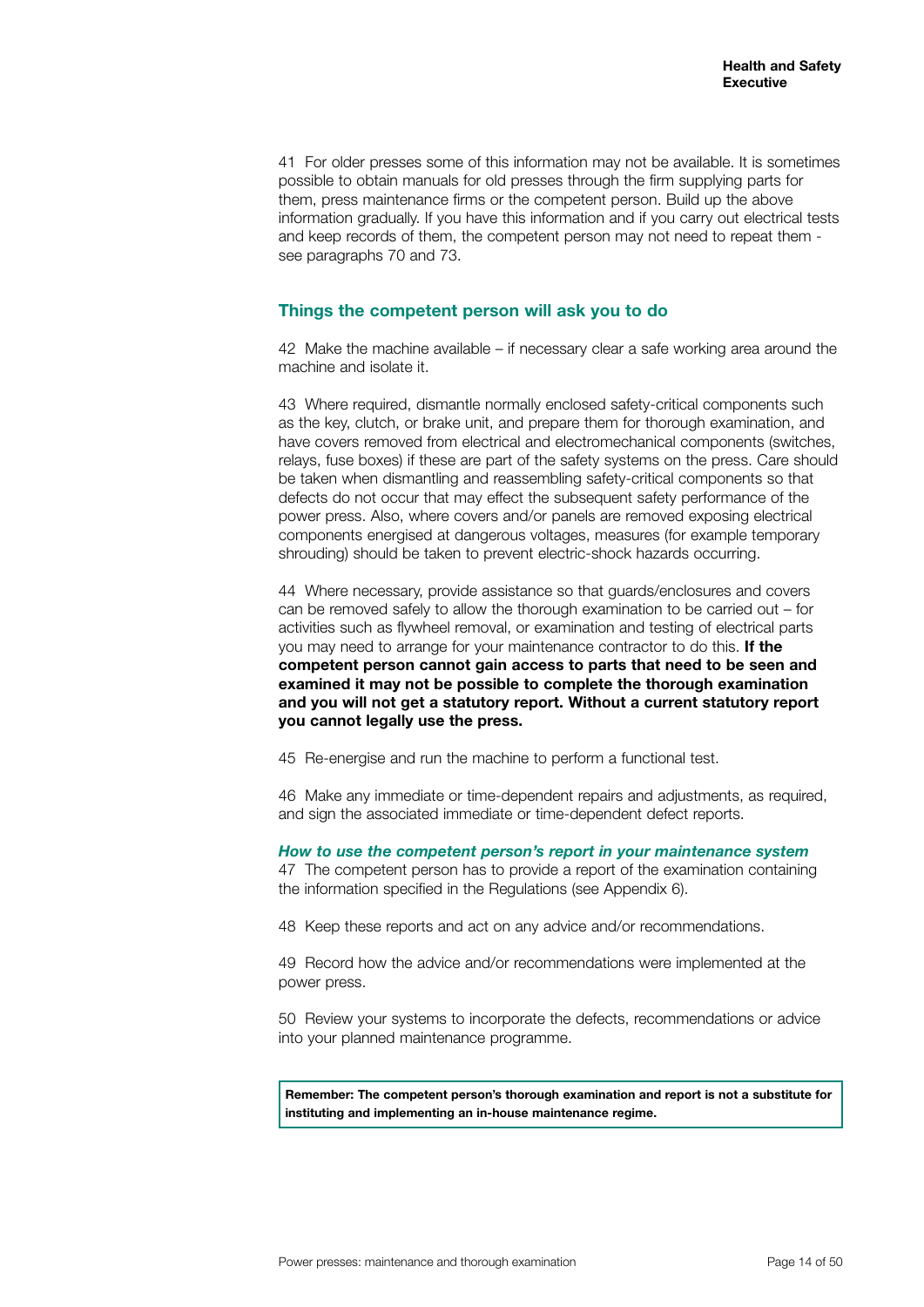41 For older presses some of this information may not be available. It is sometimes possible to obtain manuals for old presses through the firm supplying parts for them, press maintenance firms or the competent person. Build up the above information gradually. If you have this information and if you carry out electrical tests and keep records of them, the competent person may not need to repeat them see paragraphs 70 and 73.

#### **Things the competent person will ask you to do**

42 Make the machine available – if necessary clear a safe working area around the machine and isolate it.

43 Where required, dismantle normally enclosed safety-critical components such as the key, clutch, or brake unit, and prepare them for thorough examination, and have covers removed from electrical and electromechanical components (switches, relays, fuse boxes) if these are part of the safety systems on the press. Care should be taken when dismantling and reassembling safety-critical components so that defects do not occur that may effect the subsequent safety performance of the power press. Also, where covers and/or panels are removed exposing electrical components energised at dangerous voltages, measures (for example temporary shrouding) should be taken to prevent electric-shock hazards occurring.

44 Where necessary, provide assistance so that guards/enclosures and covers can be removed safely to allow the thorough examination to be carried out – for activities such as flywheel removal, or examination and testing of electrical parts you may need to arrange for your maintenance contractor to do this. **If the competent person cannot gain access to parts that need to be seen and examined it may not be possible to complete the thorough examination and you will not get a statutory report. Without a current statutory report you cannot legally use the press.**

45 Re-energise and run the machine to perform a functional test.

46 Make any immediate or time-dependent repairs and adjustments, as required, and sign the associated immediate or time-dependent defect reports.

#### *How to use the competent person's report in your maintenance system*

47 The competent person has to provide a report of the examination containing the information specified in the Regulations (see Appendix 6).

48 Keep these reports and act on any advice and/or recommendations.

49 Record how the advice and/or recommendations were implemented at the power press.

50 Review your systems to incorporate the defects, recommendations or advice into your planned maintenance programme.

**Remember: The competent person's thorough examination and report is not a substitute for instituting and implementing an in-house maintenance regime.**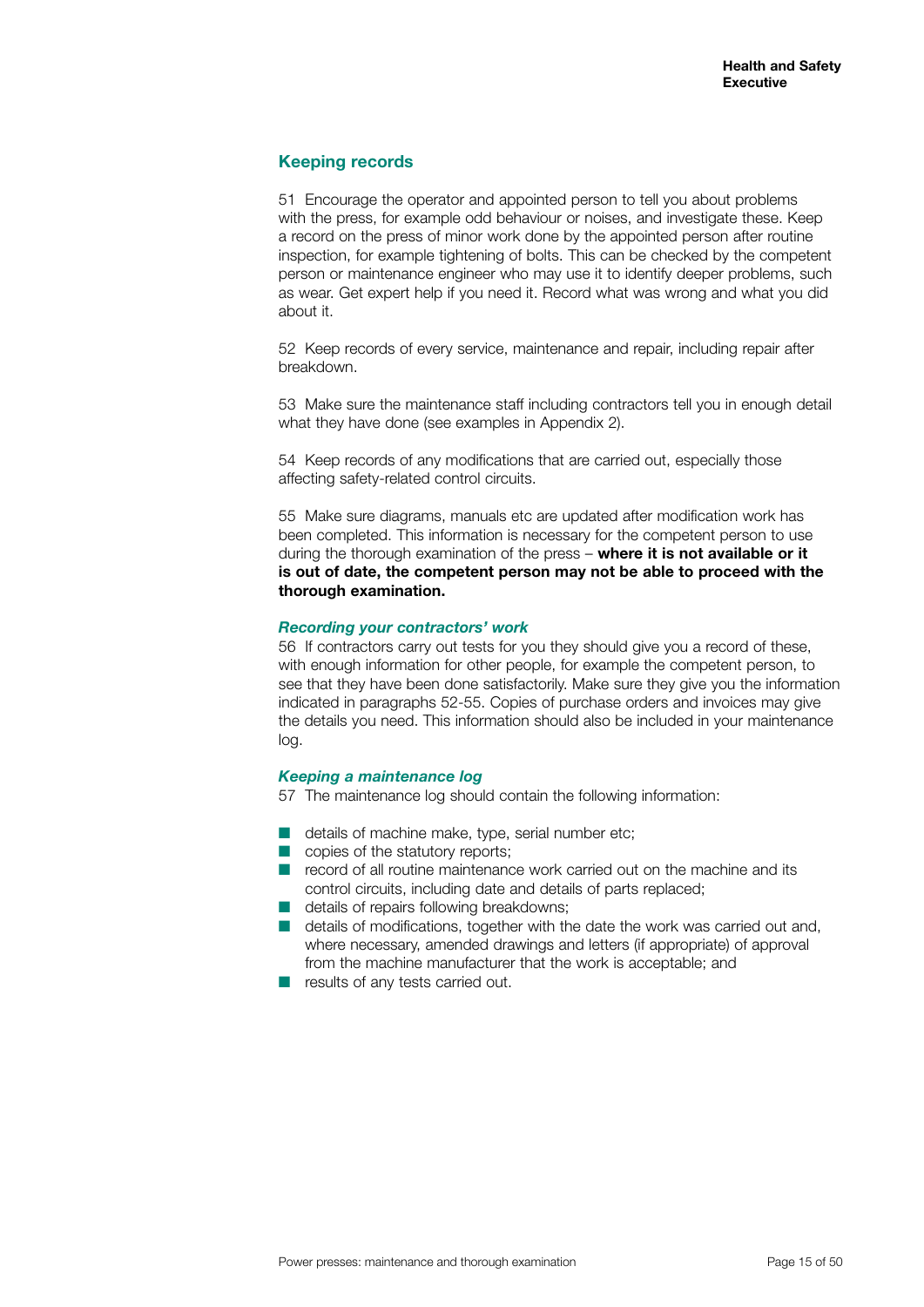### **Keeping records**

51 Encourage the operator and appointed person to tell you about problems with the press, for example odd behaviour or noises, and investigate these. Keep a record on the press of minor work done by the appointed person after routine inspection, for example tightening of bolts. This can be checked by the competent person or maintenance engineer who may use it to identify deeper problems, such as wear. Get expert help if you need it. Record what was wrong and what you did about it.

52 Keep records of every service, maintenance and repair, including repair after breakdown.

53 Make sure the maintenance staff including contractors tell you in enough detail what they have done (see examples in Appendix 2).

54 Keep records of any modifications that are carried out, especially those affecting safety-related control circuits.

55 Make sure diagrams, manuals etc are updated after modification work has been completed. This information is necessary for the competent person to use during the thorough examination of the press – **where it is not available or it is out of date, the competent person may not be able to proceed with the thorough examination.**

#### *Recording your contractors' work*

56 If contractors carry out tests for you they should give you a record of these, with enough information for other people, for example the competent person, to see that they have been done satisfactorily. Make sure they give you the information indicated in paragraphs 52-55. Copies of purchase orders and invoices may give the details you need. This information should also be included in your maintenance log.

#### *Keeping a maintenance log*

57 The maintenance log should contain the following information:

- $\blacksquare$  details of machine make, type, serial number etc;
- $\Box$  copies of the statutory reports;
- $\blacksquare$  record of all routine maintenance work carried out on the machine and its control circuits, including date and details of parts replaced;
- $\blacksquare$  details of repairs following breakdowns;
- $\blacksquare$  details of modifications, together with the date the work was carried out and, where necessary, amended drawings and letters (if appropriate) of approval from the machine manufacturer that the work is acceptable; and
- $\blacksquare$  results of any tests carried out.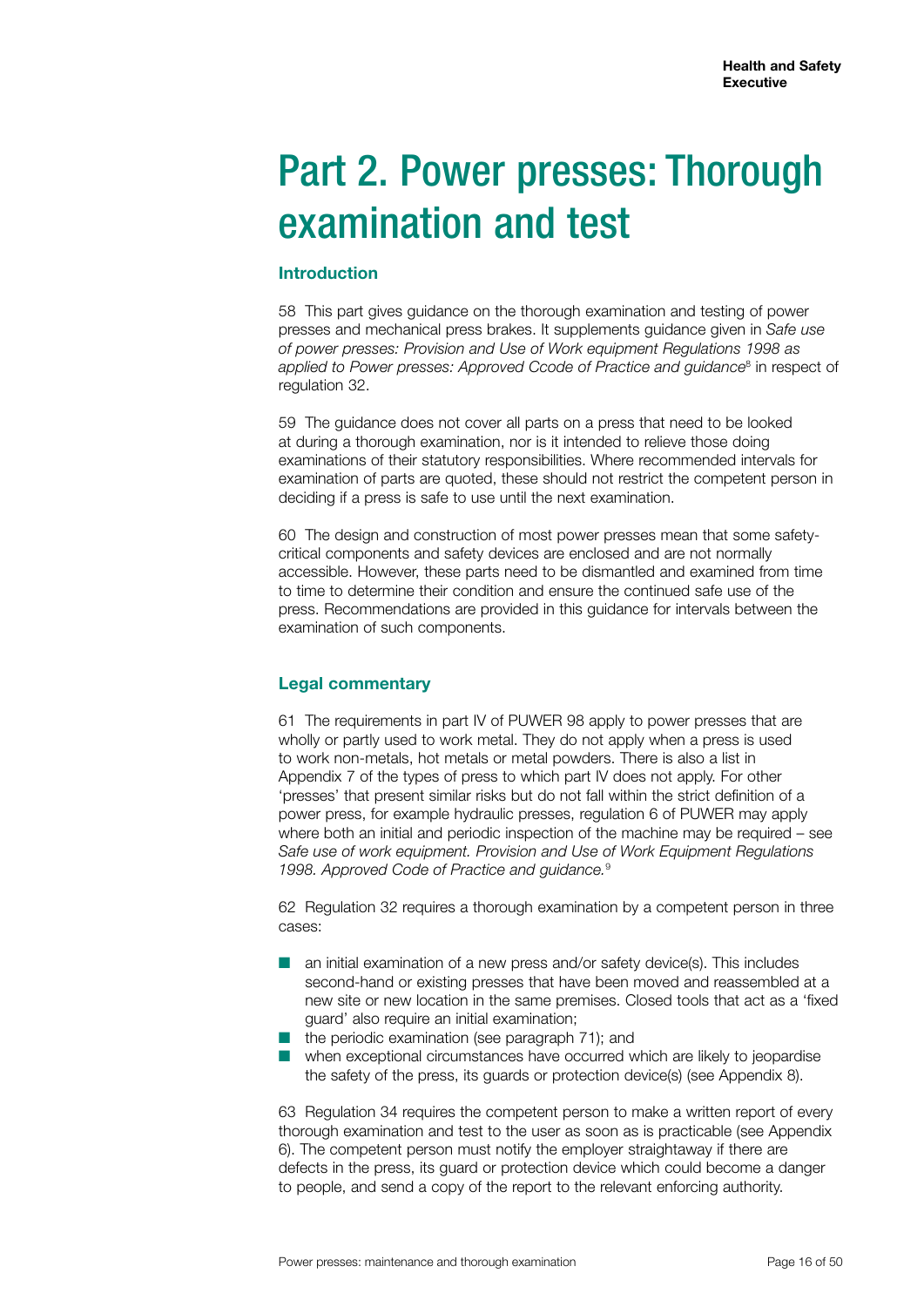# Part 2. Power presses: Thorough examination and test

#### **Introduction**

58 This part gives guidance on the thorough examination and testing of power presses and mechanical press brakes. It supplements guidance given in *Safe use of power presses: Provision and Use of Work equipment Regulations 1998 as applied to Power presses: Approved Ccode of Practice and guidance*<sup>8</sup> in respect of regulation 32.

59 The guidance does not cover all parts on a press that need to be looked at during a thorough examination, nor is it intended to relieve those doing examinations of their statutory responsibilities. Where recommended intervals for examination of parts are quoted, these should not restrict the competent person in deciding if a press is safe to use until the next examination.

60 The design and construction of most power presses mean that some safetycritical components and safety devices are enclosed and are not normally accessible. However, these parts need to be dismantled and examined from time to time to determine their condition and ensure the continued safe use of the press. Recommendations are provided in this guidance for intervals between the examination of such components.

### **Legal commentary**

61 The requirements in part IV of PUWER 98 apply to power presses that are wholly or partly used to work metal. They do not apply when a press is used to work non-metals, hot metals or metal powders. There is also a list in Appendix 7 of the types of press to which part IV does not apply. For other 'presses' that present similar risks but do not fall within the strict definition of a power press, for example hydraulic presses, regulation 6 of PUWER may apply where both an initial and periodic inspection of the machine may be required – see *Safe use of work equipment. Provision and Use of Work Equipment Regulations 1998. Approved Code of Practice and guidance.*<sup>9</sup>

62 Regulation 32 requires a thorough examination by a competent person in three cases:

- $\blacksquare$  an initial examination of a new press and/or safety device(s). This includes second-hand or existing presses that have been moved and reassembled at a new site or new location in the same premises. Closed tools that act as a 'fixed guard' also require an initial examination;
- $\blacksquare$  the periodic examination (see paragraph 71); and
- n when exceptional circumstances have occurred which are likely to jeopardise the safety of the press, its guards or protection device(s) (see Appendix 8).

63 Regulation 34 requires the competent person to make a written report of every thorough examination and test to the user as soon as is practicable (see Appendix 6). The competent person must notify the employer straightaway if there are defects in the press, its guard or protection device which could become a danger to people, and send a copy of the report to the relevant enforcing authority.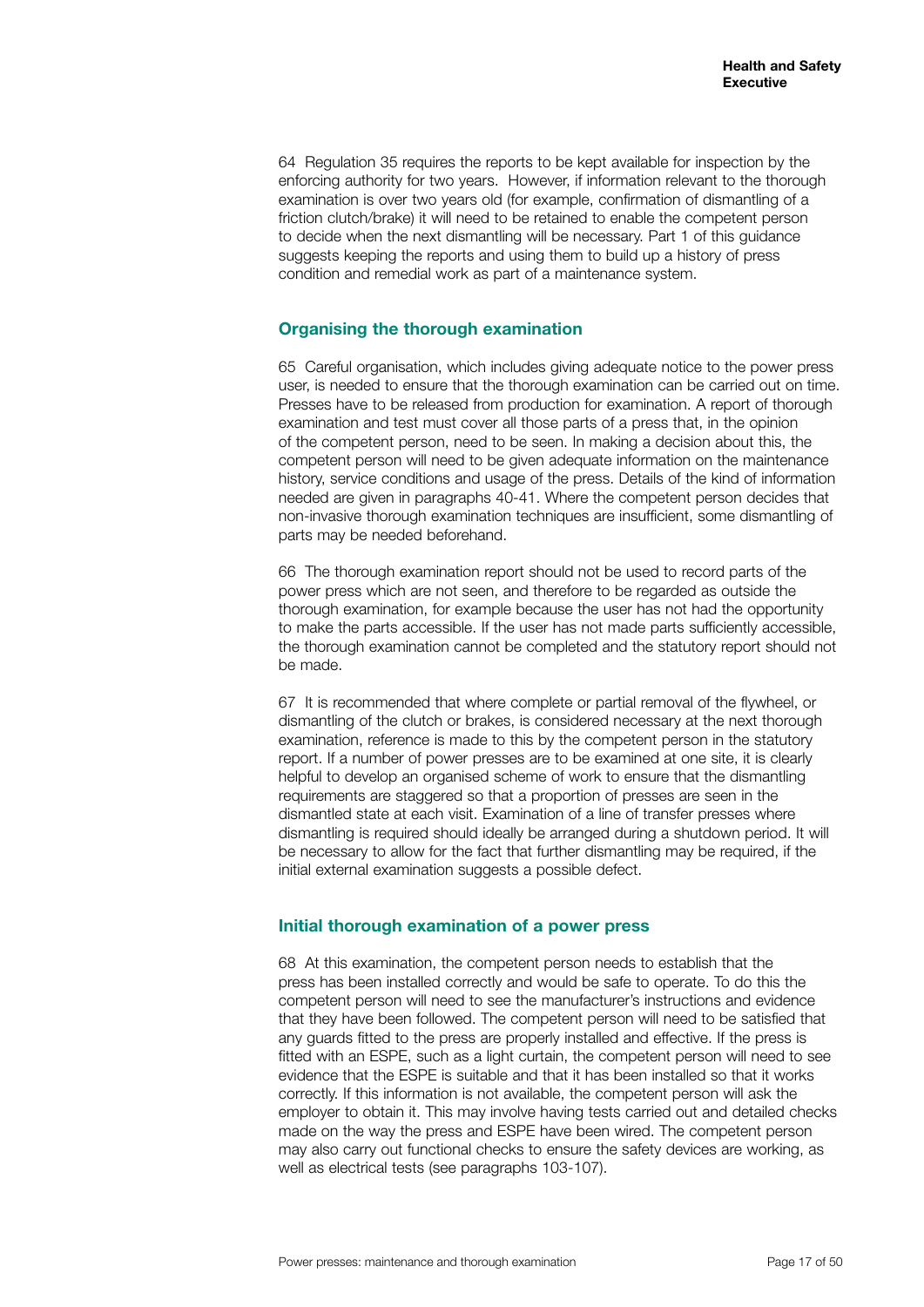64 Regulation 35 requires the reports to be kept available for inspection by the enforcing authority for two years. However, if information relevant to the thorough examination is over two years old (for example, confirmation of dismantling of a friction clutch/brake) it will need to be retained to enable the competent person to decide when the next dismantling will be necessary. Part 1 of this guidance suggests keeping the reports and using them to build up a history of press condition and remedial work as part of a maintenance system.

### **Organising the thorough examination**

65 Careful organisation, which includes giving adequate notice to the power press user, is needed to ensure that the thorough examination can be carried out on time. Presses have to be released from production for examination. A report of thorough examination and test must cover all those parts of a press that, in the opinion of the competent person, need to be seen. In making a decision about this, the competent person will need to be given adequate information on the maintenance history, service conditions and usage of the press. Details of the kind of information needed are given in paragraphs 40-41. Where the competent person decides that non-invasive thorough examination techniques are insufficient, some dismantling of parts may be needed beforehand.

66 The thorough examination report should not be used to record parts of the power press which are not seen, and therefore to be regarded as outside the thorough examination, for example because the user has not had the opportunity to make the parts accessible. If the user has not made parts sufficiently accessible, the thorough examination cannot be completed and the statutory report should not be made.

67 It is recommended that where complete or partial removal of the flywheel, or dismantling of the clutch or brakes, is considered necessary at the next thorough examination, reference is made to this by the competent person in the statutory report. If a number of power presses are to be examined at one site, it is clearly helpful to develop an organised scheme of work to ensure that the dismantling requirements are staggered so that a proportion of presses are seen in the dismantled state at each visit. Examination of a line of transfer presses where dismantling is required should ideally be arranged during a shutdown period. It will be necessary to allow for the fact that further dismantling may be required, if the initial external examination suggests a possible defect.

### **Initial thorough examination of a power press**

68 At this examination, the competent person needs to establish that the press has been installed correctly and would be safe to operate. To do this the competent person will need to see the manufacturer's instructions and evidence that they have been followed. The competent person will need to be satisfied that any guards fitted to the press are properly installed and effective. If the press is fitted with an ESPE, such as a light curtain, the competent person will need to see evidence that the ESPE is suitable and that it has been installed so that it works correctly. If this information is not available, the competent person will ask the employer to obtain it. This may involve having tests carried out and detailed checks made on the way the press and ESPE have been wired. The competent person may also carry out functional checks to ensure the safety devices are working, as well as electrical tests (see paragraphs 103-107).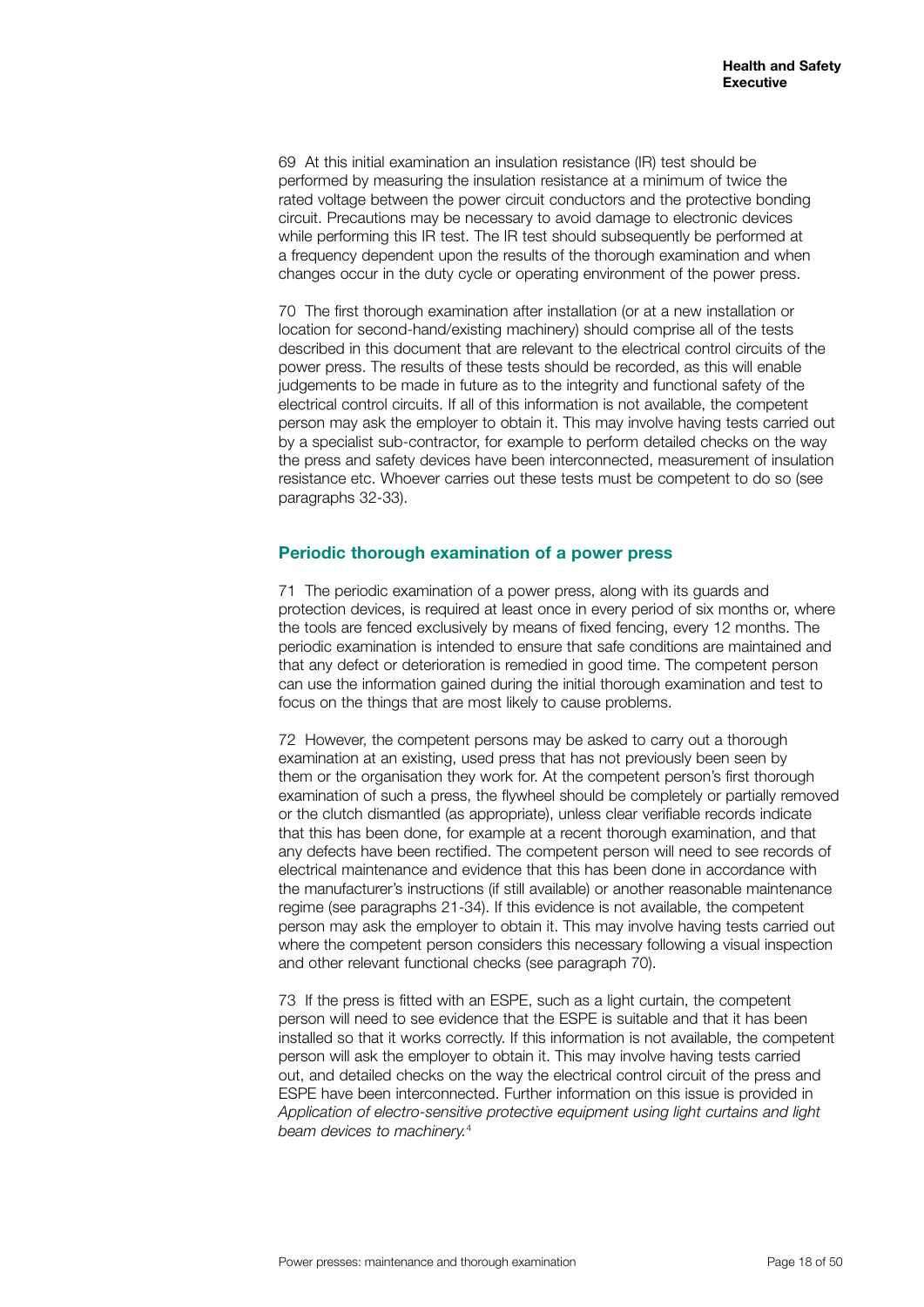69 At this initial examination an insulation resistance (IR) test should be performed by measuring the insulation resistance at a minimum of twice the rated voltage between the power circuit conductors and the protective bonding circuit. Precautions may be necessary to avoid damage to electronic devices while performing this IR test. The IR test should subsequently be performed at a frequency dependent upon the results of the thorough examination and when changes occur in the duty cycle or operating environment of the power press.

70 The first thorough examination after installation (or at a new installation or location for second-hand/existing machinery) should comprise all of the tests described in this document that are relevant to the electrical control circuits of the power press. The results of these tests should be recorded, as this will enable judgements to be made in future as to the integrity and functional safety of the electrical control circuits. If all of this information is not available, the competent person may ask the employer to obtain it. This may involve having tests carried out by a specialist sub-contractor, for example to perform detailed checks on the way the press and safety devices have been interconnected, measurement of insulation resistance etc. Whoever carries out these tests must be competent to do so (see paragraphs 32-33).

### **Periodic thorough examination of a power press**

71 The periodic examination of a power press, along with its guards and protection devices, is required at least once in every period of six months or, where the tools are fenced exclusively by means of fixed fencing, every 12 months. The periodic examination is intended to ensure that safe conditions are maintained and that any defect or deterioration is remedied in good time. The competent person can use the information gained during the initial thorough examination and test to focus on the things that are most likely to cause problems.

72 However, the competent persons may be asked to carry out a thorough examination at an existing, used press that has not previously been seen by them or the organisation they work for. At the competent person's first thorough examination of such a press, the flywheel should be completely or partially removed or the clutch dismantled (as appropriate), unless clear verifiable records indicate that this has been done, for example at a recent thorough examination, and that any defects have been rectified. The competent person will need to see records of electrical maintenance and evidence that this has been done in accordance with the manufacturer's instructions (if still available) or another reasonable maintenance regime (see paragraphs 21-34). If this evidence is not available, the competent person may ask the employer to obtain it. This may involve having tests carried out where the competent person considers this necessary following a visual inspection and other relevant functional checks (see paragraph 70).

73 If the press is fitted with an ESPE, such as a light curtain, the competent person will need to see evidence that the ESPE is suitable and that it has been installed so that it works correctly. If this information is not available, the competent person will ask the employer to obtain it. This may involve having tests carried out, and detailed checks on the way the electrical control circuit of the press and ESPE have been interconnected. Further information on this issue is provided in *Application of electro-sensitive protective equipment using light curtains and light beam devices to machinery.*4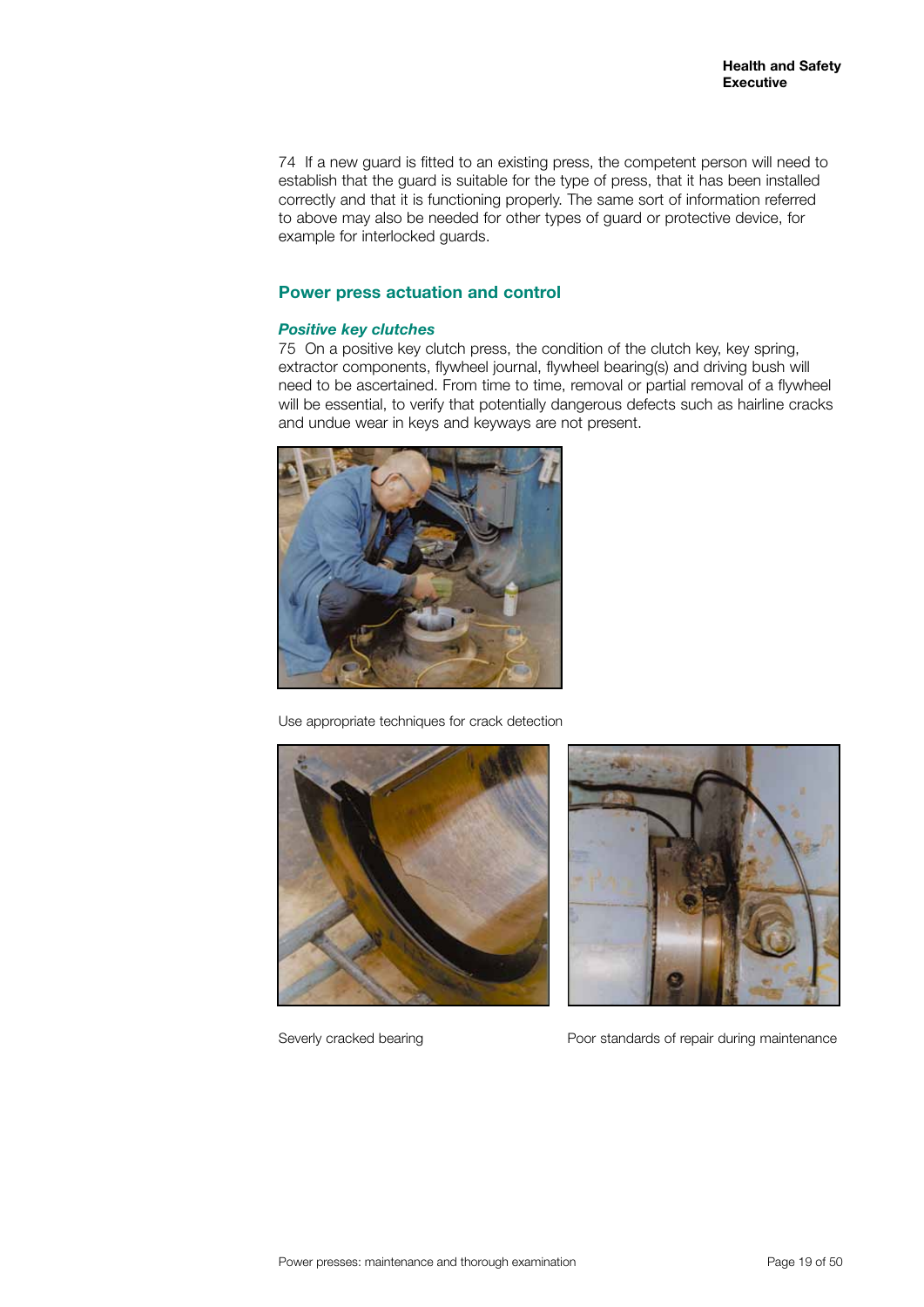74 If a new guard is fitted to an existing press, the competent person will need to establish that the guard is suitable for the type of press, that it has been installed correctly and that it is functioning properly. The same sort of information referred to above may also be needed for other types of guard or protective device, for example for interlocked guards.

#### **Power press actuation and control**

#### *Positive key clutches*

75 On a positive key clutch press, the condition of the clutch key, key spring, extractor components, flywheel journal, flywheel bearing(s) and driving bush will need to be ascertained. From time to time, removal or partial removal of a flywheel will be essential, to verify that potentially dangerous defects such as hairline cracks and undue wear in keys and keyways are not present.



Use appropriate techniques for crack detection





Severly cracked bearing extending Poor standards of repair during maintenance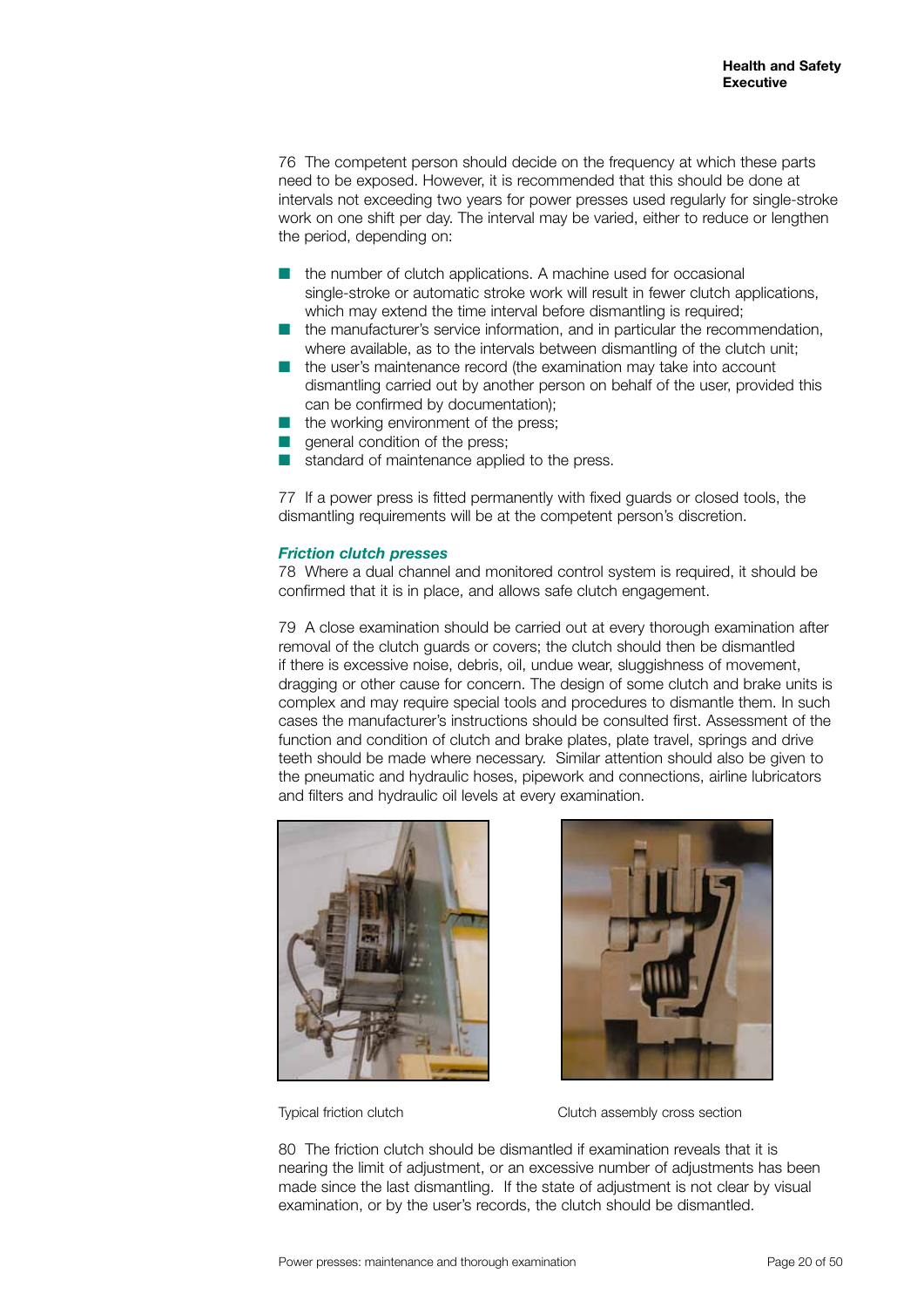76 The competent person should decide on the frequency at which these parts need to be exposed. However, it is recommended that this should be done at intervals not exceeding two years for power presses used regularly for single-stroke work on one shift per day. The interval may be varied, either to reduce or lengthen the period, depending on:

- the number of clutch applications. A machine used for occasional single-stroke or automatic stroke work will result in fewer clutch applications, which may extend the time interval before dismantling is required;
- $\blacksquare$  the manufacturer's service information, and in particular the recommendation, where available, as to the intervals between dismantling of the clutch unit;
- $\blacksquare$  the user's maintenance record (the examination may take into account dismantling carried out by another person on behalf of the user, provided this can be confirmed by documentation);
- the working environment of the press;
- $\blacksquare$  general condition of the press;
- standard of maintenance applied to the press.

77 If a power press is fitted permanently with fixed guards or closed tools, the dismantling requirements will be at the competent person's discretion.

#### *Friction clutch presses*

78 Where a dual channel and monitored control system is required, it should be confirmed that it is in place, and allows safe clutch engagement.

79 A close examination should be carried out at every thorough examination after removal of the clutch guards or covers; the clutch should then be dismantled if there is excessive noise, debris, oil, undue wear, sluggishness of movement, dragging or other cause for concern. The design of some clutch and brake units is complex and may require special tools and procedures to dismantle them. In such cases the manufacturer's instructions should be consulted first. Assessment of the function and condition of clutch and brake plates, plate travel, springs and drive teeth should be made where necessary. Similar attention should also be given to the pneumatic and hydraulic hoses, pipework and connections, airline lubricators and filters and hydraulic oil levels at every examination.





Typical friction clutch Clutch assembly cross section

80 The friction clutch should be dismantled if examination reveals that it is nearing the limit of adjustment, or an excessive number of adjustments has been made since the last dismantling. If the state of adjustment is not clear by visual examination, or by the user's records, the clutch should be dismantled.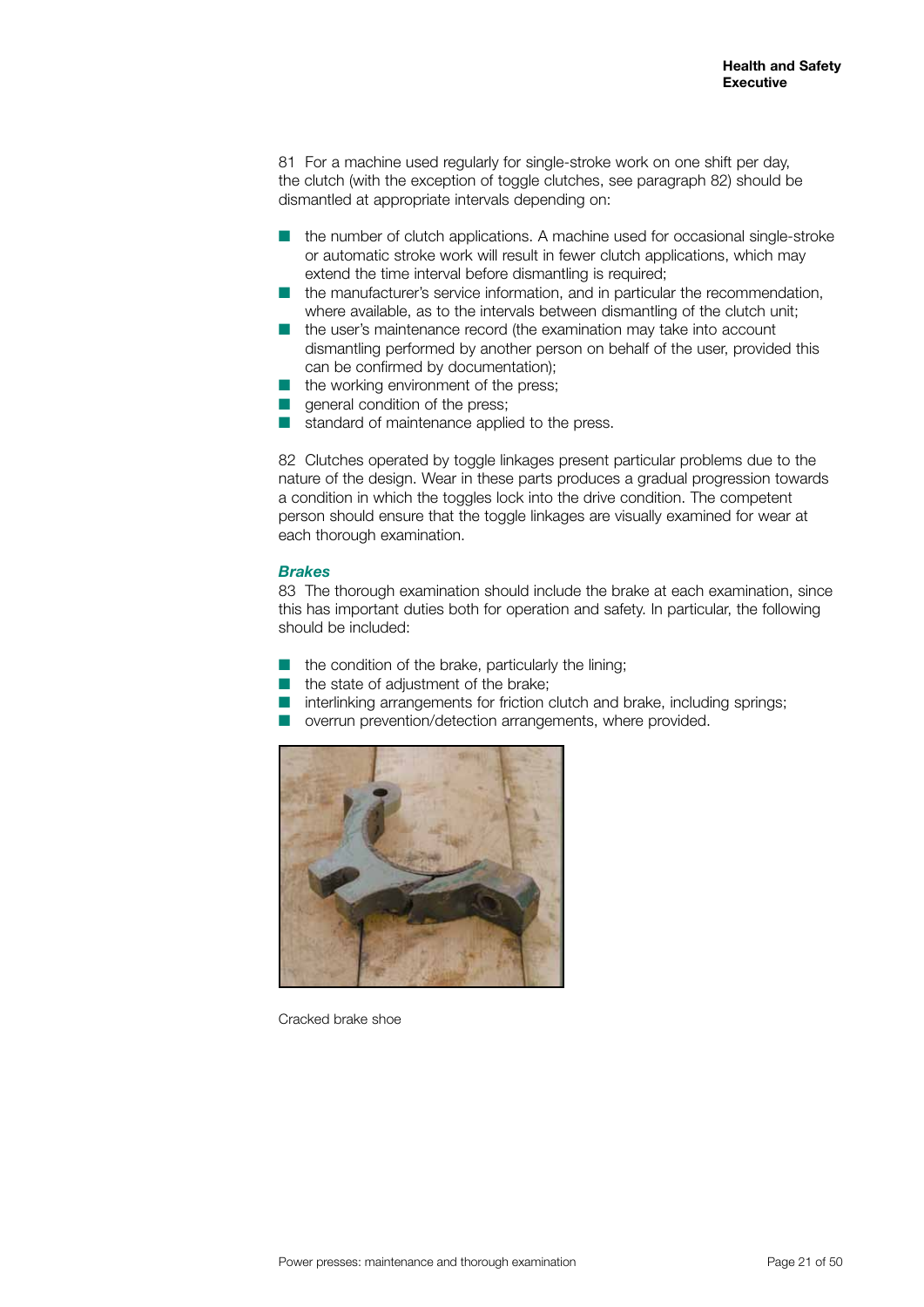81 For a machine used regularly for single-stroke work on one shift per day, the clutch (with the exception of toggle clutches, see paragraph 82) should be dismantled at appropriate intervals depending on:

- $\blacksquare$  the number of clutch applications. A machine used for occasional single-stroke or automatic stroke work will result in fewer clutch applications, which may extend the time interval before dismantling is required;
- $\blacksquare$  the manufacturer's service information, and in particular the recommendation, where available, as to the intervals between dismantling of the clutch unit;
- $\blacksquare$  the user's maintenance record (the examination may take into account dismantling performed by another person on behalf of the user, provided this can be confirmed by documentation);
- the working environment of the press;
- general condition of the press;
- standard of maintenance applied to the press.

82 Clutches operated by toggle linkages present particular problems due to the nature of the design. Wear in these parts produces a gradual progression towards a condition in which the toggles lock into the drive condition. The competent person should ensure that the toggle linkages are visually examined for wear at each thorough examination.

#### *Brakes*

83 The thorough examination should include the brake at each examination, since this has important duties both for operation and safety. In particular, the following should be included:

- the condition of the brake, particularly the lining;
- the state of adjustment of the brake;
- interlinking arrangements for friction clutch and brake, including springs;
- overrun prevention/detection arrangements, where provided.



Cracked brake shoe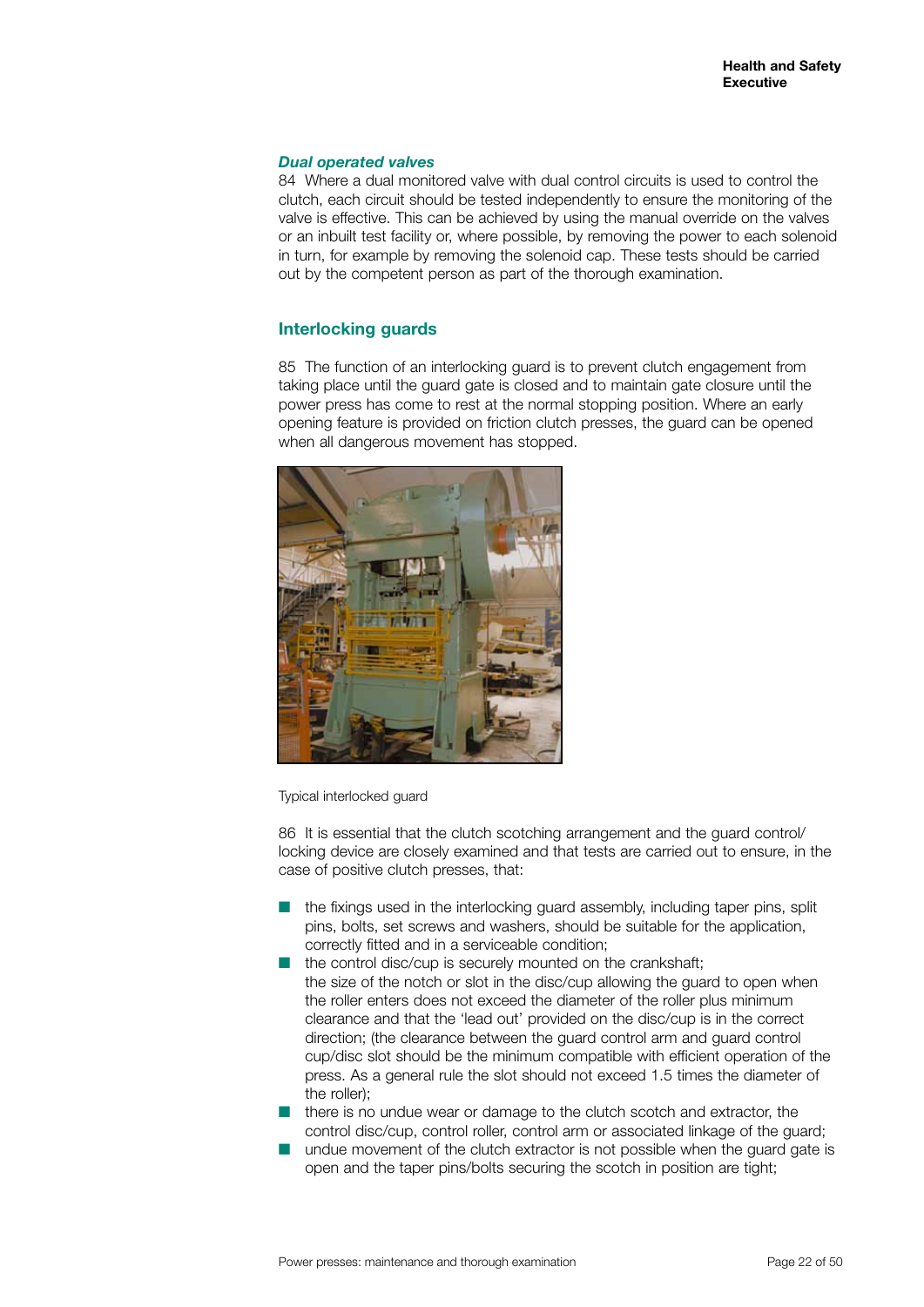#### *Dual operated valves*

84 Where a dual monitored valve with dual control circuits is used to control the clutch, each circuit should be tested independently to ensure the monitoring of the valve is effective. This can be achieved by using the manual override on the valves or an inbuilt test facility or, where possible, by removing the power to each solenoid in turn, for example by removing the solenoid cap. These tests should be carried out by the competent person as part of the thorough examination.

#### **Interlocking guards**

85 The function of an interlocking guard is to prevent clutch engagement from taking place until the guard gate is closed and to maintain gate closure until the power press has come to rest at the normal stopping position. Where an early opening feature is provided on friction clutch presses, the guard can be opened when all dangerous movement has stopped.



Typical interlocked guard

86 It is essential that the clutch scotching arrangement and the guard control/ locking device are closely examined and that tests are carried out to ensure, in the case of positive clutch presses, that:

- $\blacksquare$  the fixings used in the interlocking guard assembly, including taper pins, split pins, bolts, set screws and washers, should be suitable for the application, correctly fitted and in a serviceable condition;
- the control disc/cup is securely mounted on the crankshaft: the size of the notch or slot in the disc/cup allowing the guard to open when the roller enters does not exceed the diameter of the roller plus minimum clearance and that the 'lead out' provided on the disc/cup is in the correct direction; (the clearance between the guard control arm and guard control cup/disc slot should be the minimum compatible with efficient operation of the press. As a general rule the slot should not exceed 1.5 times the diameter of the roller);
- $\blacksquare$  there is no undue wear or damage to the clutch scotch and extractor, the control disc/cup, control roller, control arm or associated linkage of the guard;
- n undue movement of the clutch extractor is not possible when the guard gate is open and the taper pins/bolts securing the scotch in position are tight;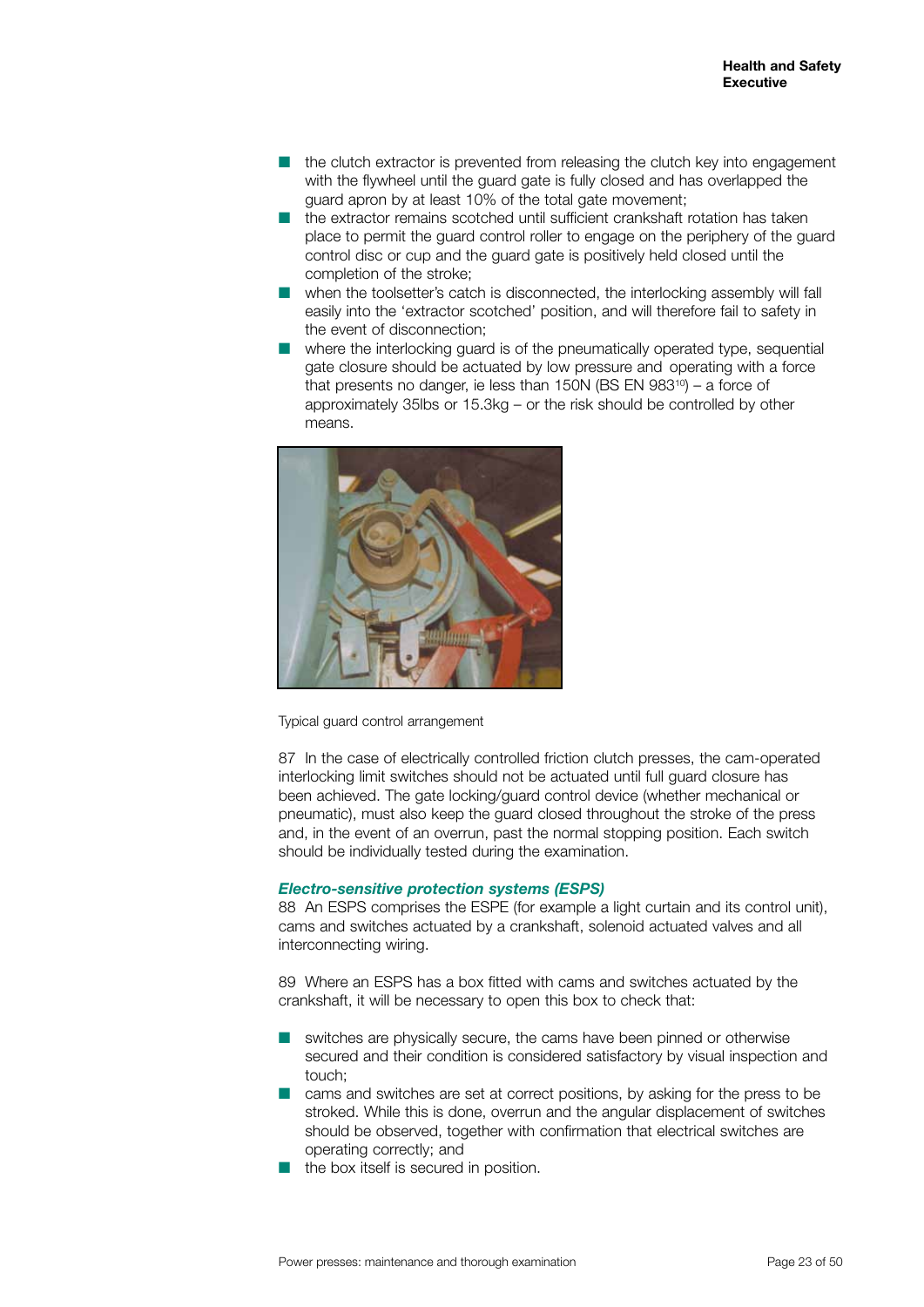- $\blacksquare$  the clutch extractor is prevented from releasing the clutch key into engagement with the flywheel until the guard gate is fully closed and has overlapped the guard apron by at least 10% of the total gate movement;
- n the extractor remains scotched until sufficient crankshaft rotation has taken place to permit the guard control roller to engage on the periphery of the guard control disc or cup and the guard gate is positively held closed until the completion of the stroke;
- $\blacksquare$  when the toolsetter's catch is disconnected, the interlocking assembly will fall easily into the 'extractor scotched' position, and will therefore fail to safety in the event of disconnection;
- $\blacksquare$  where the interlocking quard is of the pneumatically operated type, sequential gate closure should be actuated by low pressure and operating with a force that presents no danger, ie less than 150N (BS EN 983<sup>10</sup>) – a force of approximately 35lbs or 15.3kg – or the risk should be controlled by other means.



Typical guard control arrangement

87 In the case of electrically controlled friction clutch presses, the cam-operated interlocking limit switches should not be actuated until full guard closure has been achieved. The gate locking/guard control device (whether mechanical or pneumatic), must also keep the guard closed throughout the stroke of the press and, in the event of an overrun, past the normal stopping position. Each switch should be individually tested during the examination.

#### *Electro-sensitive protection systems (ESPS)*

88 An ESPS comprises the ESPE (for example a light curtain and its control unit), cams and switches actuated by a crankshaft, solenoid actuated valves and all interconnecting wiring.

89 Where an ESPS has a box fitted with cams and switches actuated by the crankshaft, it will be necessary to open this box to check that:

- **n** switches are physically secure, the cams have been pinned or otherwise secured and their condition is considered satisfactory by visual inspection and touch;
- $\blacksquare$  cams and switches are set at correct positions, by asking for the press to be stroked. While this is done, overrun and the angular displacement of switches should be observed, together with confirmation that electrical switches are operating correctly; and
- the box itself is secured in position.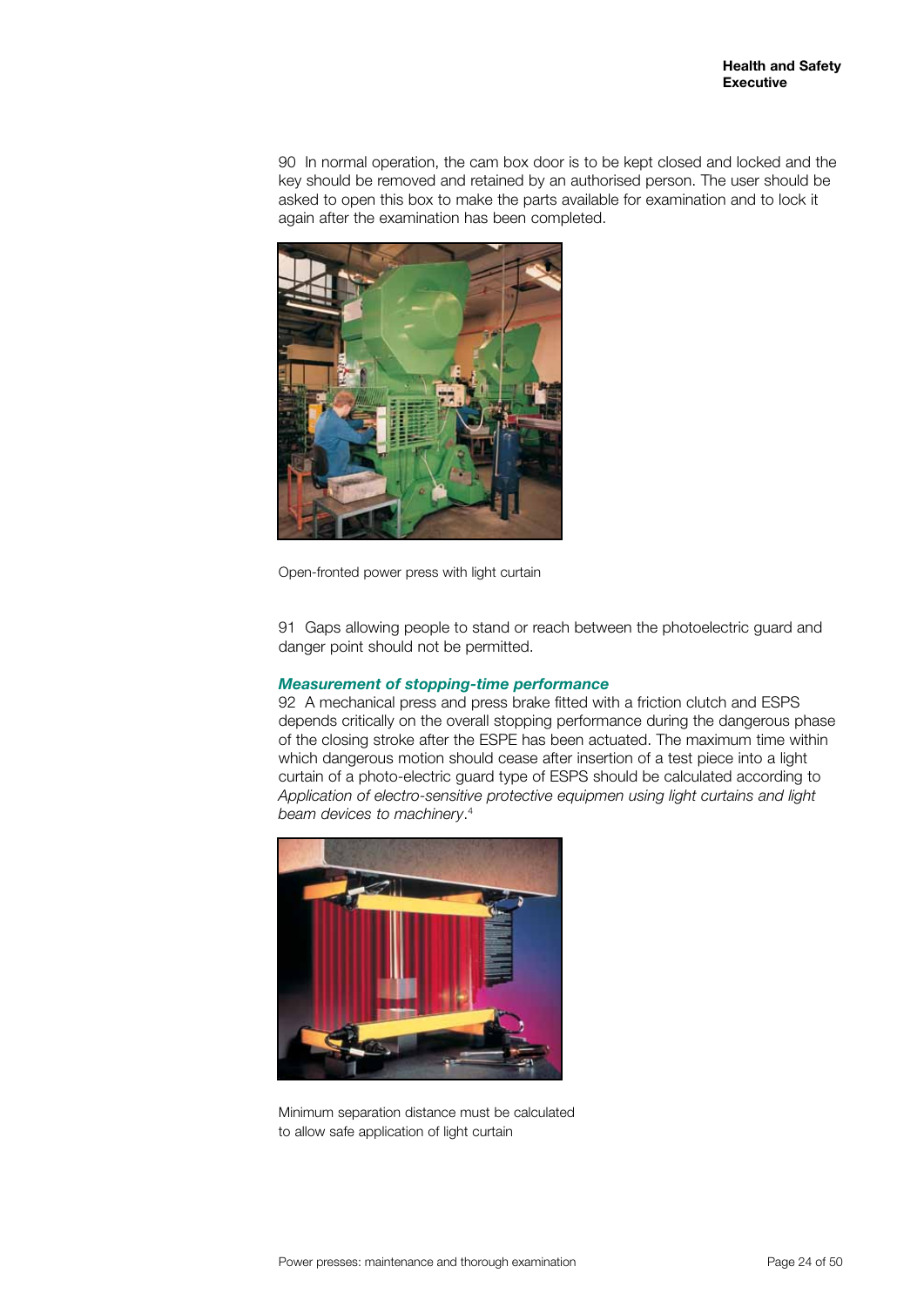90 In normal operation, the cam box door is to be kept closed and locked and the key should be removed and retained by an authorised person. The user should be asked to open this box to make the parts available for examination and to lock it again after the examination has been completed.



Open-fronted power press with light curtain

91 Gaps allowing people to stand or reach between the photoelectric guard and danger point should not be permitted.

#### *Measurement of stopping-time performance*

92 A mechanical press and press brake fitted with a friction clutch and ESPS depends critically on the overall stopping performance during the dangerous phase of the closing stroke after the ESPE has been actuated. The maximum time within which dangerous motion should cease after insertion of a test piece into a light curtain of a photo-electric guard type of ESPS should be calculated according to *Application of electro-sensitive protective equipmen using light curtains and light beam devices to machinery*. 4



Minimum separation distance must be calculated to allow safe application of light curtain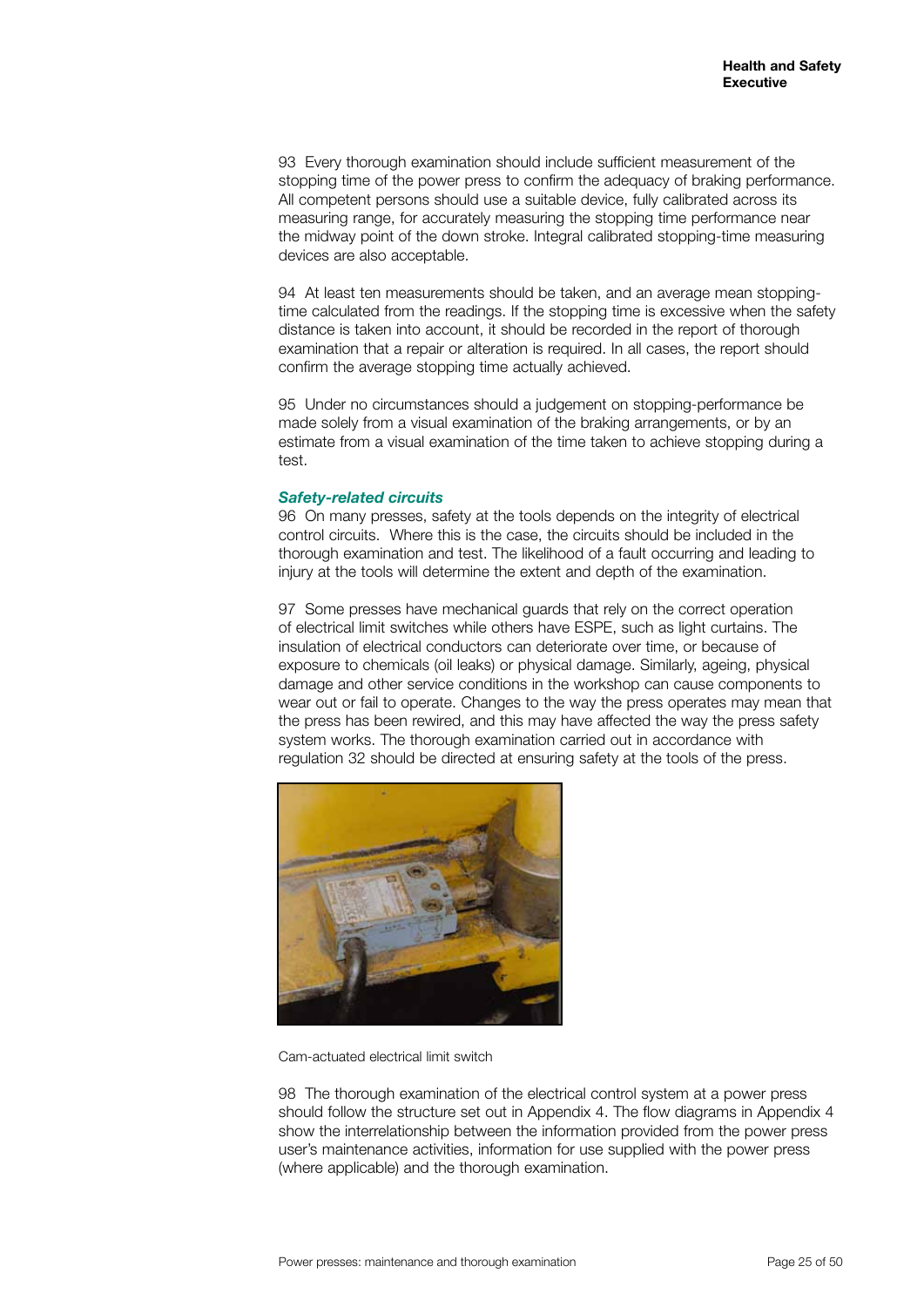93 Every thorough examination should include sufficient measurement of the stopping time of the power press to confirm the adequacy of braking performance. All competent persons should use a suitable device, fully calibrated across its measuring range, for accurately measuring the stopping time performance near the midway point of the down stroke. Integral calibrated stopping-time measuring devices are also acceptable.

94 At least ten measurements should be taken, and an average mean stoppingtime calculated from the readings. If the stopping time is excessive when the safety distance is taken into account, it should be recorded in the report of thorough examination that a repair or alteration is required. In all cases, the report should confirm the average stopping time actually achieved.

95 Under no circumstances should a judgement on stopping-performance be made solely from a visual examination of the braking arrangements, or by an estimate from a visual examination of the time taken to achieve stopping during a test.

#### *Safety-related circuits*

96 On many presses, safety at the tools depends on the integrity of electrical control circuits. Where this is the case, the circuits should be included in the thorough examination and test. The likelihood of a fault occurring and leading to injury at the tools will determine the extent and depth of the examination.

97 Some presses have mechanical guards that rely on the correct operation of electrical limit switches while others have ESPE, such as light curtains. The insulation of electrical conductors can deteriorate over time, or because of exposure to chemicals (oil leaks) or physical damage. Similarly, ageing, physical damage and other service conditions in the workshop can cause components to wear out or fail to operate. Changes to the way the press operates may mean that the press has been rewired, and this may have affected the way the press safety system works. The thorough examination carried out in accordance with regulation 32 should be directed at ensuring safety at the tools of the press.



Cam-actuated electrical limit switch

98 The thorough examination of the electrical control system at a power press should follow the structure set out in Appendix 4. The flow diagrams in Appendix 4 show the interrelationship between the information provided from the power press user's maintenance activities, information for use supplied with the power press (where applicable) and the thorough examination.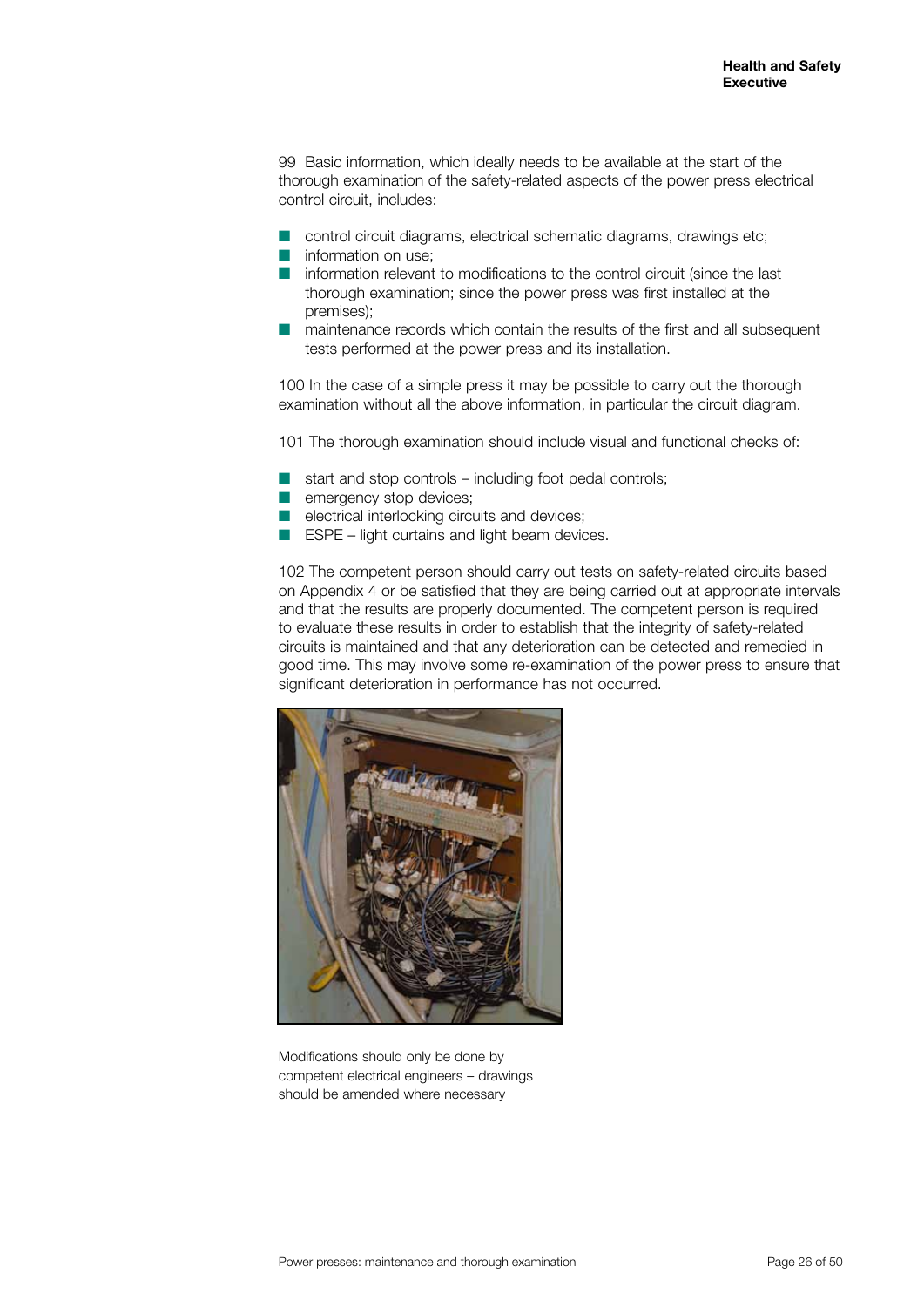99 Basic information, which ideally needs to be available at the start of the thorough examination of the safety-related aspects of the power press electrical control circuit, includes:

- $\blacksquare$  control circuit diagrams, electrical schematic diagrams, drawings etc;
- $\blacksquare$  information on use;
- n information relevant to modifications to the control circuit (since the last thorough examination; since the power press was first installed at the premises);
- $\blacksquare$  maintenance records which contain the results of the first and all subsequent tests performed at the power press and its installation.

100 In the case of a simple press it may be possible to carry out the thorough examination without all the above information, in particular the circuit diagram.

101 The thorough examination should include visual and functional checks of:

- start and stop controls including foot pedal controls;
- $\blacksquare$  emergency stop devices;
- $\blacksquare$  electrical interlocking circuits and devices;
- $\blacksquare$  ESPE light curtains and light beam devices.

102 The competent person should carry out tests on safety-related circuits based on Appendix 4 or be satisfied that they are being carried out at appropriate intervals and that the results are properly documented. The competent person is required to evaluate these results in order to establish that the integrity of safety-related circuits is maintained and that any deterioration can be detected and remedied in good time. This may involve some re-examination of the power press to ensure that significant deterioration in performance has not occurred.



Modifications should only be done by competent electrical engineers – drawings should be amended where necessary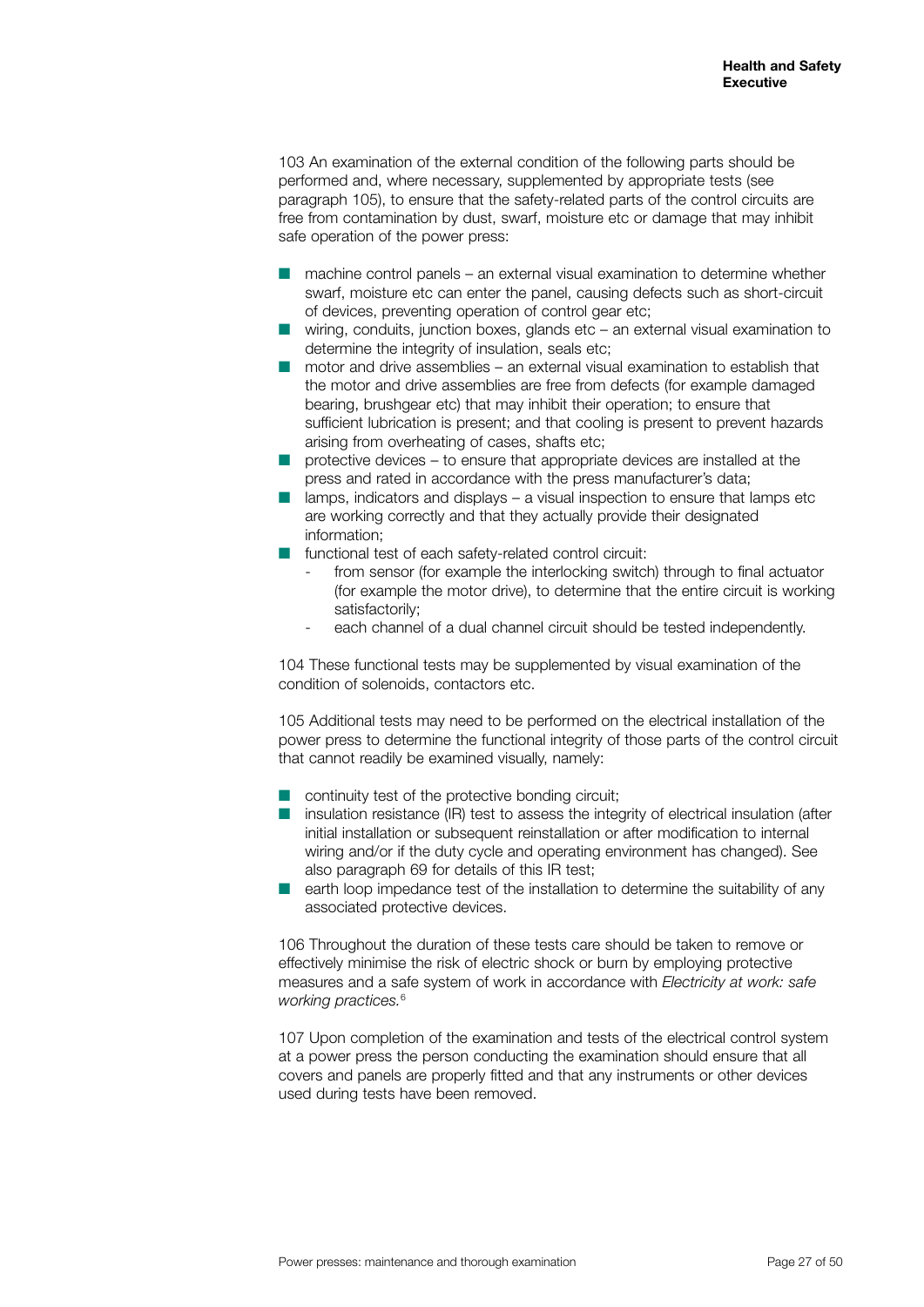103 An examination of the external condition of the following parts should be performed and, where necessary, supplemented by appropriate tests (see paragraph 105), to ensure that the safety-related parts of the control circuits are free from contamination by dust, swarf, moisture etc or damage that may inhibit safe operation of the power press:

- $\blacksquare$  machine control panels an external visual examination to determine whether swarf, moisture etc can enter the panel, causing defects such as short-circuit of devices, preventing operation of control gear etc;
- $\blacksquare$  wiring, conduits, junction boxes, glands etc an external visual examination to determine the integrity of insulation, seals etc;
- $\blacksquare$  motor and drive assemblies an external visual examination to establish that the motor and drive assemblies are free from defects (for example damaged bearing, brushgear etc) that may inhibit their operation; to ensure that sufficient lubrication is present; and that cooling is present to prevent hazards arising from overheating of cases, shafts etc;
- $\blacksquare$  protective devices to ensure that appropriate devices are installed at the press and rated in accordance with the press manufacturer's data;
- $\blacksquare$  lamps, indicators and displays a visual inspection to ensure that lamps etc are working correctly and that they actually provide their designated information;
- $\blacksquare$  functional test of each safety-related control circuit:
	- from sensor (for example the interlocking switch) through to final actuator (for example the motor drive), to determine that the entire circuit is working satisfactorily;
	- each channel of a dual channel circuit should be tested independently.

104 These functional tests may be supplemented by visual examination of the condition of solenoids, contactors etc.

105 Additional tests may need to be performed on the electrical installation of the power press to determine the functional integrity of those parts of the control circuit that cannot readily be examined visually, namely:

- $\blacksquare$  continuity test of the protective bonding circuit:
- $\blacksquare$  insulation resistance (IR) test to assess the integrity of electrical insulation (after initial installation or subsequent reinstallation or after modification to internal wiring and/or if the duty cycle and operating environment has changed). See also paragraph 69 for details of this IR test;
- earth loop impedance test of the installation to determine the suitability of any associated protective devices.

106 Throughout the duration of these tests care should be taken to remove or effectively minimise the risk of electric shock or burn by employing protective measures and a safe system of work in accordance with *Electricity at work: safe working practices.*<sup>6</sup>

107 Upon completion of the examination and tests of the electrical control system at a power press the person conducting the examination should ensure that all covers and panels are properly fitted and that any instruments or other devices used during tests have been removed.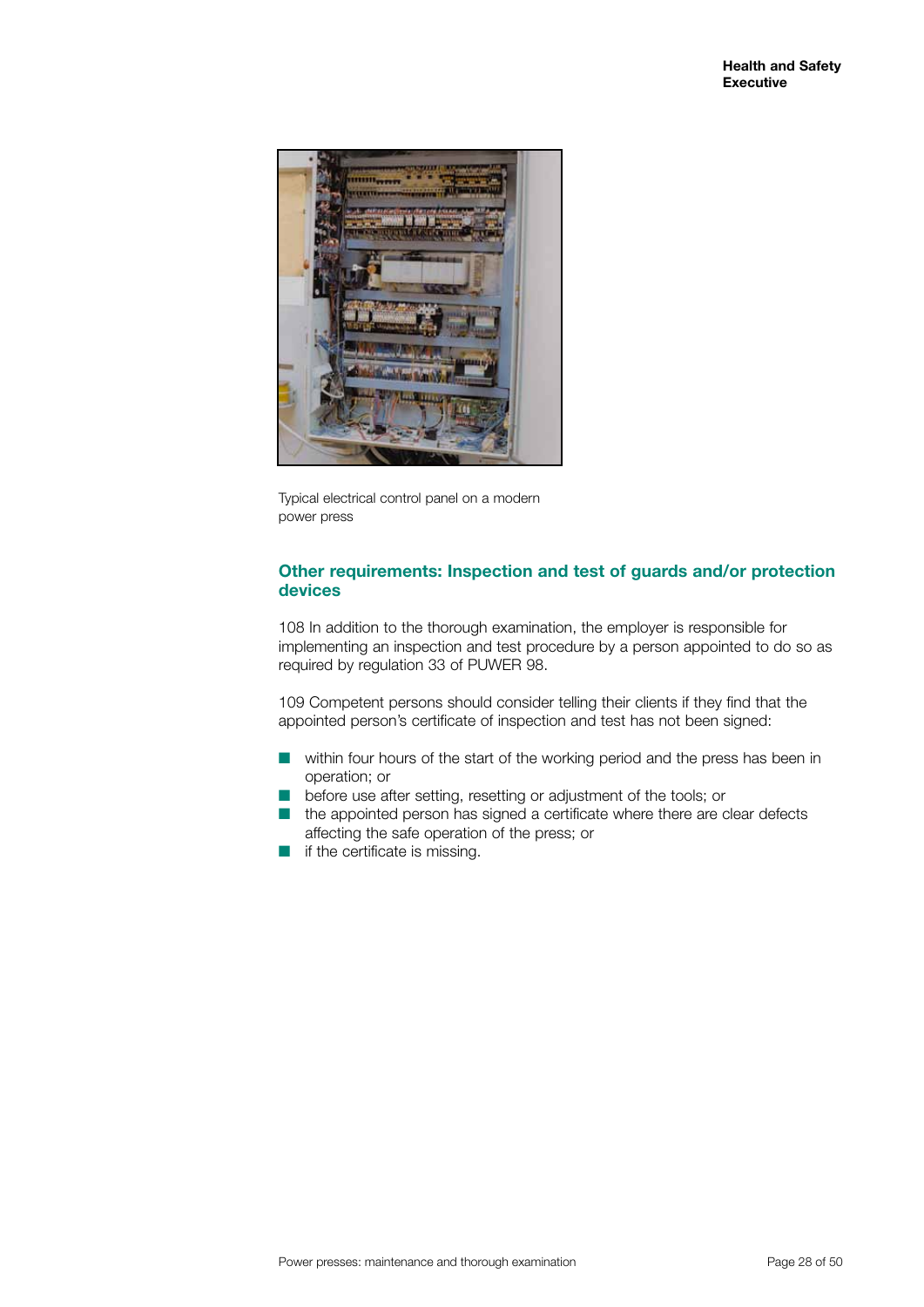

Typical electrical control panel on a modern power press

#### **Other requirements: Inspection and test of guards and/or protection devices**

108 In addition to the thorough examination, the employer is responsible for implementing an inspection and test procedure by a person appointed to do so as required by regulation 33 of PUWER 98.

109 Competent persons should consider telling their clients if they find that the appointed person's certificate of inspection and test has not been signed:

- $\blacksquare$  within four hours of the start of the working period and the press has been in operation; or
- before use after setting, resetting or adjustment of the tools; or
- $\blacksquare$  the appointed person has signed a certificate where there are clear defects affecting the safe operation of the press; or
- $\blacksquare$  if the certificate is missing.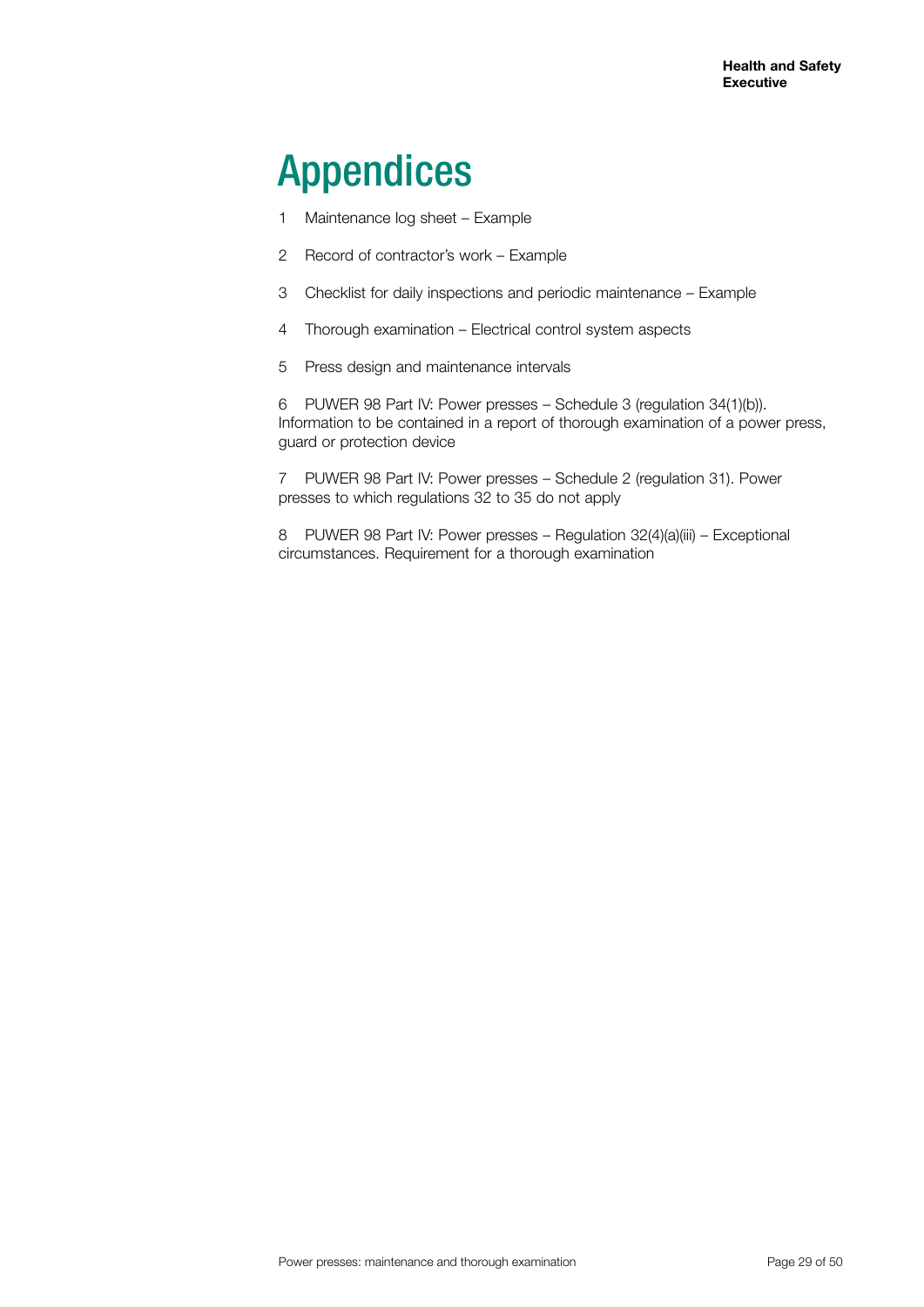# Appendices

- 1 Maintenance log sheet Example
- 2 Record of contractor's work Example
- 3 Checklist for daily inspections and periodic maintenance Example
- 4 Thorough examination Electrical control system aspects
- 5 Press design and maintenance intervals

6 PUWER 98 Part IV: Power presses – Schedule 3 (regulation 34(1)(b)). Information to be contained in a report of thorough examination of a power press, guard or protection device

7 PUWER 98 Part IV: Power presses – Schedule 2 (regulation 31). Power presses to which regulations 32 to 35 do not apply

8 PUWER 98 Part IV: Power presses - Regulation 32(4)(a)(iii) - Exceptional circumstances. Requirement for a thorough examination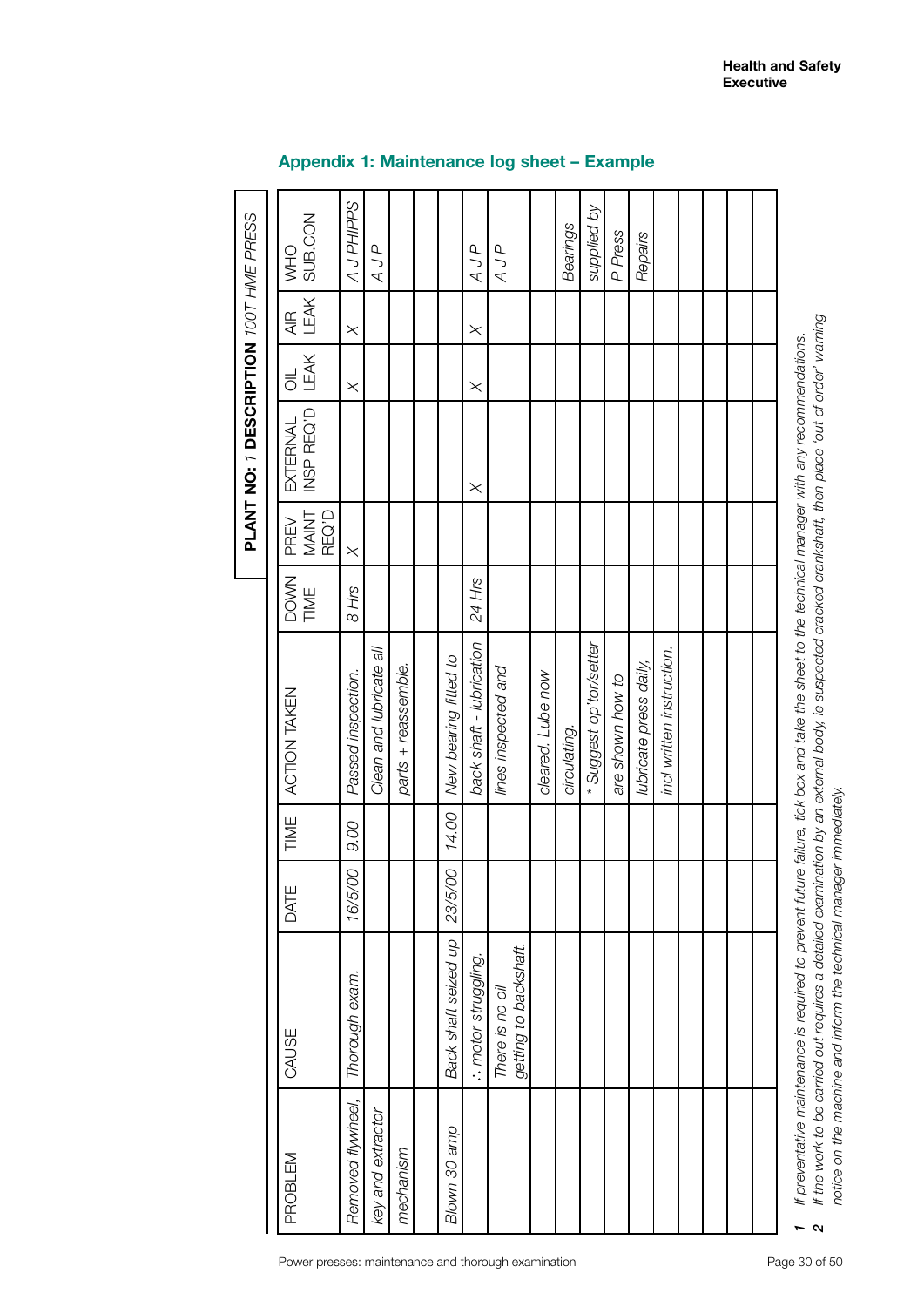|                   |                                          |         |       |                                                                                                                                                     |                     |                        | PLANT NO: 1 DESCRIPTION 100T HME PRESS |                                   |                         |                |
|-------------------|------------------------------------------|---------|-------|-----------------------------------------------------------------------------------------------------------------------------------------------------|---------------------|------------------------|----------------------------------------|-----------------------------------|-------------------------|----------------|
| PROBLEM           | CAUSE                                    | DATE    | TIME  | ACTION TAKEN                                                                                                                                        | <b>DOWN</b><br>TIME | MAINT<br>REQ'D<br>PREV | INSP REQ'D<br>EXTERNAL                 | LEAK<br>$\overline{\overline{C}}$ | LEAK<br>$\overline{AB}$ | WHO<br>SUB.CON |
| Removed flywheel, | Thorough exam.                           | 16/5/00 | 9.00  | Passed inspection.                                                                                                                                  | 8 Hrs               | $\times$               |                                        | $\times$                          | $\times$                | AJPHIPPS       |
| key and extractor |                                          |         |       | Clean and lubricate all                                                                                                                             |                     |                        |                                        |                                   |                         | AJP            |
| mechanism         |                                          |         |       | parts + reassemble.                                                                                                                                 |                     |                        |                                        |                                   |                         |                |
|                   |                                          |         |       |                                                                                                                                                     |                     |                        |                                        |                                   |                         |                |
| Blown 30 amp      | Back shaft seized up                     | 23/5/00 | 14.00 | New bearing fitted to                                                                                                                               |                     |                        |                                        |                                   |                         |                |
|                   | : motor struggling.                      |         |       | back shaft - lubrication                                                                                                                            | 24 Hrs              |                        | $\times$                               | $\times$                          | $\times$                | AJP            |
|                   | getting to backshaft.<br>There is no oil |         |       | lines inspected and                                                                                                                                 |                     |                        |                                        |                                   |                         | AJP            |
|                   |                                          |         |       | cleared. Lube now                                                                                                                                   |                     |                        |                                        |                                   |                         |                |
|                   |                                          |         |       | circulating.                                                                                                                                        |                     |                        |                                        |                                   |                         | Bearings       |
|                   |                                          |         |       | *Suggest op'tor/setter                                                                                                                              |                     |                        |                                        |                                   |                         | supplied by    |
|                   |                                          |         |       | are shown how to                                                                                                                                    |                     |                        |                                        |                                   |                         | P Press        |
|                   |                                          |         |       | lubricate press daily,                                                                                                                              |                     |                        |                                        |                                   |                         | Repairs        |
|                   |                                          |         |       | incl written instruction.                                                                                                                           |                     |                        |                                        |                                   |                         |                |
|                   |                                          |         |       |                                                                                                                                                     |                     |                        |                                        |                                   |                         |                |
|                   |                                          |         |       |                                                                                                                                                     |                     |                        |                                        |                                   |                         |                |
|                   |                                          |         |       |                                                                                                                                                     |                     |                        |                                        |                                   |                         |                |
|                   |                                          |         |       |                                                                                                                                                     |                     |                        |                                        |                                   |                         |                |
|                   |                                          |         |       | 1 If preventative maintenance is required to prevent future failure, tick box and take the sheet to the technical manager with any recommendations. |                     |                        |                                        |                                   |                         |                |

# **Appendix 1: Maintenance log sheet – Example**

 $\boldsymbol{\alpha}$ 

*2 If the work to be carried out requires a detailed examination by an external body, ie suspected cracked crankshaft, then place 'out of order' warning*

If the work to be carried out requires a detailed examination by an external body, ie suspected cracked crankshaft, then place 'out of order' warning

*notice on the machine and inform the technical manager immediately.* 

notice on the machine and inform the technical manager immediately.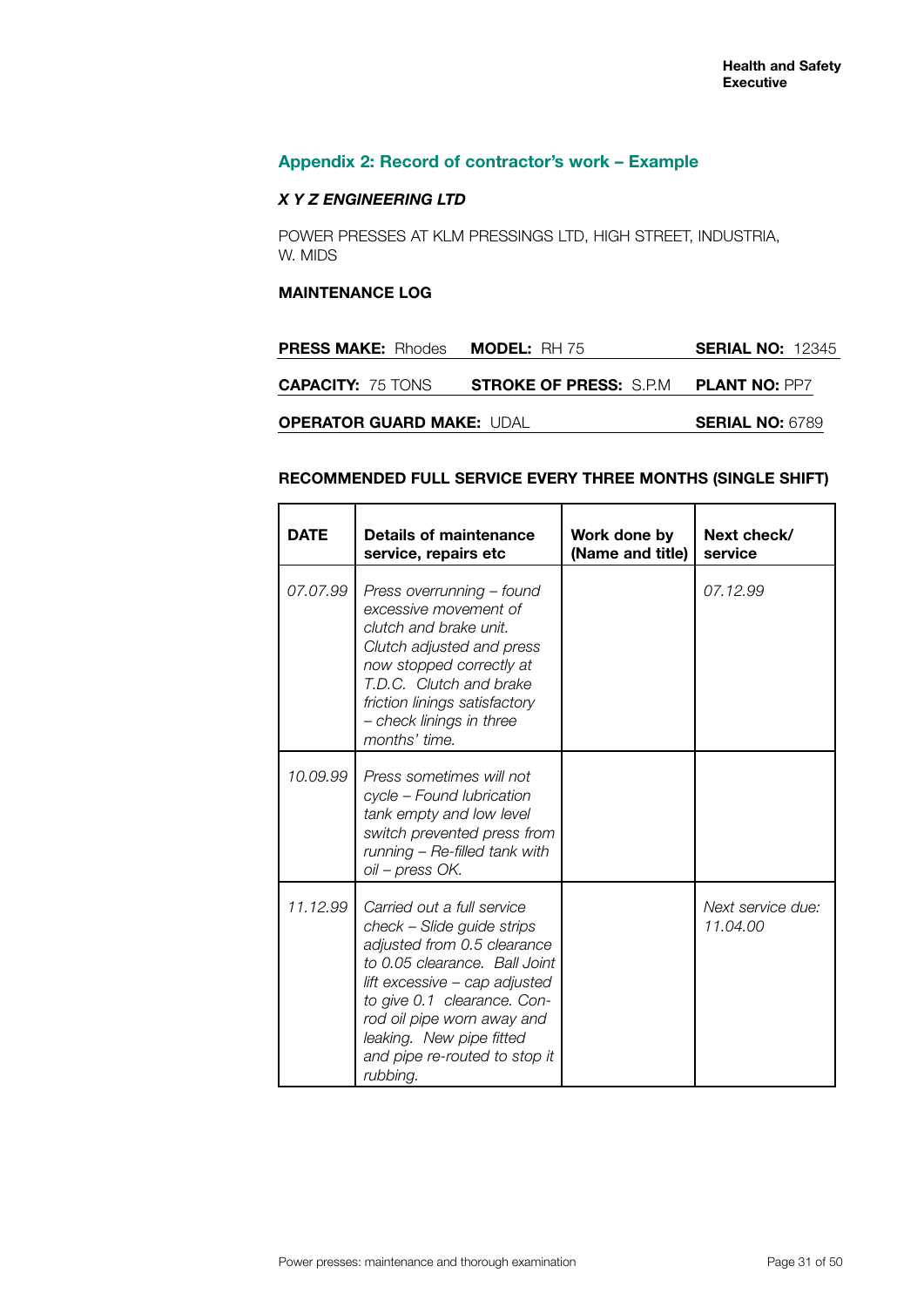$\overline{\phantom{a}}$ 

┯

# **Appendix 2: Record of contractor's work – Example**

### *X Y Z ENGINEERING LTD*

POWER PRESSES AT KLM PRESSINGS LTD, HIGH STREET, INDUSTRIA, W. MIDS

#### **MAINTENANCE LOG**

 $\top$ 

 $\blacksquare$ 

| <b>PRESS MAKE:</b> Rhodes        | <b>MODEL:</b> RH 75            | <b>SERIAL NO: 12345</b> |
|----------------------------------|--------------------------------|-------------------------|
| <b>CAPACITY: 75 TONS</b>         | <b>STROKE OF PRESS: S.P.M.</b> | <b>PLANT NO: PP7</b>    |
| <b>OPERATOR GUARD MAKE: UDAL</b> |                                | <b>SERIAL NO: 6789</b>  |

# **RECOMMENDED FULL SERVICE EVERY THREE MONTHS (SINGLE SHIFT)**

┯

| <b>DATE</b> | Details of maintenance<br>service, repairs etc                                                                                                                                                                                                                                                  | Work done by<br>(Name and title) | Next check/<br>service        |
|-------------|-------------------------------------------------------------------------------------------------------------------------------------------------------------------------------------------------------------------------------------------------------------------------------------------------|----------------------------------|-------------------------------|
| 07.07.99    | Press overrunning - found<br>excessive movement of<br>clutch and brake unit.<br>Clutch adjusted and press<br>now stopped correctly at<br>T.D.C. Clutch and brake<br>friction linings satisfactory<br>- check linings in three<br>months' time.                                                  |                                  | 07.12.99                      |
| 10.09.99    | Press sometimes will not<br>cycle - Found lubrication<br>tank empty and low level<br>switch prevented press from<br>running $-$ Re-filled tank with<br>oil – press OK.                                                                                                                          |                                  |                               |
| 11.12.99    | Carried out a full service<br>check - Slide guide strips<br>adjusted from 0.5 clearance<br>to 0.05 clearance. Ball Joint<br>lift excessive - cap adjusted<br>to give 0.1 clearance. Con-<br>rod oil pipe worn away and<br>leaking. New pipe fitted<br>and pipe re-routed to stop it<br>rubbing. |                                  | Next service due:<br>11.04.00 |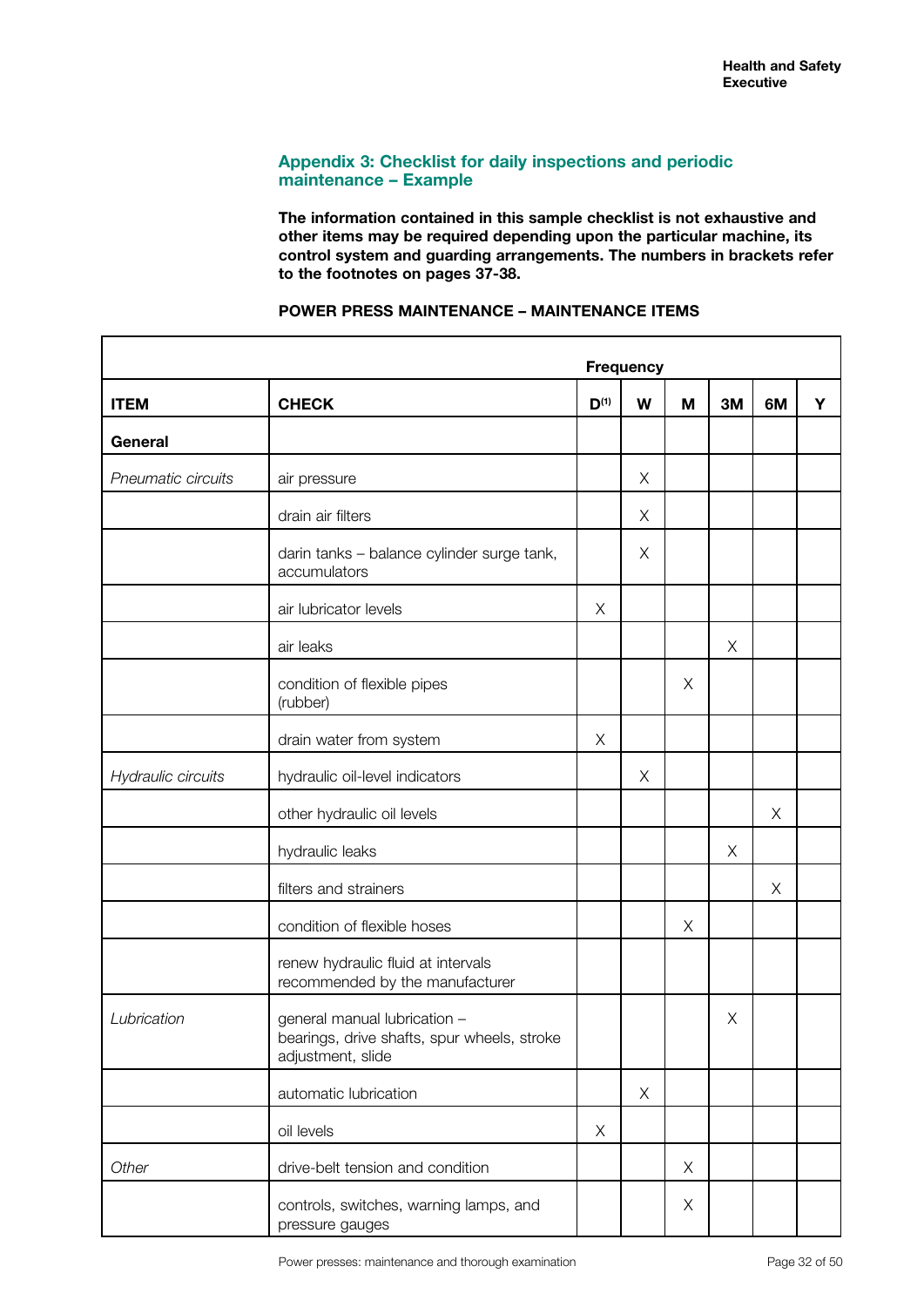### **Appendix 3: Checklist for daily inspections and periodic maintenance – Example**

**The information contained in this sample checklist is not exhaustive and other items may be required depending upon the particular machine, its control system and guarding arrangements. The numbers in brackets refer to the footnotes on pages 37-38.**

|                    |                                                                                                  |           | <b>Frequency</b> |   |    |    |   |
|--------------------|--------------------------------------------------------------------------------------------------|-----------|------------------|---|----|----|---|
| <b>ITEM</b>        | <b>CHECK</b>                                                                                     | $D^{(1)}$ | W                | M | 3M | 6M | Υ |
| General            |                                                                                                  |           |                  |   |    |    |   |
| Pneumatic circuits | air pressure                                                                                     |           | X                |   |    |    |   |
|                    | drain air filters                                                                                |           | X                |   |    |    |   |
|                    | darin tanks - balance cylinder surge tank,<br>accumulators                                       |           | Χ                |   |    |    |   |
|                    | air lubricator levels                                                                            | X         |                  |   |    |    |   |
|                    | air leaks                                                                                        |           |                  |   | X  |    |   |
|                    | condition of flexible pipes<br>(rubber)                                                          |           |                  | X |    |    |   |
|                    | drain water from system                                                                          | X         |                  |   |    |    |   |
| Hydraulic circuits | hydraulic oil-level indicators                                                                   |           | X                |   |    |    |   |
|                    | other hydraulic oil levels                                                                       |           |                  |   |    | X  |   |
|                    | hydraulic leaks                                                                                  |           |                  |   | X  |    |   |
|                    | filters and strainers                                                                            |           |                  |   |    | X  |   |
|                    | condition of flexible hoses                                                                      |           |                  | X |    |    |   |
|                    | renew hydraulic fluid at intervals<br>recommended by the manufacturer                            |           |                  |   |    |    |   |
| Lubrication        | general manual lubrication -<br>bearings, drive shafts, spur wheels, stroke<br>adjustment, slide |           |                  |   | X  |    |   |
|                    | automatic lubrication                                                                            |           | X                |   |    |    |   |
|                    | oil levels                                                                                       | X         |                  |   |    |    |   |
| Other              | drive-belt tension and condition                                                                 |           |                  | X |    |    |   |
|                    | controls, switches, warning lamps, and<br>pressure gauges                                        |           |                  | X |    |    |   |

#### **POWER PRESS MAINTENANCE – MAINTENANCE ITEMS**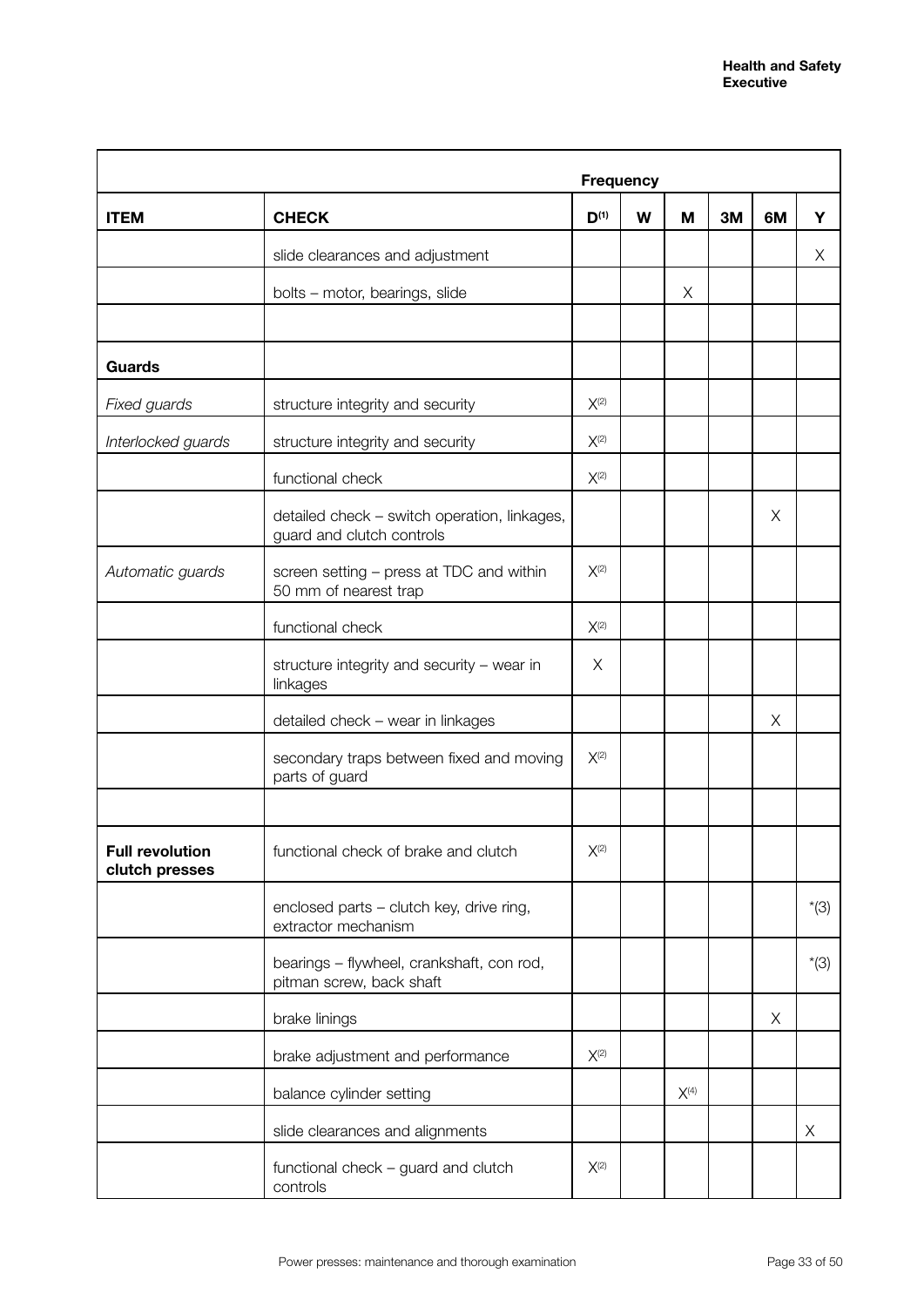|                                          |                                                                           |                                                 | <b>Frequency</b> |           |    |    |        |
|------------------------------------------|---------------------------------------------------------------------------|-------------------------------------------------|------------------|-----------|----|----|--------|
| <b>ITEM</b>                              | <b>CHECK</b>                                                              | $D^{(1)}$                                       | W                | м         | 3M | 6M | Y      |
|                                          | slide clearances and adjustment                                           |                                                 |                  |           |    |    | Χ      |
|                                          | bolts - motor, bearings, slide                                            |                                                 |                  | X         |    |    |        |
|                                          |                                                                           |                                                 |                  |           |    |    |        |
| <b>Guards</b>                            |                                                                           |                                                 |                  |           |    |    |        |
| Fixed guards                             | structure integrity and security                                          | $X^{(2)}$                                       |                  |           |    |    |        |
| Interlocked guards                       | structure integrity and security                                          | $X^{(2)}$                                       |                  |           |    |    |        |
|                                          | functional check                                                          | $X^{(2)}$                                       |                  |           |    |    |        |
|                                          | detailed check - switch operation, linkages,<br>guard and clutch controls |                                                 |                  |           |    | Χ  |        |
| Automatic guards                         | screen setting - press at TDC and within<br>50 mm of nearest trap         | $X^{(2)}$                                       |                  |           |    |    |        |
|                                          | functional check                                                          | $X^{(2)}$                                       |                  |           |    |    |        |
|                                          | structure integrity and security - wear in<br>linkages                    | Χ                                               |                  |           |    |    |        |
|                                          | detailed check - wear in linkages                                         |                                                 |                  |           |    | X  |        |
|                                          | secondary traps between fixed and moving<br>parts of guard                | $X^{(2)}$                                       |                  |           |    |    |        |
|                                          |                                                                           |                                                 |                  |           |    |    |        |
| <b>Full revolution</b><br>clutch presses | functional check of brake and clutch                                      | $\mathsf{X}^{\scriptscriptstyle{\mathrm{(2)}}}$ |                  |           |    |    |        |
|                                          | enclosed parts - clutch key, drive ring,<br>extractor mechanism           |                                                 |                  |           |    |    | $*(3)$ |
|                                          | bearings - flywheel, crankshaft, con rod,<br>pitman screw, back shaft     |                                                 |                  |           |    |    | $*(3)$ |
|                                          | brake linings                                                             |                                                 |                  |           |    | X  |        |
|                                          | brake adjustment and performance                                          | $X^{(2)}$                                       |                  |           |    |    |        |
|                                          | balance cylinder setting                                                  |                                                 |                  | $X^{(4)}$ |    |    |        |
|                                          | slide clearances and alignments                                           |                                                 |                  |           |    |    | X      |
|                                          | functional check - guard and clutch<br>controls                           | $X^{(2)}$                                       |                  |           |    |    |        |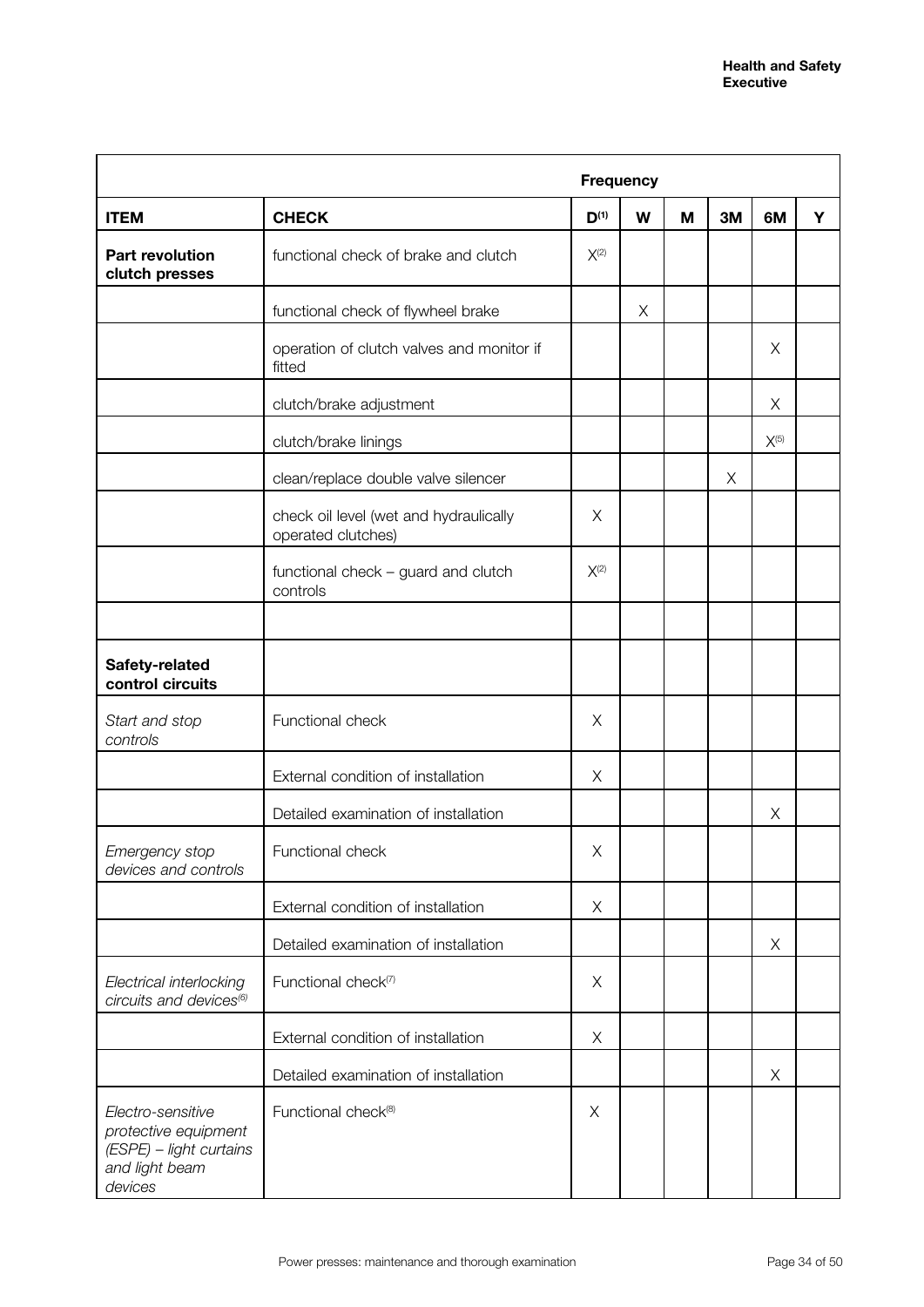|                                                                                                   |                                                              | <b>Frequency</b> |   |   |    |           |   |
|---------------------------------------------------------------------------------------------------|--------------------------------------------------------------|------------------|---|---|----|-----------|---|
| <b>ITEM</b>                                                                                       | <b>CHECK</b>                                                 | $D^{(1)}$        | W | M | 3M | 6M        | Y |
| <b>Part revolution</b><br>clutch presses                                                          | functional check of brake and clutch                         | $X^{(2)}$        |   |   |    |           |   |
|                                                                                                   | functional check of flywheel brake                           |                  | X |   |    |           |   |
|                                                                                                   | operation of clutch valves and monitor if<br>fitted          |                  |   |   |    | X         |   |
|                                                                                                   | clutch/brake adjustment                                      |                  |   |   |    | X         |   |
|                                                                                                   | clutch/brake linings                                         |                  |   |   |    | $X^{(5)}$ |   |
|                                                                                                   | clean/replace double valve silencer                          |                  |   |   | X  |           |   |
|                                                                                                   | check oil level (wet and hydraulically<br>operated clutches) | X                |   |   |    |           |   |
|                                                                                                   | functional check - guard and clutch<br>controls              | $X^{(2)}$        |   |   |    |           |   |
|                                                                                                   |                                                              |                  |   |   |    |           |   |
| Safety-related<br>control circuits                                                                |                                                              |                  |   |   |    |           |   |
| Start and stop<br>controls                                                                        | Functional check                                             | X                |   |   |    |           |   |
|                                                                                                   | External condition of installation                           | X                |   |   |    |           |   |
|                                                                                                   | Detailed examination of installation                         |                  |   |   |    | Χ         |   |
| Emergency stop<br>devices and controls                                                            | Functional check                                             | Χ                |   |   |    |           |   |
|                                                                                                   | External condition of installation                           | X                |   |   |    |           |   |
|                                                                                                   | Detailed examination of installation                         |                  |   |   |    | X         |   |
| Electrical interlocking<br>circuits and devices <sup>(6)</sup>                                    | Functional check <sup>(7)</sup>                              | X                |   |   |    |           |   |
|                                                                                                   | External condition of installation                           | X                |   |   |    |           |   |
|                                                                                                   | Detailed examination of installation                         |                  |   |   |    | X         |   |
| Electro-sensitive<br>protective equipment<br>(ESPE) - light curtains<br>and light beam<br>devices | Functional check <sup>(8)</sup>                              | X                |   |   |    |           |   |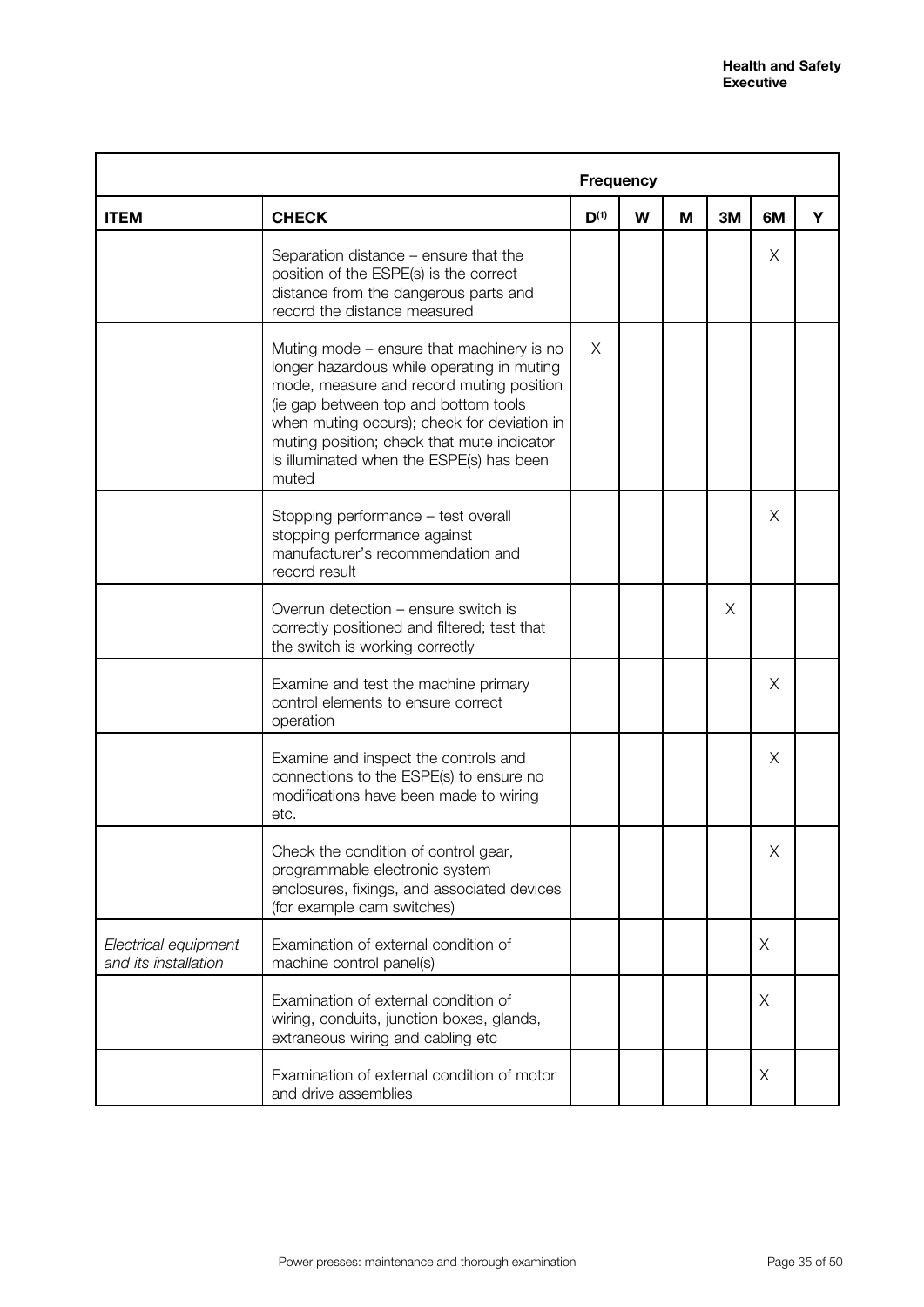|                                              |                                                                                                                                                                                                                                                                                                                               | <b>Frequency</b> |   |   |    |    |   |
|----------------------------------------------|-------------------------------------------------------------------------------------------------------------------------------------------------------------------------------------------------------------------------------------------------------------------------------------------------------------------------------|------------------|---|---|----|----|---|
| <b>ITEM</b>                                  | <b>CHECK</b>                                                                                                                                                                                                                                                                                                                  | $D^{(1)}$        | W | M | 3M | 6M | Y |
|                                              | Separation distance – ensure that the<br>position of the ESPE(s) is the correct<br>distance from the dangerous parts and<br>record the distance measured                                                                                                                                                                      |                  |   |   |    | Χ  |   |
|                                              | Muting mode – ensure that machinery is no<br>longer hazardous while operating in muting<br>mode, measure and record muting position<br>(ie gap between top and bottom tools<br>when muting occurs); check for deviation in<br>muting position; check that mute indicator<br>is illuminated when the ESPE(s) has been<br>muted | $\times$         |   |   |    |    |   |
|                                              | Stopping performance - test overall<br>stopping performance against<br>manufacturer's recommendation and<br>record result                                                                                                                                                                                                     |                  |   |   |    | X  |   |
|                                              | Overrun detection – ensure switch is<br>correctly positioned and filtered; test that<br>the switch is working correctly                                                                                                                                                                                                       |                  |   |   | Χ  |    |   |
|                                              | Examine and test the machine primary<br>control elements to ensure correct<br>operation                                                                                                                                                                                                                                       |                  |   |   |    | X  |   |
|                                              | Examine and inspect the controls and<br>connections to the ESPE(s) to ensure no<br>modifications have been made to wiring<br>etc.                                                                                                                                                                                             |                  |   |   |    | Χ  |   |
|                                              | Check the condition of control gear,<br>programmable electronic system<br>enclosures, fixings, and associated devices<br>(for example cam switches)                                                                                                                                                                           |                  |   |   |    | Χ  |   |
| Electrical equipment<br>and its installation | Examination of external condition of<br>machine control panel(s)                                                                                                                                                                                                                                                              |                  |   |   |    | X  |   |
|                                              | Examination of external condition of<br>wiring, conduits, junction boxes, glands,<br>extraneous wiring and cabling etc                                                                                                                                                                                                        |                  |   |   |    | X  |   |
|                                              | Examination of external condition of motor<br>and drive assemblies                                                                                                                                                                                                                                                            |                  |   |   |    | X  |   |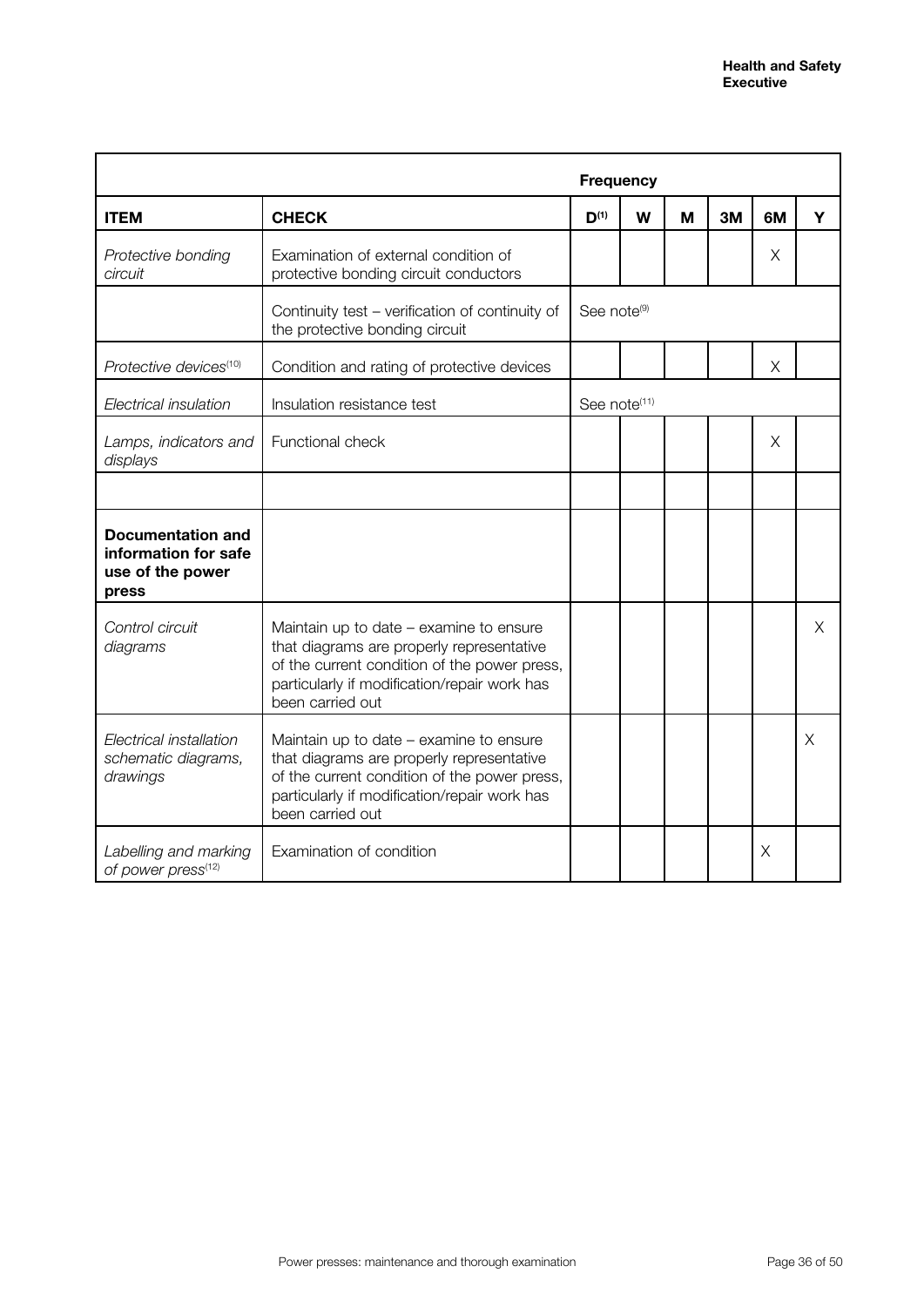|                                                                               |                                                                                                                                                                                                          | <b>Frequency</b>         |   |   |    |    |   |
|-------------------------------------------------------------------------------|----------------------------------------------------------------------------------------------------------------------------------------------------------------------------------------------------------|--------------------------|---|---|----|----|---|
| <b>ITEM</b>                                                                   | <b>CHECK</b>                                                                                                                                                                                             | $D^{(1)}$                | W | м | 3M | 6M | Y |
| Protective bonding<br>circuit                                                 | Examination of external condition of<br>protective bonding circuit conductors                                                                                                                            |                          |   |   |    | Χ  |   |
|                                                                               | Continuity test - verification of continuity of<br>the protective bonding circuit                                                                                                                        | See note <sup>(9)</sup>  |   |   |    |    |   |
| Protective devices <sup>(10)</sup>                                            | Condition and rating of protective devices                                                                                                                                                               |                          |   |   |    | X  |   |
| Electrical insulation                                                         | Insulation resistance test                                                                                                                                                                               | See note <sup>(11)</sup> |   |   |    |    |   |
| Lamps, indicators and<br>displays                                             | Functional check                                                                                                                                                                                         |                          |   |   |    | X  |   |
|                                                                               |                                                                                                                                                                                                          |                          |   |   |    |    |   |
| <b>Documentation and</b><br>information for safe<br>use of the power<br>press |                                                                                                                                                                                                          |                          |   |   |    |    |   |
| Control circuit<br>diagrams                                                   | Maintain up to date – examine to ensure<br>that diagrams are properly representative<br>of the current condition of the power press,<br>particularly if modification/repair work has<br>been carried out |                          |   |   |    |    | Χ |
| Electrical installation<br>schematic diagrams,<br>drawings                    | Maintain up to date – examine to ensure<br>that diagrams are properly representative<br>of the current condition of the power press,<br>particularly if modification/repair work has<br>been carried out |                          |   |   |    |    | X |
| Labelling and marking<br>of power press(12)                                   | Examination of condition                                                                                                                                                                                 |                          |   |   |    | Χ  |   |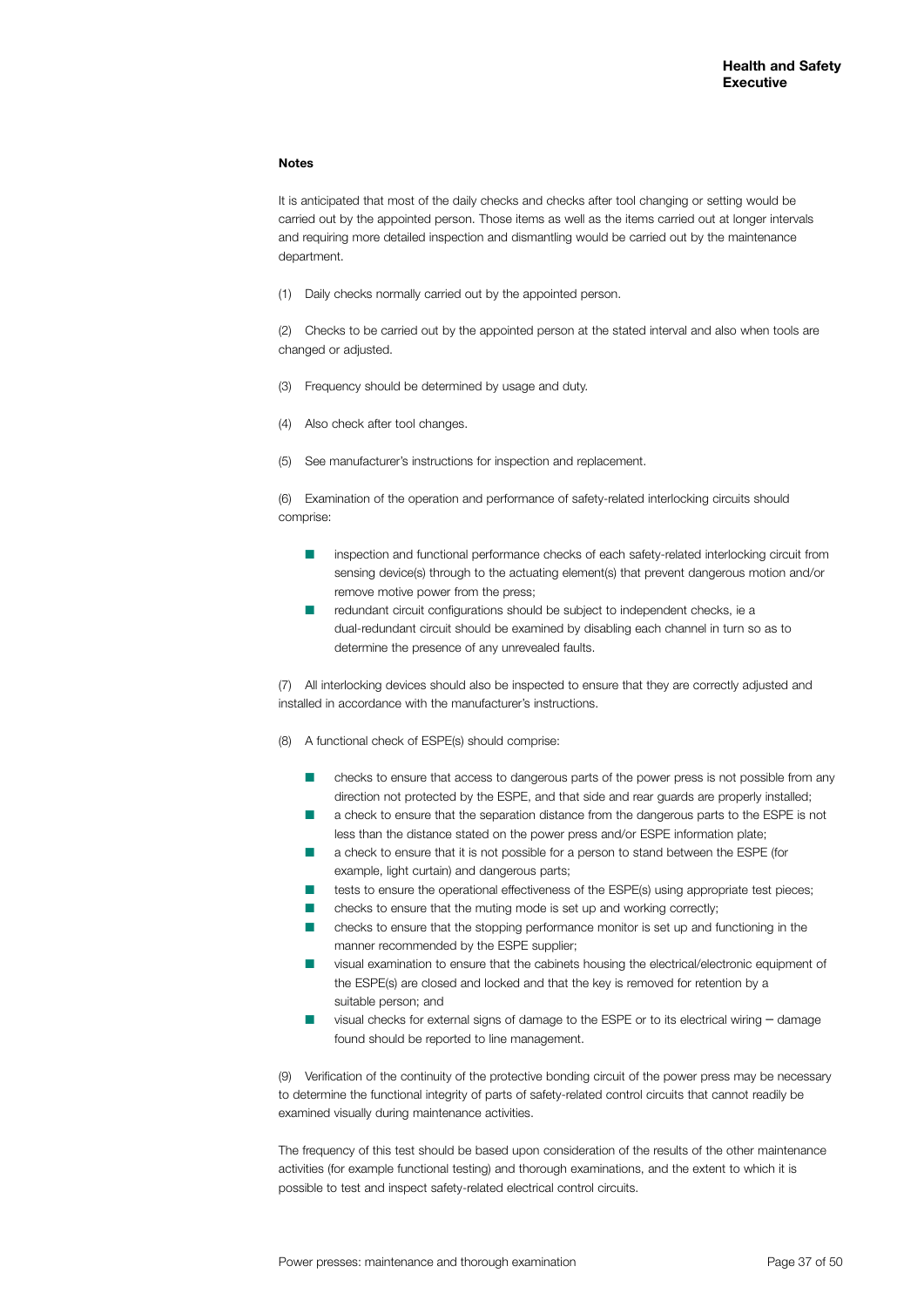#### **Notes**

It is anticipated that most of the daily checks and checks after tool changing or setting would be carried out by the appointed person. Those items as well as the items carried out at longer intervals and requiring more detailed inspection and dismantling would be carried out by the maintenance department.

(1) Daily checks normally carried out by the appointed person.

(2) Checks to be carried out by the appointed person at the stated interval and also when tools are changed or adjusted.

- (3) Frequency should be determined by usage and duty.
- (4) Also check after tool changes.
- (5) See manufacturer's instructions for inspection and replacement.

(6) Examination of the operation and performance of safety-related interlocking circuits should comprise:

- inspection and functional performance checks of each safety-related interlocking circuit from sensing device(s) through to the actuating element(s) that prevent dangerous motion and/or remove motive power from the press;
- redundant circuit configurations should be subject to independent checks, ie a dual-redundant circuit should be examined by disabling each channel in turn so as to determine the presence of any unrevealed faults.

(7) All interlocking devices should also be inspected to ensure that they are correctly adjusted and installed in accordance with the manufacturer's instructions.

- (8) A functional check of ESPE(s) should comprise:
	- n checks to ensure that access to dangerous parts of the power press is not possible from any direction not protected by the ESPE, and that side and rear guards are properly installed;
	- n a check to ensure that the separation distance from the dangerous parts to the ESPE is not less than the distance stated on the power press and/or ESPE information plate;
	- n a check to ensure that it is not possible for a person to stand between the ESPE (for example, light curtain) and dangerous parts;
	- tests to ensure the operational effectiveness of the ESPE(s) using appropriate test pieces;
	- n checks to ensure that the muting mode is set up and working correctly;
	- n checks to ensure that the stopping performance monitor is set up and functioning in the manner recommended by the ESPE supplier;
	- n visual examination to ensure that the cabinets housing the electrical/electronic equipment of the ESPE(s) are closed and locked and that the key is removed for retention by a suitable person; and
	- visual checks for external signs of damage to the ESPE or to its electrical wiring damage found should be reported to line management.

(9) Verification of the continuity of the protective bonding circuit of the power press may be necessary to determine the functional integrity of parts of safety-related control circuits that cannot readily be examined visually during maintenance activities.

The frequency of this test should be based upon consideration of the results of the other maintenance activities (for example functional testing) and thorough examinations, and the extent to which it is possible to test and inspect safety-related electrical control circuits.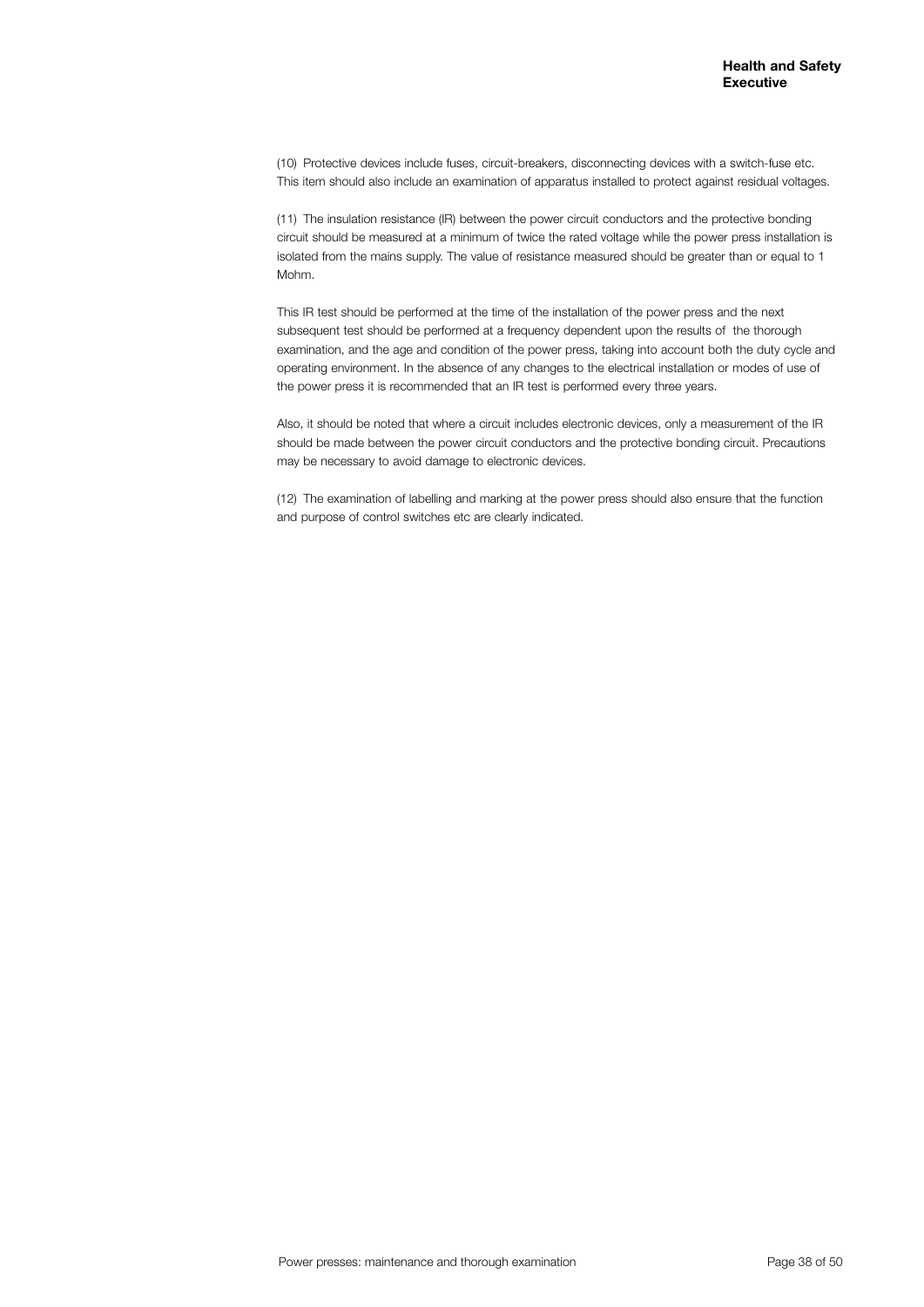(10) Protective devices include fuses, circuit-breakers, disconnecting devices with a switch-fuse etc. This item should also include an examination of apparatus installed to protect against residual voltages.

(11) The insulation resistance (IR) between the power circuit conductors and the protective bonding circuit should be measured at a minimum of twice the rated voltage while the power press installation is isolated from the mains supply. The value of resistance measured should be greater than or equal to 1 Mohm.

This IR test should be performed at the time of the installation of the power press and the next subsequent test should be performed at a frequency dependent upon the results of the thorough examination, and the age and condition of the power press, taking into account both the duty cycle and operating environment. In the absence of any changes to the electrical installation or modes of use of the power press it is recommended that an IR test is performed every three years.

Also, it should be noted that where a circuit includes electronic devices, only a measurement of the IR should be made between the power circuit conductors and the protective bonding circuit. Precautions may be necessary to avoid damage to electronic devices.

(12) The examination of labelling and marking at the power press should also ensure that the function and purpose of control switches etc are clearly indicated.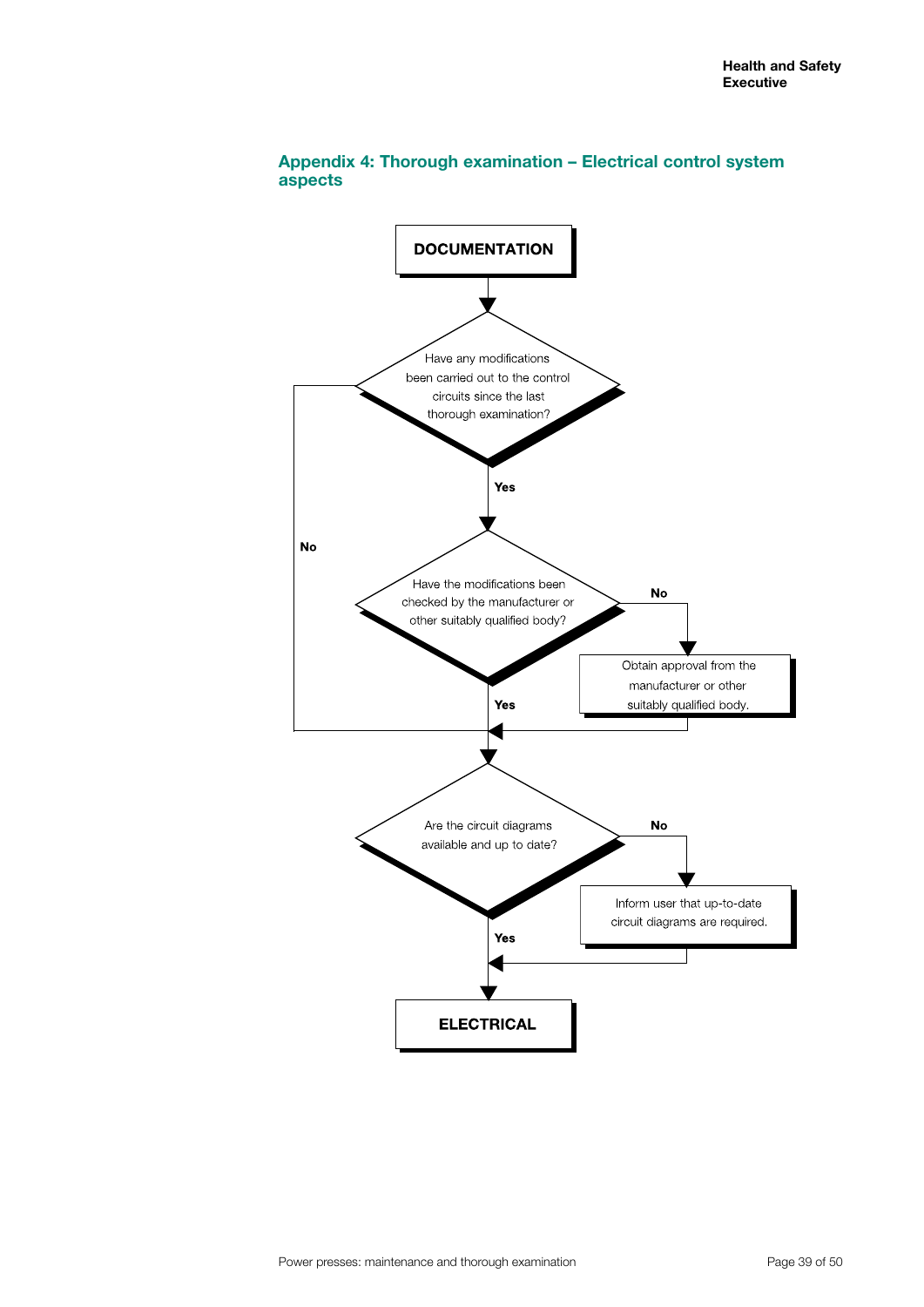

# **Appendix 4: Thorough examination – Electrical control system aspects**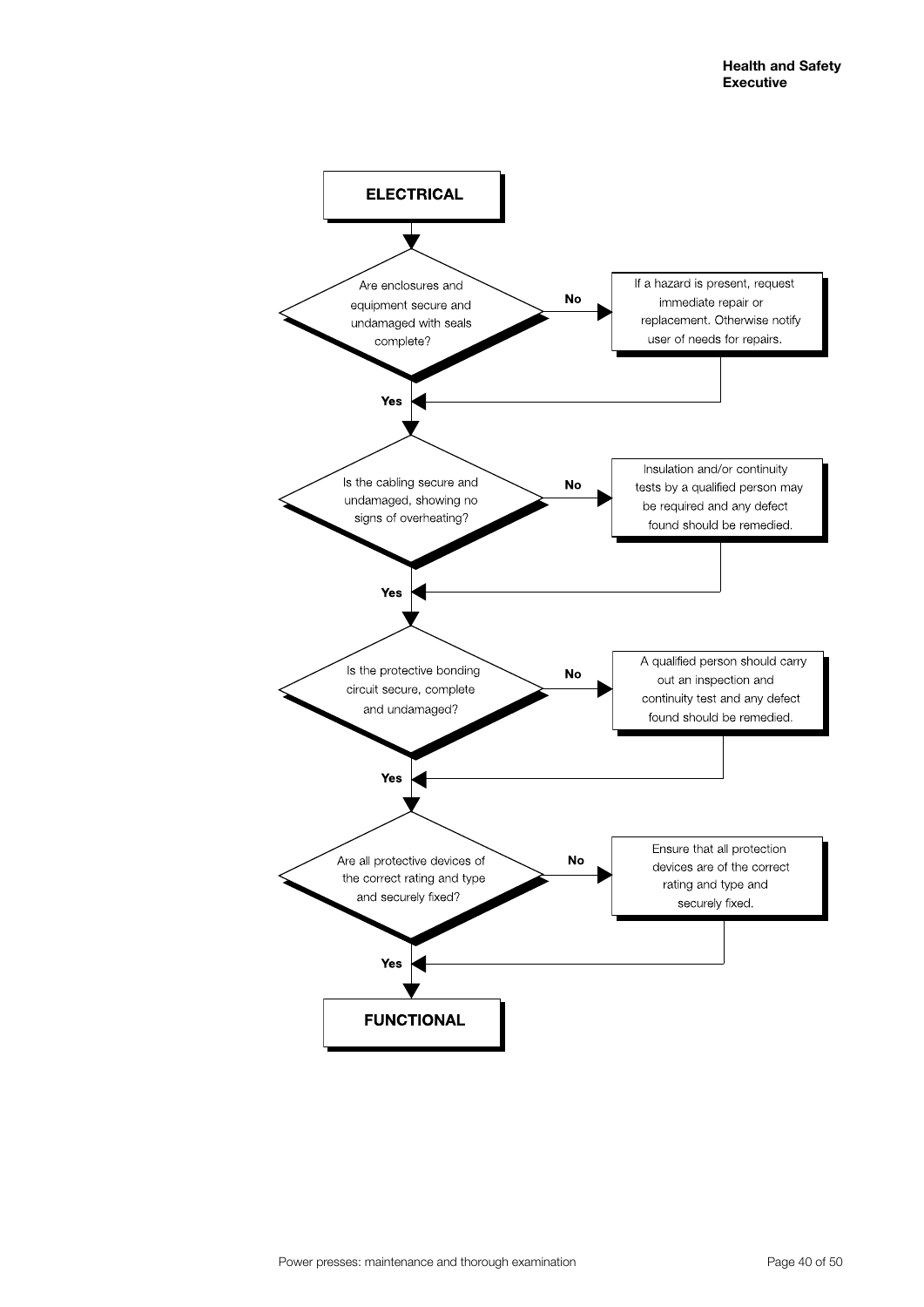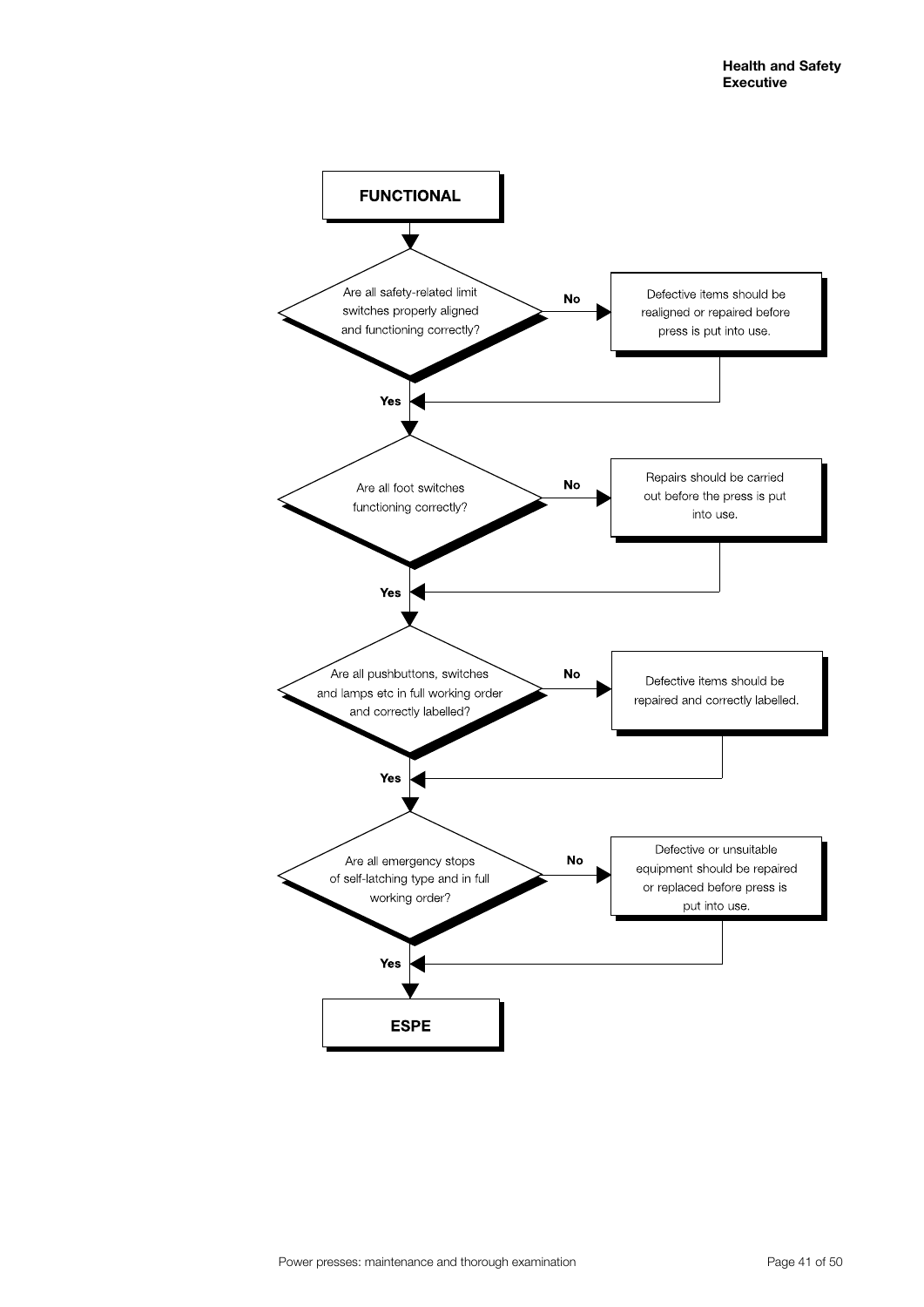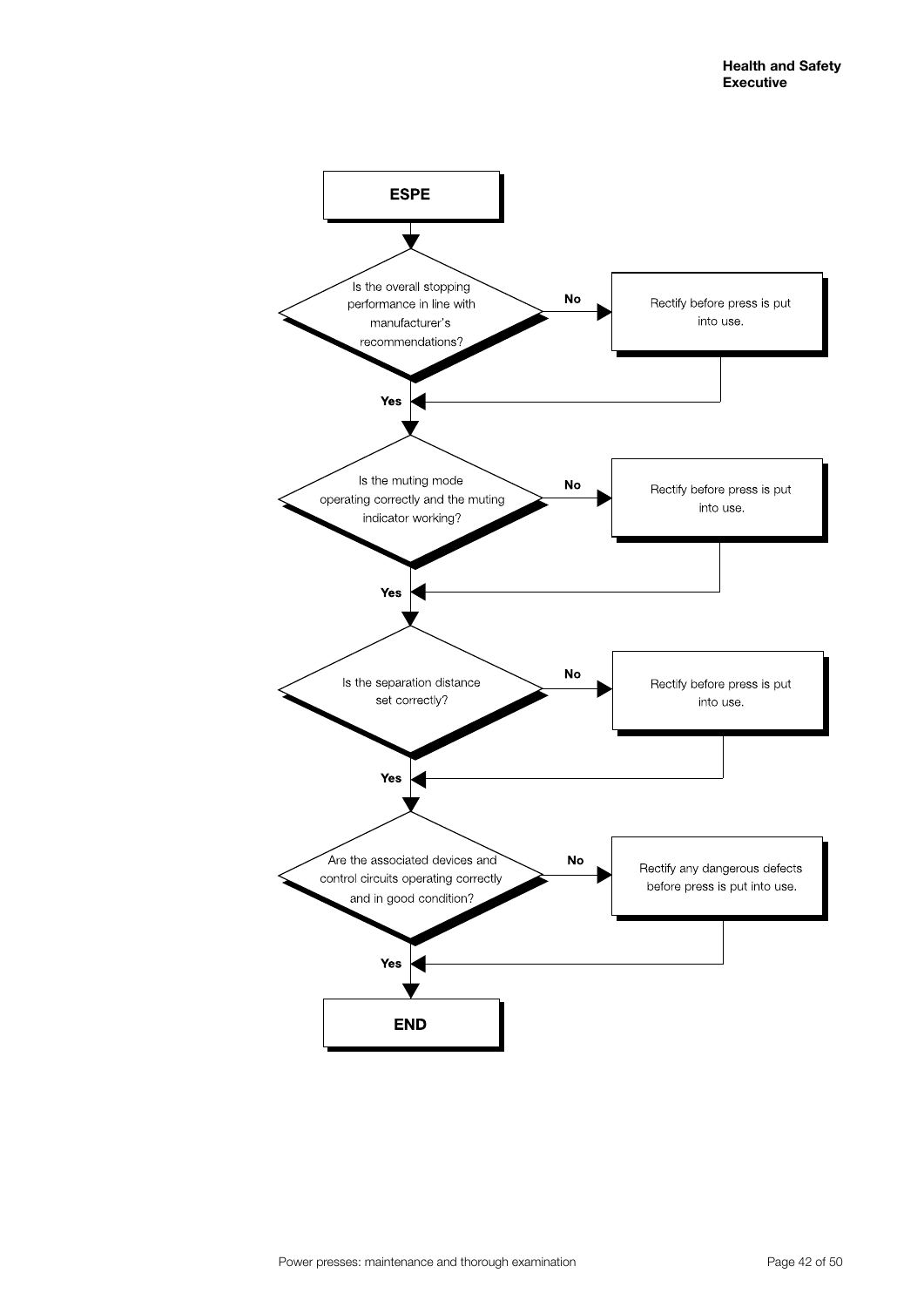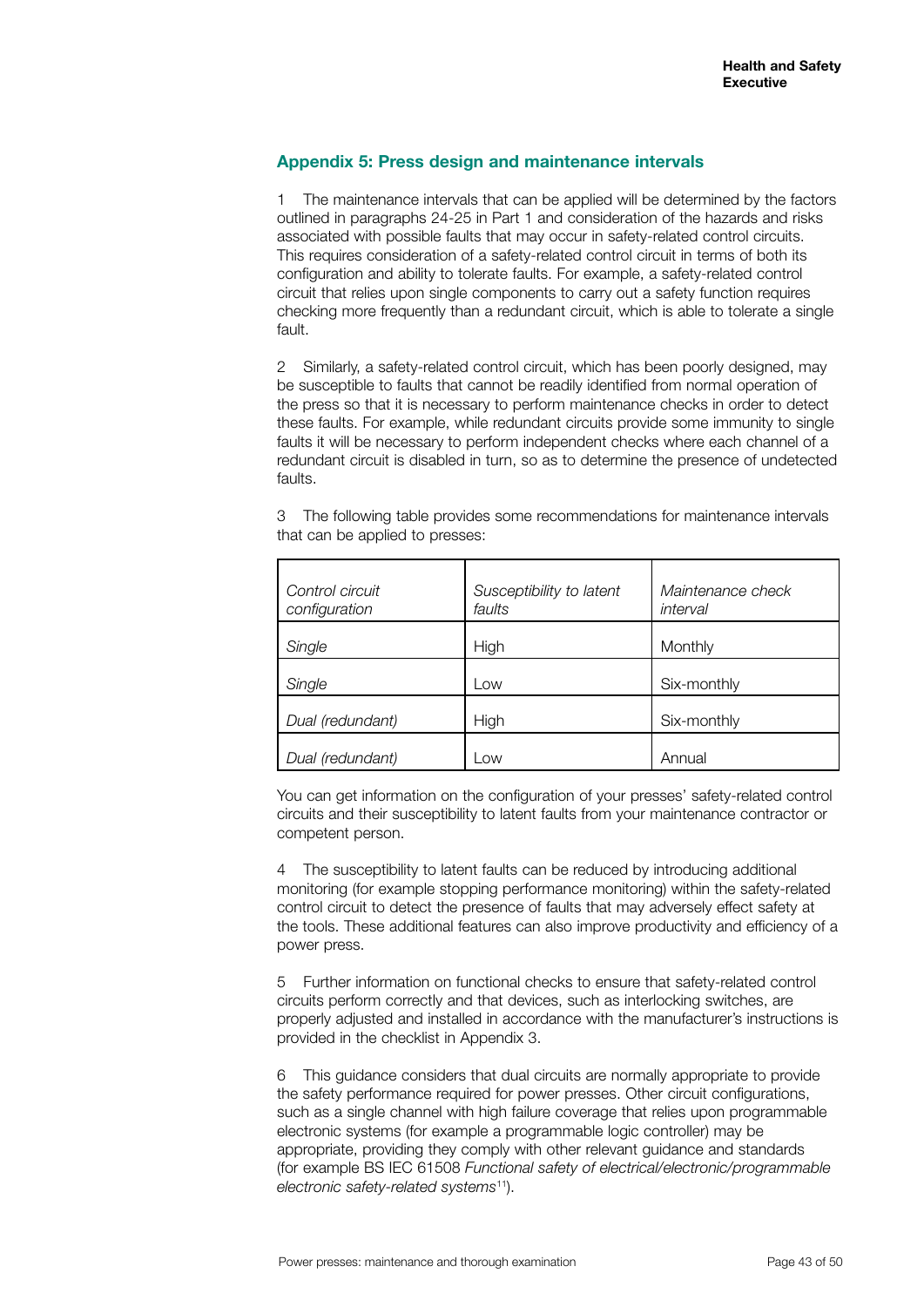# **Appendix 5: Press design and maintenance intervals**

1 The maintenance intervals that can be applied will be determined by the factors outlined in paragraphs 24-25 in Part 1 and consideration of the hazards and risks associated with possible faults that may occur in safety-related control circuits. This requires consideration of a safety-related control circuit in terms of both its configuration and ability to tolerate faults. For example, a safety-related control circuit that relies upon single components to carry out a safety function requires checking more frequently than a redundant circuit, which is able to tolerate a single fault.

2 Similarly, a safety-related control circuit, which has been poorly designed, may be susceptible to faults that cannot be readily identified from normal operation of the press so that it is necessary to perform maintenance checks in order to detect these faults. For example, while redundant circuits provide some immunity to single faults it will be necessary to perform independent checks where each channel of a redundant circuit is disabled in turn, so as to determine the presence of undetected faults.

3 The following table provides some recommendations for maintenance intervals that can be applied to presses:

| Control circuit<br>configuration | Susceptibility to latent<br>faults | Maintenance check<br>interval |
|----------------------------------|------------------------------------|-------------------------------|
| Single                           | High                               | Monthly                       |
| Single                           | $_{\text{OW}}$                     | Six-monthly                   |
| Dual (redundant)                 | High                               | Six-monthly                   |
| Dual (redundant)                 | $_{\text{OW}}$                     | Annual                        |

You can get information on the configuration of your presses' safety-related control circuits and their susceptibility to latent faults from your maintenance contractor or competent person.

4 The susceptibility to latent faults can be reduced by introducing additional monitoring (for example stopping performance monitoring) within the safety-related control circuit to detect the presence of faults that may adversely effect safety at the tools. These additional features can also improve productivity and efficiency of a power press.

5 Further information on functional checks to ensure that safety-related control circuits perform correctly and that devices, such as interlocking switches, are properly adjusted and installed in accordance with the manufacturer's instructions is provided in the checklist in Appendix 3.

6 This guidance considers that dual circuits are normally appropriate to provide the safety performance required for power presses. Other circuit configurations, such as a single channel with high failure coverage that relies upon programmable electronic systems (for example a programmable logic controller) may be appropriate, providing they comply with other relevant guidance and standards (for example BS IEC 61508 *Functional safety of electrical/electronic/programmable electronic safety-related systems*11).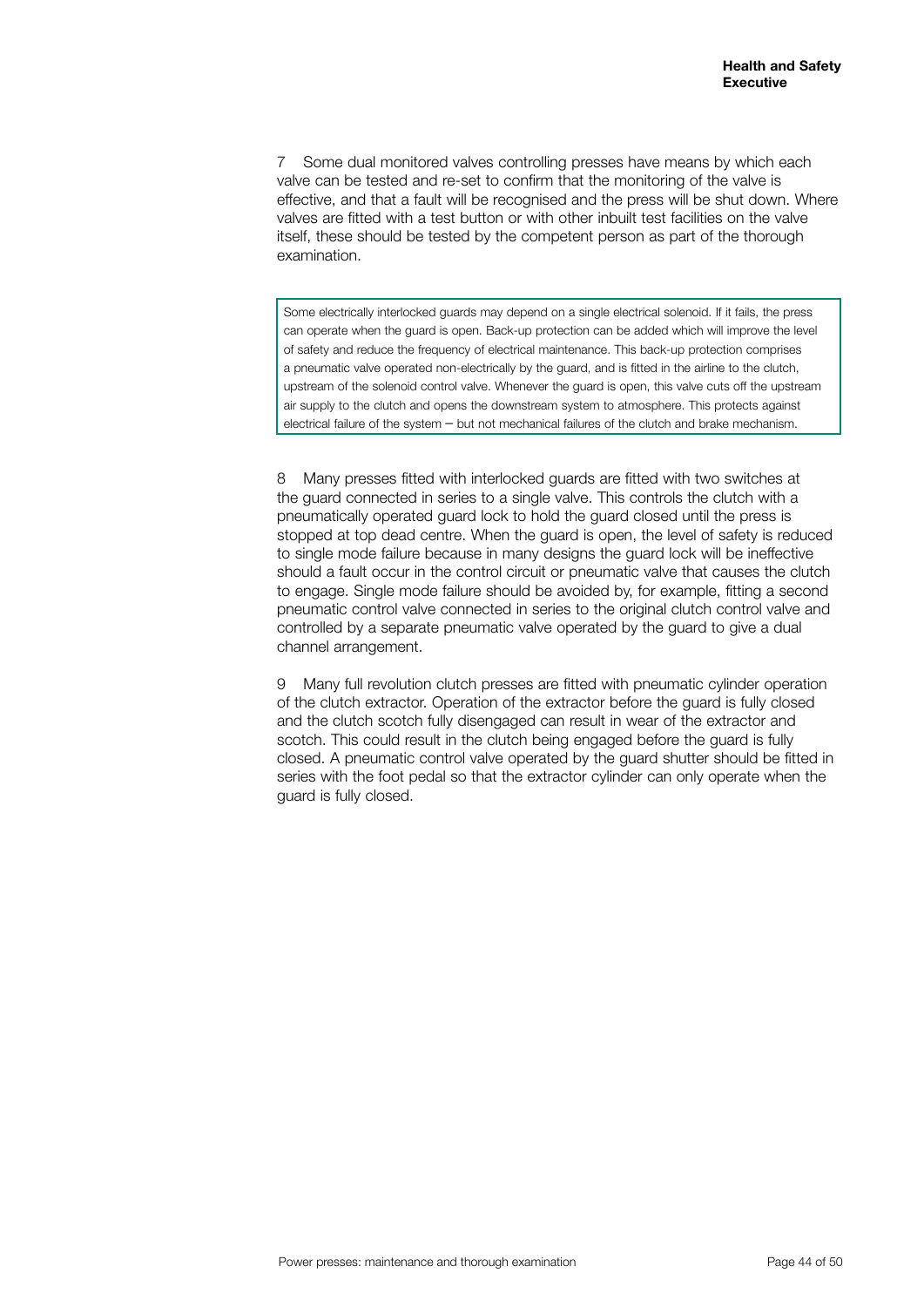7 Some dual monitored valves controlling presses have means by which each valve can be tested and re-set to confirm that the monitoring of the valve is effective, and that a fault will be recognised and the press will be shut down. Where valves are fitted with a test button or with other inbuilt test facilities on the valve itself, these should be tested by the competent person as part of the thorough examination.

Some electrically interlocked guards may depend on a single electrical solenoid. If it fails, the press can operate when the guard is open. Back-up protection can be added which will improve the level of safety and reduce the frequency of electrical maintenance. This back-up protection comprises a pneumatic valve operated non-electrically by the guard, and is fitted in the airline to the clutch, upstream of the solenoid control valve. Whenever the guard is open, this valve cuts off the upstream air supply to the clutch and opens the downstream system to atmosphere. This protects against electrical failure of the system – but not mechanical failures of the clutch and brake mechanism.

8 Many presses fitted with interlocked guards are fitted with two switches at the guard connected in series to a single valve. This controls the clutch with a pneumatically operated guard lock to hold the guard closed until the press is stopped at top dead centre. When the guard is open, the level of safety is reduced to single mode failure because in many designs the guard lock will be ineffective should a fault occur in the control circuit or pneumatic valve that causes the clutch to engage. Single mode failure should be avoided by, for example, fitting a second pneumatic control valve connected in series to the original clutch control valve and controlled by a separate pneumatic valve operated by the guard to give a dual channel arrangement.

9 Many full revolution clutch presses are fitted with pneumatic cylinder operation of the clutch extractor. Operation of the extractor before the guard is fully closed and the clutch scotch fully disengaged can result in wear of the extractor and scotch. This could result in the clutch being engaged before the guard is fully closed. A pneumatic control valve operated by the guard shutter should be fitted in series with the foot pedal so that the extractor cylinder can only operate when the guard is fully closed.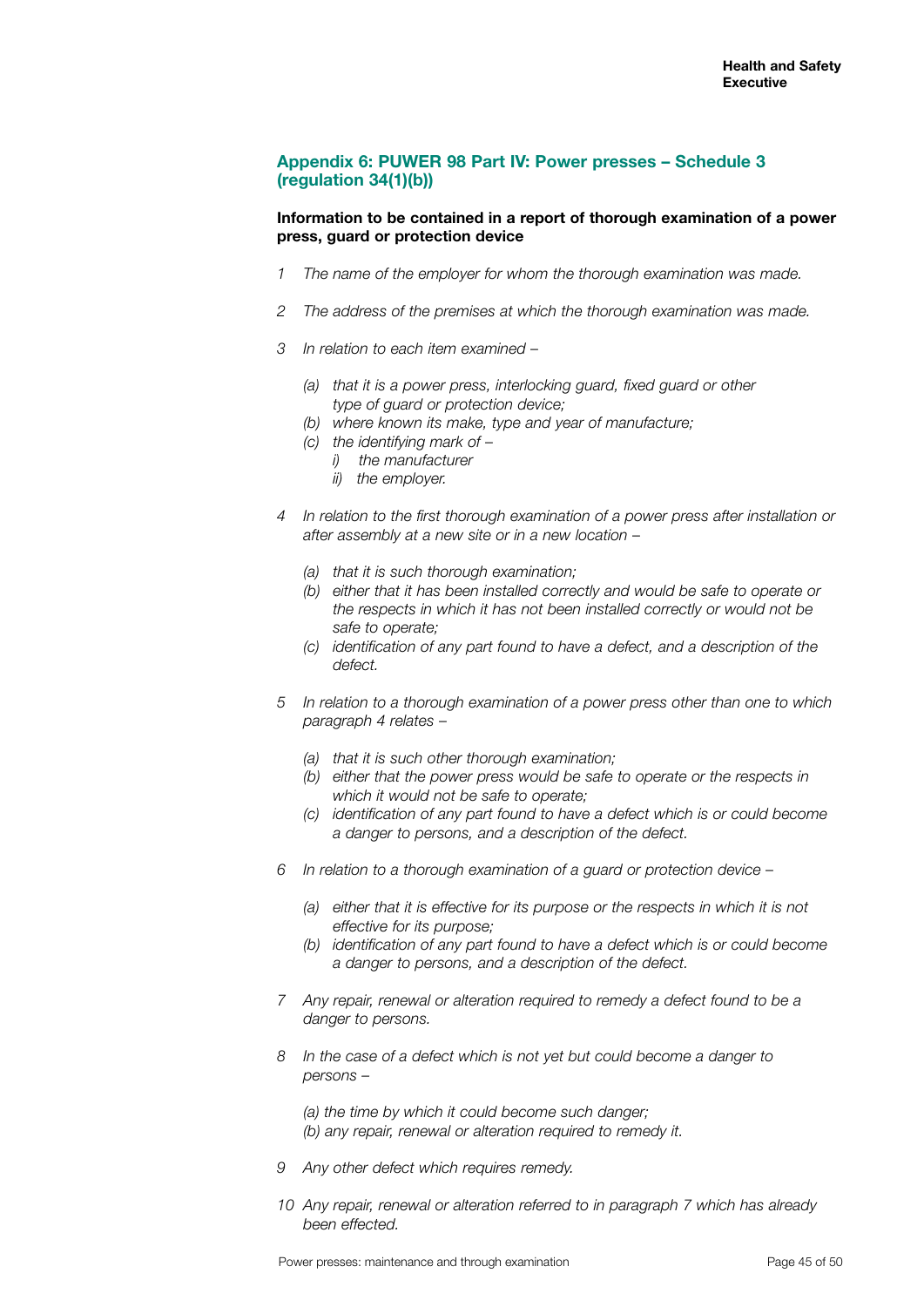# **Appendix 6: PUWER 98 Part IV: Power presses – Schedule 3 (regulation 34(1)(b))**

#### **Information to be contained in a report of thorough examination of a power press, guard or protection device**

- *1 The name of the employer for whom the thorough examination was made.*
- *2 The address of the premises at which the thorough examination was made.*
- *3 In relation to each item examined* 
	- *(a) that it is a power press, interlocking guard, fixed guard or other type of guard or protection device;*
	- *(b) where known its make, type and year of manufacture;*
	- *(c) the identifying mark of* 
		- *i) the manufacturer*
		- *ii) the employer.*
- *4 In relation to the first thorough examination of a power press after installation or after assembly at a new site or in a new location* –
	- *(a) that it is such thorough examination;*
	- *(b) either that it has been installed correctly and would be safe to operate or the respects in which it has not been installed correctly or would not be safe to operate;*
	- *(c) identification of any part found to have a defect, and a description of the defect.*
- *5 In relation to a thorough examination of a power press other than one to which paragraph 4 relates* –
	- *(a) that it is such other thorough examination;*
	- *(b) either that the power press would be safe to operate or the respects in which it would not be safe to operate;*
	- *(c) identification of any part found to have a defect which is or could become a danger to persons, and a description of the defect.*
- *6 In relation to a thorough examination of a guard or protection device* 
	- *(a) either that it is effective for its purpose or the respects in which it is not effective for its purpose;*
	- *(b) identification of any part found to have a defect which is or could become a danger to persons, and a description of the defect.*
- *7 Any repair, renewal or alteration required to remedy a defect found to be a danger to persons.*
- *8 In the case of a defect which is not yet but could become a danger to persons –*

*(a) the time by which it could become such danger; (b) any repair, renewal or alteration required to remedy it.*

- *9 Any other defect which requires remedy.*
- *10 Any repair, renewal or alteration referred to in paragraph 7 which has already been effected.*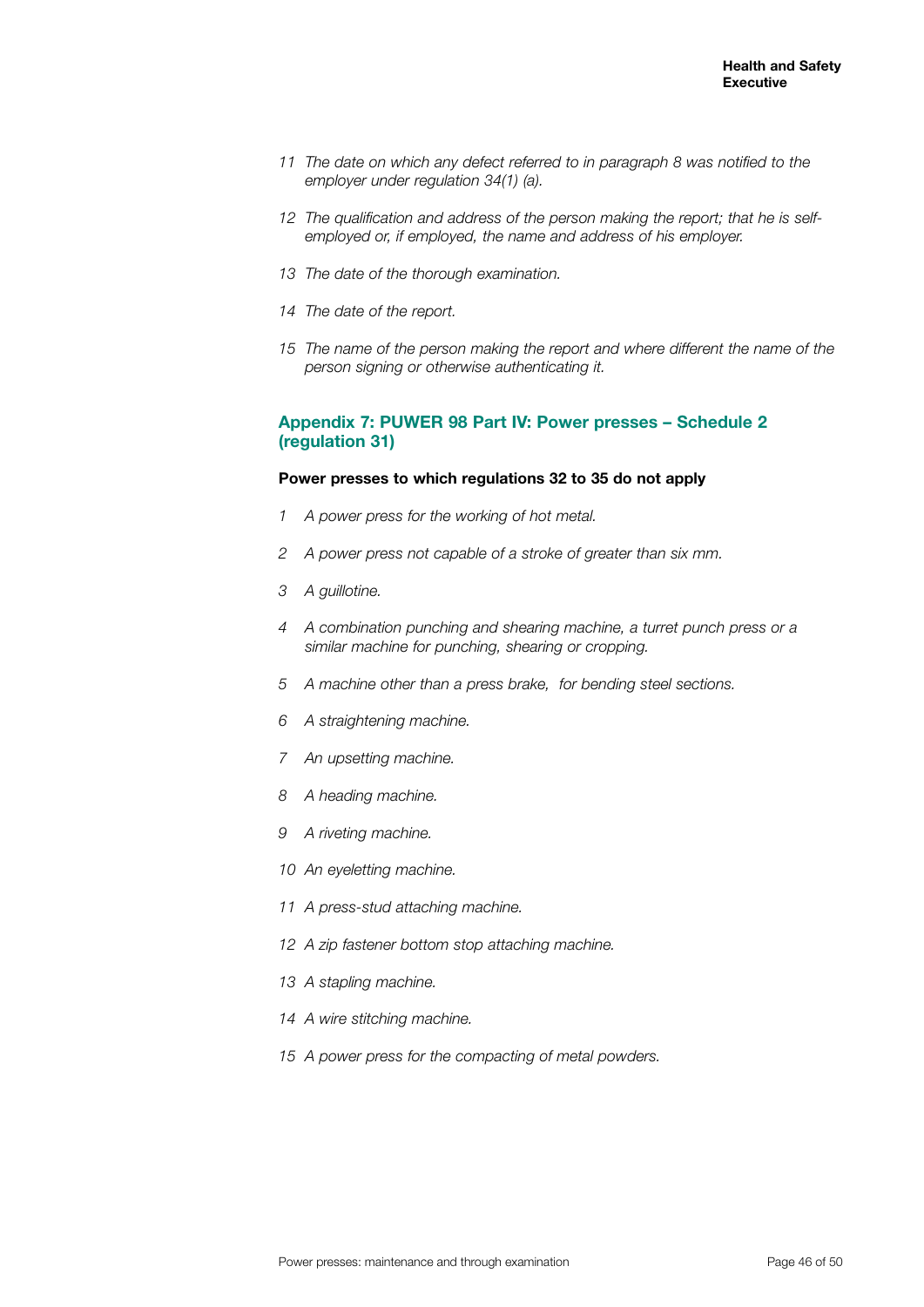- *11 The date on which any defect referred to in paragraph 8 was notified to the employer under regulation 34(1) (a).*
- *The qualification and address of the person making the report; that he is selfemployed or, if employed, the name and address of his employer.*
- *The date of the thorough examination.*
- *The date of the report.*
- *The name of the person making the report and where different the name of the person signing or otherwise authenticating it.*

#### **Appendix 7: PUWER 98 Part IV: Power presses – Schedule 2 (regulation 31)**

#### **Power presses to which regulations 32 to 35 do not apply**

- *A power press for the working of hot metal.*
- *A power press not capable of a stroke of greater than six mm.*
- *A guillotine.*
- *A combination punching and shearing machine, a turret punch press or a similar machine for punching, shearing or cropping.*
- *A machine other than a press brake, for bending steel sections.*
- *A straightening machine.*
- *An upsetting machine.*
- *A heading machine.*
- *A riveting machine.*
- *An eyeletting machine.*
- *A press-stud attaching machine.*
- *A zip fastener bottom stop attaching machine.*
- *A stapling machine.*
- *A wire stitching machine.*
- *A power press for the compacting of metal powders.*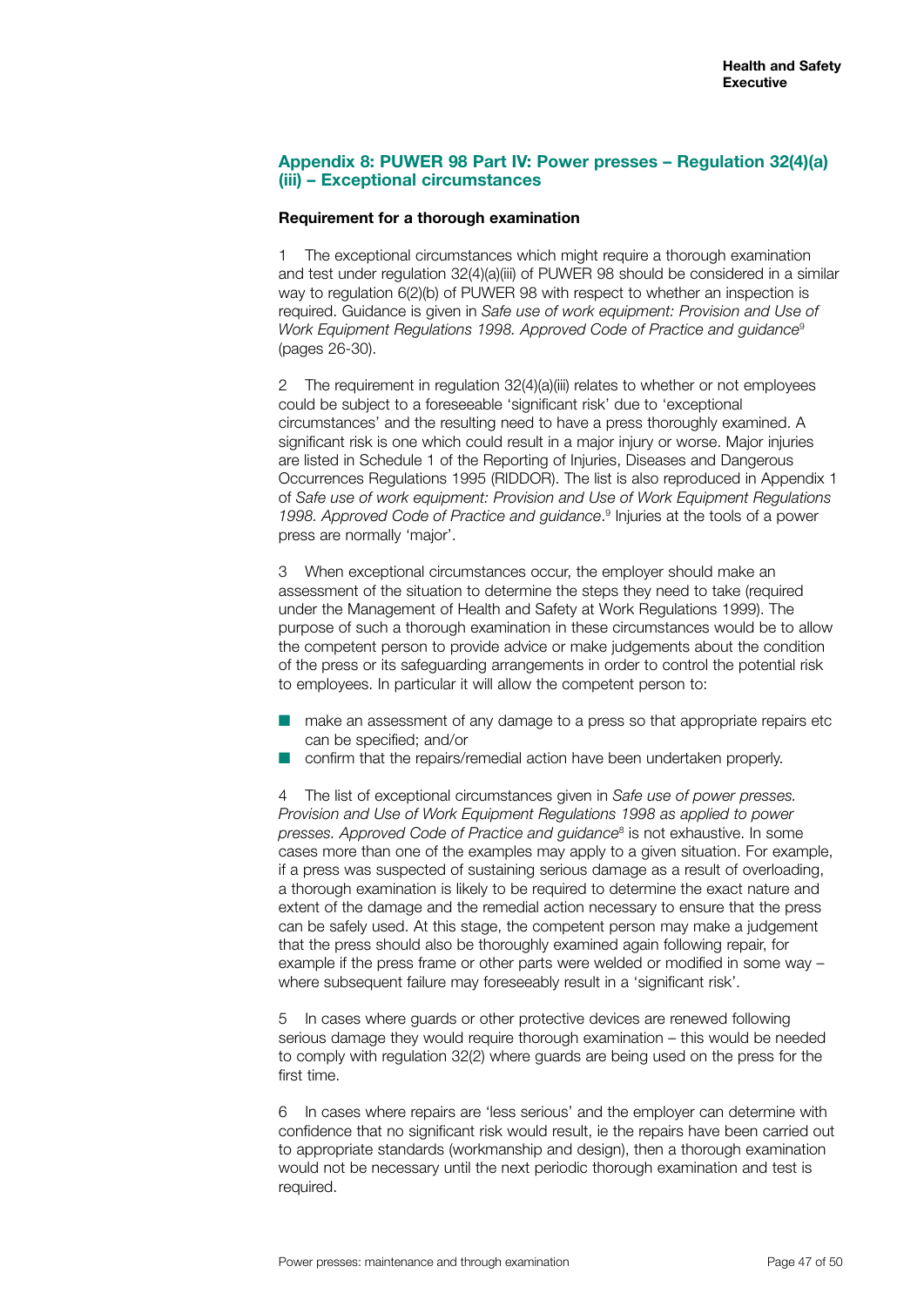## **Appendix 8: PUWER 98 Part IV: Power presses – Regulation 32(4)(a) (iii) – Exceptional circumstances**

#### **Requirement for a thorough examination**

1 The exceptional circumstances which might require a thorough examination and test under regulation 32(4)(a)(iii) of PUWER 98 should be considered in a similar way to regulation 6(2)(b) of PUWER 98 with respect to whether an inspection is required. Guidance is given in *Safe use of work equipment: Provision and Use of Work Equipment Regulations 1998. Approved Code of Practice and guidance*<sup>9</sup> (pages 26-30).

2 The requirement in regulation 32(4)(a)(iii) relates to whether or not employees could be subject to a foreseeable 'significant risk' due to 'exceptional circumstances' and the resulting need to have a press thoroughly examined. A significant risk is one which could result in a major injury or worse. Major injuries are listed in Schedule 1 of the Reporting of Injuries, Diseases and Dangerous Occurrences Regulations 1995 (RIDDOR). The list is also reproduced in Appendix 1 of *Safe use of work equipment: Provision and Use of Work Equipment Regulations*  1998. Approved Code of Practice and guidance.<sup>9</sup> Injuries at the tools of a power press are normally 'major'.

3 When exceptional circumstances occur, the employer should make an assessment of the situation to determine the steps they need to take (required under the Management of Health and Safety at Work Regulations 1999). The purpose of such a thorough examination in these circumstances would be to allow the competent person to provide advice or make judgements about the condition of the press or its safeguarding arrangements in order to control the potential risk to employees. In particular it will allow the competent person to:

- make an assessment of any damage to a press so that appropriate repairs etc can be specified; and/or
- confirm that the repairs/remedial action have been undertaken properly.

4 The list of exceptional circumstances given in *Safe use of power presses. Provision and Use of Work Equipment Regulations 1998 as applied to power presses. Approved Code of Practice and guidance*<sup>8</sup> is not exhaustive. In some cases more than one of the examples may apply to a given situation. For example, if a press was suspected of sustaining serious damage as a result of overloading, a thorough examination is likely to be required to determine the exact nature and extent of the damage and the remedial action necessary to ensure that the press can be safely used. At this stage, the competent person may make a judgement that the press should also be thoroughly examined again following repair, for example if the press frame or other parts were welded or modified in some way – where subsequent failure may foreseeably result in a 'significant risk'.

In cases where guards or other protective devices are renewed following serious damage they would require thorough examination – this would be needed to comply with regulation 32(2) where guards are being used on the press for the first time.

6 In cases where repairs are 'less serious' and the employer can determine with confidence that no significant risk would result, ie the repairs have been carried out to appropriate standards (workmanship and design), then a thorough examination would not be necessary until the next periodic thorough examination and test is required.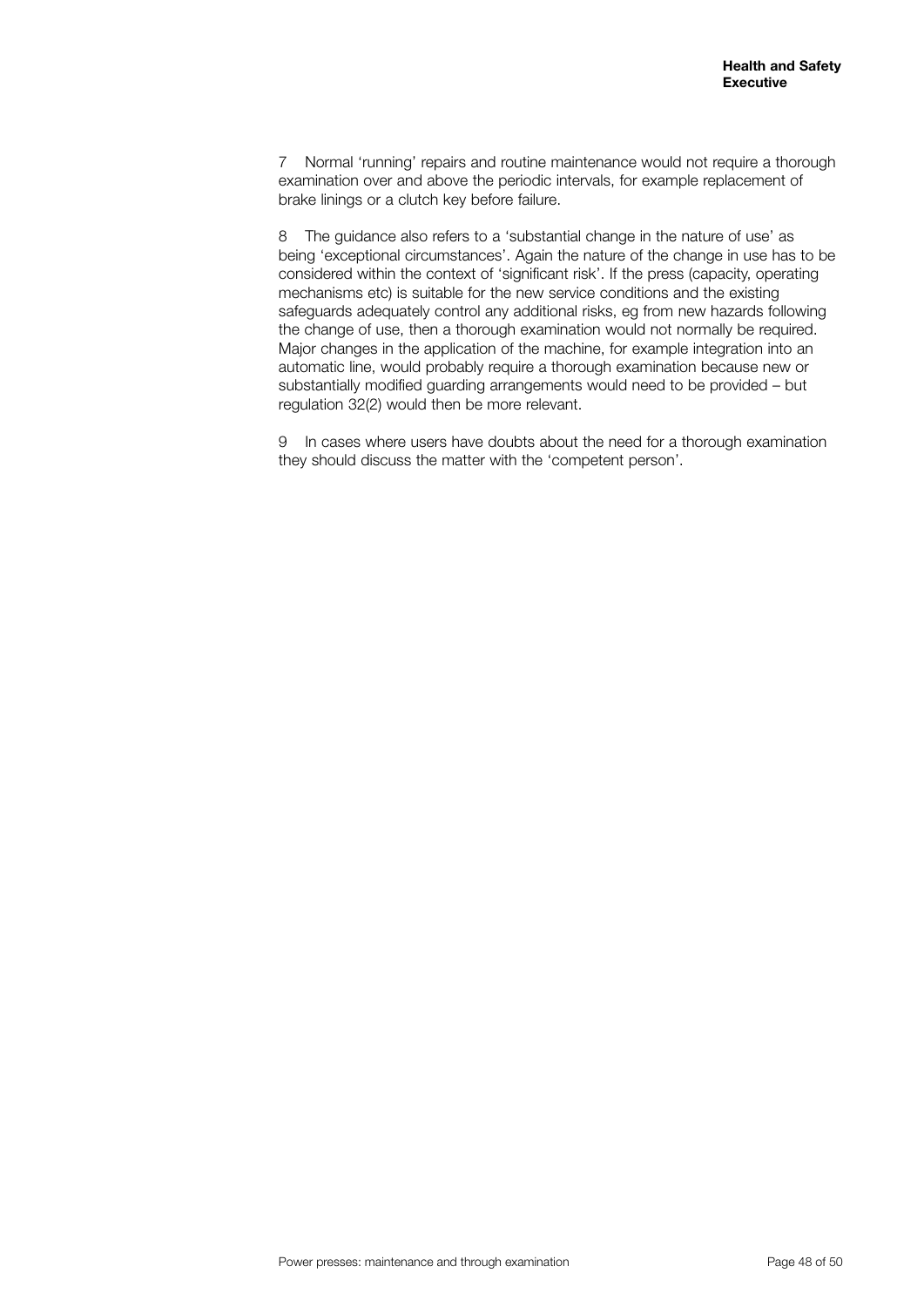7 Normal 'running' repairs and routine maintenance would not require a thorough examination over and above the periodic intervals, for example replacement of brake linings or a clutch key before failure.

8 The guidance also refers to a 'substantial change in the nature of use' as being 'exceptional circumstances'. Again the nature of the change in use has to be considered within the context of 'significant risk'. If the press (capacity, operating mechanisms etc) is suitable for the new service conditions and the existing safeguards adequately control any additional risks, eg from new hazards following the change of use, then a thorough examination would not normally be required. Major changes in the application of the machine, for example integration into an automatic line, would probably require a thorough examination because new or substantially modified guarding arrangements would need to be provided – but regulation 32(2) would then be more relevant.

9 In cases where users have doubts about the need for a thorough examination they should discuss the matter with the 'competent person'.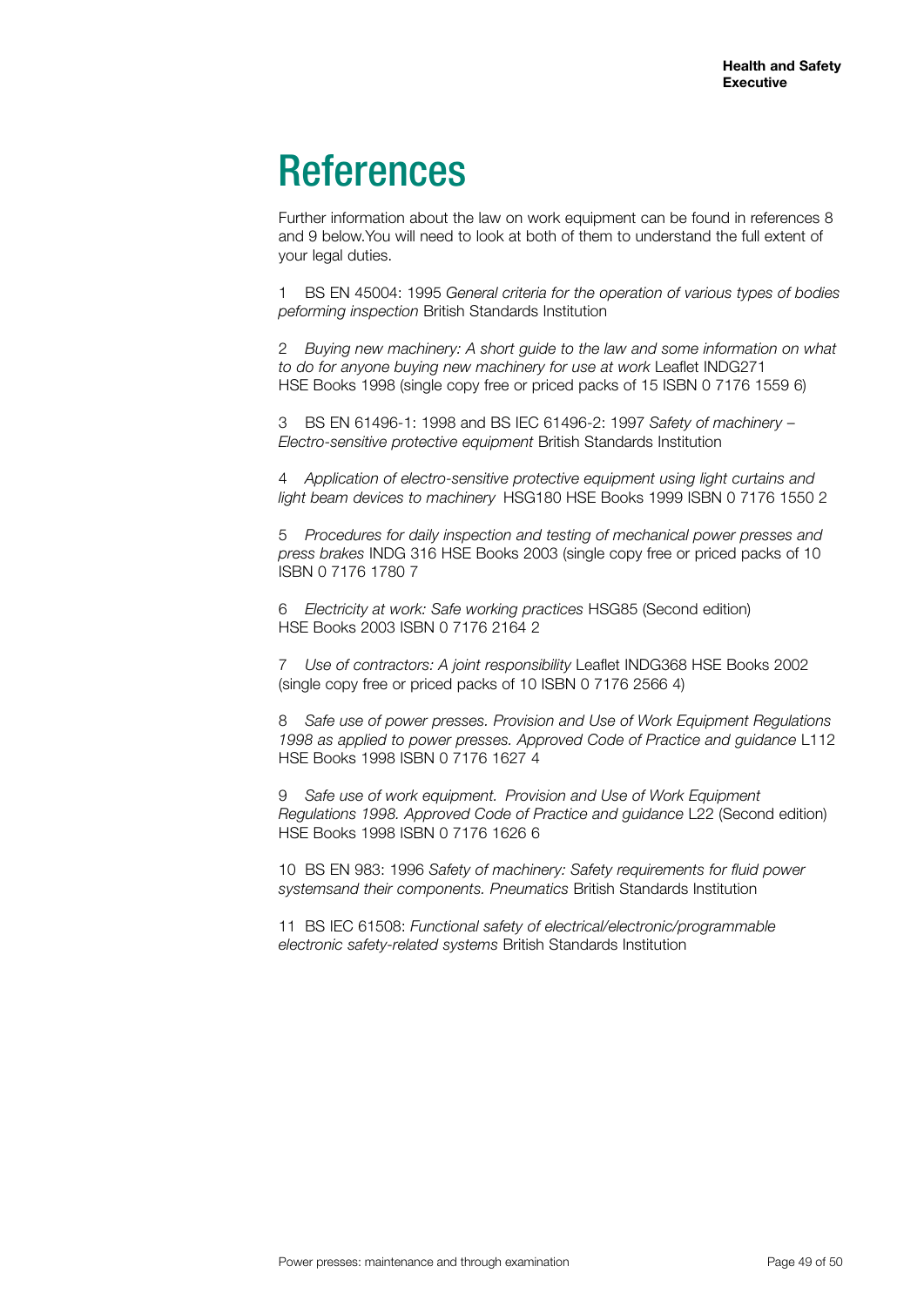# References

Further information about the law on work equipment can be found in references 8 and 9 below.You will need to look at both of them to understand the full extent of your legal duties.

1 BS EN 45004: 1995 *General criteria for the operation of various types of bodies peforming inspection* British Standards Institution

2 *Buying new machinery: A short guide to the law and some information on what to do for anyone buying new machinery for use at work* Leaflet INDG271 HSE Books 1998 (single copy free or priced packs of 15 ISBN 0 7176 1559 6)

3 BS EN 61496-1: 1998 and BS IEC 61496-2: 1997 *Safety of machinery* – *Electro-sensitive protective equipment* British Standards Institution

4 *Application of electro-sensitive protective equipment using light curtains and light beam devices to machinery* HSG180 HSE Books 1999 ISBN 0 7176 1550 2

5 *Procedures for daily inspection and testing of mechanical power presses and press brakes* INDG 316 HSE Books 2003 (single copy free or priced packs of 10 ISBN 0 7176 1780 7

6 *Electricity at work: Safe working practices* HSG85 (Second edition) HSE Books 2003 ISBN 0 7176 2164 2

7 *Use of contractors: A joint responsibility* Leaflet INDG368 HSE Books 2002 (single copy free or priced packs of 10 ISBN 0 7176 2566 4)

8 *Safe use of power presses. Provision and Use of Work Equipment Regulations 1998 as applied to power presses. Approved Code of Practice and guidance* L112 HSE Books 1998 ISBN 0 7176 1627 4

9 *Safe use of work equipment. Provision and Use of Work Equipment Regulations 1998. Approved Code of Practice and guidance* L22 (Second edition) HSE Books 1998 ISBN 0 7176 1626 6

10 BS EN 983: 1996 *Safety of machinery: Safety requirements for fluid power systemsand their components. Pneumatics* British Standards Institution

11 BS IEC 61508: *Functional safety of electrical/electronic/programmable electronic safety-related systems* British Standards Institution